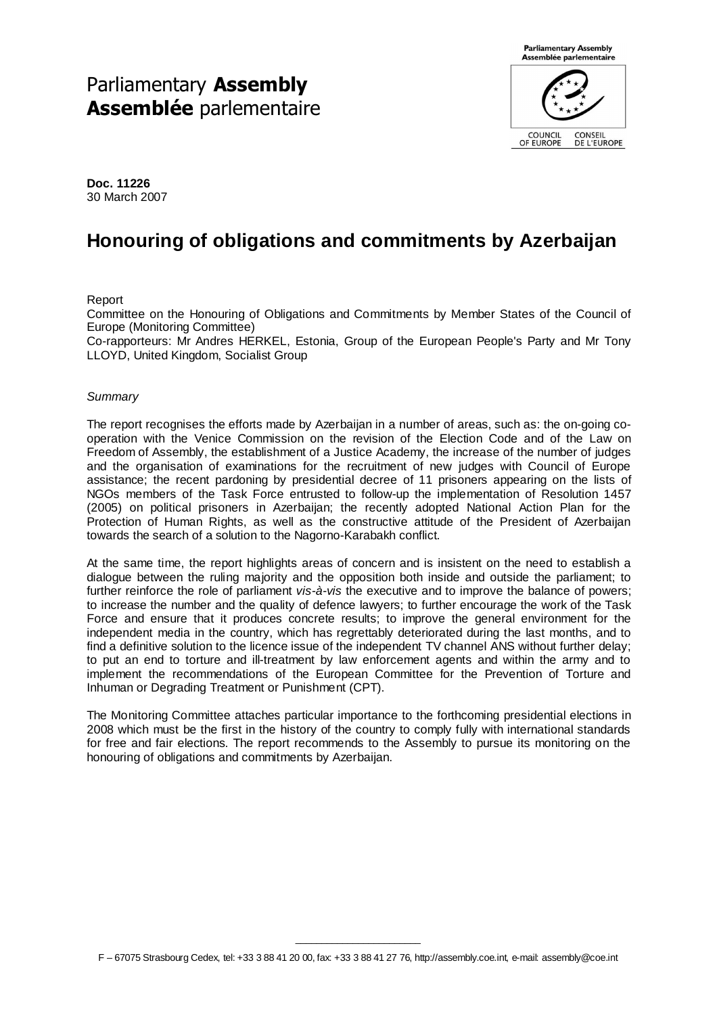# Parliamentary Assembly Assemblée parlementaire



**Doc. 11226**  30 March 2007

# **Honouring of obligations and commitments by Azerbaijan**

Report

Committee on the Honouring of Obligations and Commitments by Member States of the Council of Europe (Monitoring Committee)

Co-rapporteurs: Mr Andres HERKEL, Estonia, Group of the European People's Party and Mr Tony LLOYD, United Kingdom, Socialist Group

#### **Summary**

The report recognises the efforts made by Azerbaijan in a number of areas, such as: the on-going cooperation with the Venice Commission on the revision of the Election Code and of the Law on Freedom of Assembly, the establishment of a Justice Academy, the increase of the number of judges and the organisation of examinations for the recruitment of new judges with Council of Europe assistance; the recent pardoning by presidential decree of 11 prisoners appearing on the lists of NGOs members of the Task Force entrusted to follow-up the implementation of Resolution 1457 (2005) on political prisoners in Azerbaijan; the recently adopted National Action Plan for the Protection of Human Rights, as well as the constructive attitude of the President of Azerbaijan towards the search of a solution to the Nagorno-Karabakh conflict.

At the same time, the report highlights areas of concern and is insistent on the need to establish a dialogue between the ruling majority and the opposition both inside and outside the parliament; to further reinforce the role of parliament vis-à-vis the executive and to improve the balance of powers; to increase the number and the quality of defence lawyers; to further encourage the work of the Task Force and ensure that it produces concrete results; to improve the general environment for the independent media in the country, which has regrettably deteriorated during the last months, and to find a definitive solution to the licence issue of the independent TV channel ANS without further delay; to put an end to torture and ill-treatment by law enforcement agents and within the army and to implement the recommendations of the European Committee for the Prevention of Torture and Inhuman or Degrading Treatment or Punishment (CPT).

The Monitoring Committee attaches particular importance to the forthcoming presidential elections in 2008 which must be the first in the history of the country to comply fully with international standards for free and fair elections. The report recommends to the Assembly to pursue its monitoring on the honouring of obligations and commitments by Azerbaijan.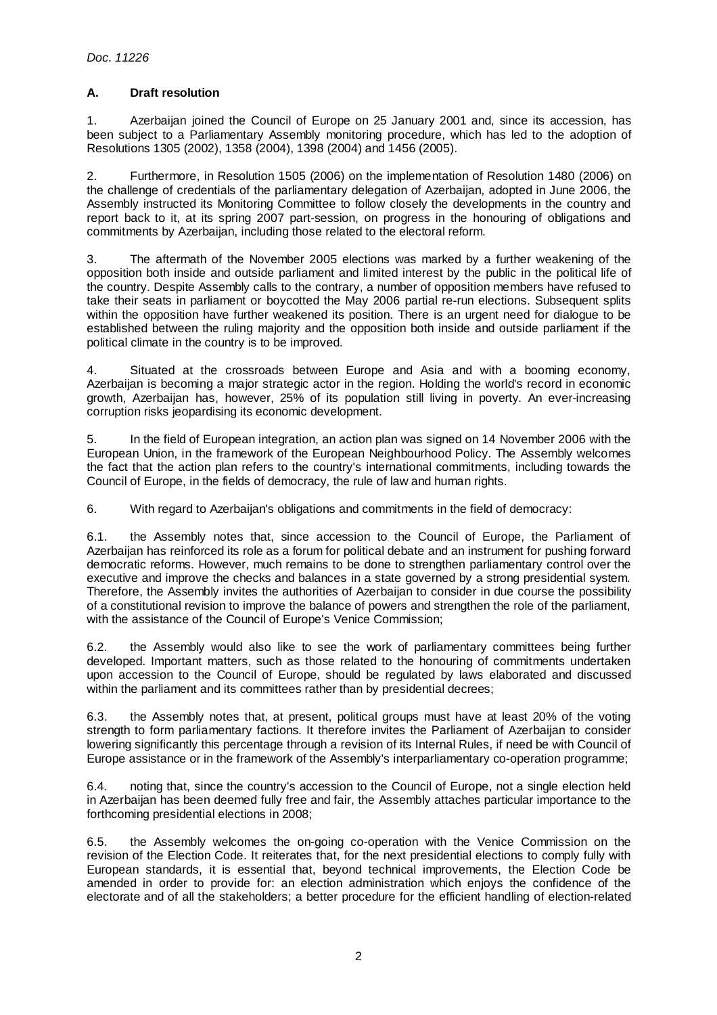# **A. Draft resolution**

1. Azerbaijan joined the Council of Europe on 25 January 2001 and, since its accession, has been subject to a Parliamentary Assembly monitoring procedure, which has led to the adoption of Resolutions 1305 (2002), 1358 (2004), 1398 (2004) and 1456 (2005).

2. Furthermore, in Resolution 1505 (2006) on the implementation of Resolution 1480 (2006) on the challenge of credentials of the parliamentary delegation of Azerbaijan, adopted in June 2006, the Assembly instructed its Monitoring Committee to follow closely the developments in the country and report back to it, at its spring 2007 part-session, on progress in the honouring of obligations and commitments by Azerbaijan, including those related to the electoral reform.

3. The aftermath of the November 2005 elections was marked by a further weakening of the opposition both inside and outside parliament and limited interest by the public in the political life of the country. Despite Assembly calls to the contrary, a number of opposition members have refused to take their seats in parliament or boycotted the May 2006 partial re-run elections. Subsequent splits within the opposition have further weakened its position. There is an urgent need for dialogue to be established between the ruling majority and the opposition both inside and outside parliament if the political climate in the country is to be improved.

4. Situated at the crossroads between Europe and Asia and with a booming economy, Azerbaijan is becoming a major strategic actor in the region. Holding the world's record in economic growth, Azerbaijan has, however, 25% of its population still living in poverty. An ever-increasing corruption risks jeopardising its economic development.

5. In the field of European integration, an action plan was signed on 14 November 2006 with the European Union, in the framework of the European Neighbourhood Policy. The Assembly welcomes the fact that the action plan refers to the country's international commitments, including towards the Council of Europe, in the fields of democracy, the rule of law and human rights.

6. With regard to Azerbaijan's obligations and commitments in the field of democracy:

6.1. the Assembly notes that, since accession to the Council of Europe, the Parliament of Azerbaijan has reinforced its role as a forum for political debate and an instrument for pushing forward democratic reforms. However, much remains to be done to strengthen parliamentary control over the executive and improve the checks and balances in a state governed by a strong presidential system. Therefore, the Assembly invites the authorities of Azerbaijan to consider in due course the possibility of a constitutional revision to improve the balance of powers and strengthen the role of the parliament, with the assistance of the Council of Europe's Venice Commission;

6.2. the Assembly would also like to see the work of parliamentary committees being further developed. Important matters, such as those related to the honouring of commitments undertaken upon accession to the Council of Europe, should be regulated by laws elaborated and discussed within the parliament and its committees rather than by presidential decrees;

6.3. the Assembly notes that, at present, political groups must have at least 20% of the voting strength to form parliamentary factions. It therefore invites the Parliament of Azerbaijan to consider lowering significantly this percentage through a revision of its Internal Rules, if need be with Council of Europe assistance or in the framework of the Assembly's interparliamentary co-operation programme;

6.4. noting that, since the country's accession to the Council of Europe, not a single election held in Azerbaijan has been deemed fully free and fair, the Assembly attaches particular importance to the forthcoming presidential elections in 2008;

6.5. the Assembly welcomes the on-going co-operation with the Venice Commission on the revision of the Election Code. It reiterates that, for the next presidential elections to comply fully with European standards, it is essential that, beyond technical improvements, the Election Code be amended in order to provide for: an election administration which enjoys the confidence of the electorate and of all the stakeholders; a better procedure for the efficient handling of election-related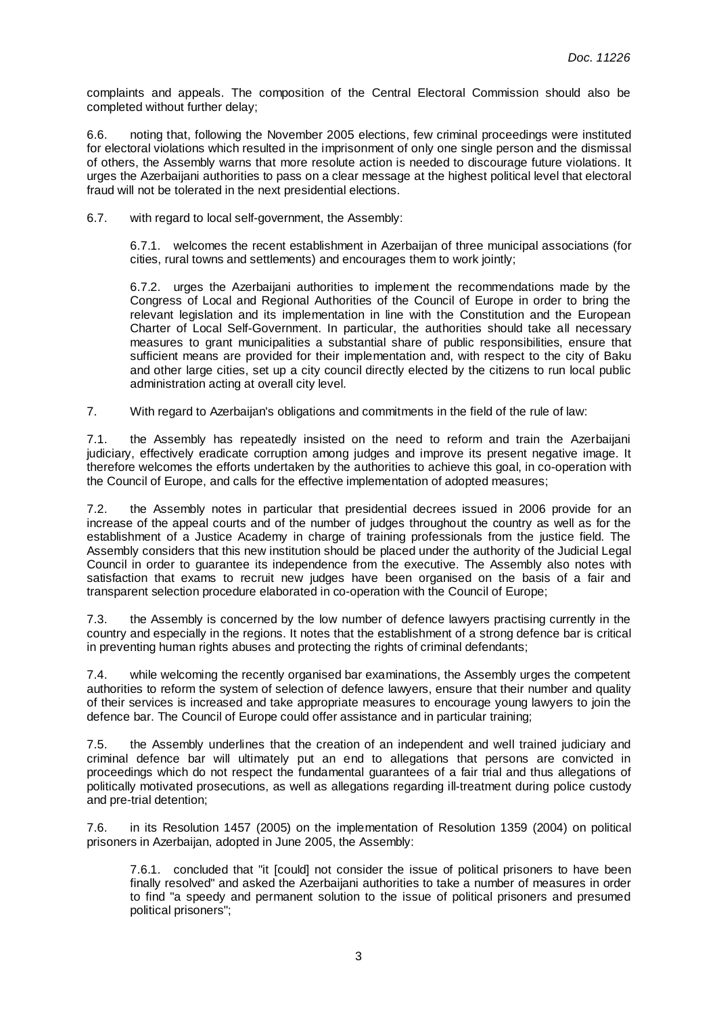complaints and appeals. The composition of the Central Electoral Commission should also be completed without further delay;

6.6. noting that, following the November 2005 elections, few criminal proceedings were instituted for electoral violations which resulted in the imprisonment of only one single person and the dismissal of others, the Assembly warns that more resolute action is needed to discourage future violations. It urges the Azerbaijani authorities to pass on a clear message at the highest political level that electoral fraud will not be tolerated in the next presidential elections.

6.7. with regard to local self-government, the Assembly:

6.7.1. welcomes the recent establishment in Azerbaijan of three municipal associations (for cities, rural towns and settlements) and encourages them to work jointly;

6.7.2. urges the Azerbaijani authorities to implement the recommendations made by the Congress of Local and Regional Authorities of the Council of Europe in order to bring the relevant legislation and its implementation in line with the Constitution and the European Charter of Local Self-Government. In particular, the authorities should take all necessary measures to grant municipalities a substantial share of public responsibilities, ensure that sufficient means are provided for their implementation and, with respect to the city of Baku and other large cities, set up a city council directly elected by the citizens to run local public administration acting at overall city level.

7. With regard to Azerbaijan's obligations and commitments in the field of the rule of law:

7.1. the Assembly has repeatedly insisted on the need to reform and train the Azerbaijani judiciary, effectively eradicate corruption among judges and improve its present negative image. It therefore welcomes the efforts undertaken by the authorities to achieve this goal, in co-operation with the Council of Europe, and calls for the effective implementation of adopted measures;

7.2. the Assembly notes in particular that presidential decrees issued in 2006 provide for an increase of the appeal courts and of the number of judges throughout the country as well as for the establishment of a Justice Academy in charge of training professionals from the justice field. The Assembly considers that this new institution should be placed under the authority of the Judicial Legal Council in order to guarantee its independence from the executive. The Assembly also notes with satisfaction that exams to recruit new judges have been organised on the basis of a fair and transparent selection procedure elaborated in co-operation with the Council of Europe;

7.3. the Assembly is concerned by the low number of defence lawyers practising currently in the country and especially in the regions. It notes that the establishment of a strong defence bar is critical in preventing human rights abuses and protecting the rights of criminal defendants;

7.4. while welcoming the recently organised bar examinations, the Assembly urges the competent authorities to reform the system of selection of defence lawyers, ensure that their number and quality of their services is increased and take appropriate measures to encourage young lawyers to join the defence bar. The Council of Europe could offer assistance and in particular training;

7.5. the Assembly underlines that the creation of an independent and well trained judiciary and criminal defence bar will ultimately put an end to allegations that persons are convicted in proceedings which do not respect the fundamental guarantees of a fair trial and thus allegations of politically motivated prosecutions, as well as allegations regarding ill-treatment during police custody and pre-trial detention;

7.6. in its Resolution 1457 (2005) on the implementation of Resolution 1359 (2004) on political prisoners in Azerbaijan, adopted in June 2005, the Assembly:

7.6.1. concluded that "it [could] not consider the issue of political prisoners to have been finally resolved" and asked the Azerbaijani authorities to take a number of measures in order to find "a speedy and permanent solution to the issue of political prisoners and presumed political prisoners";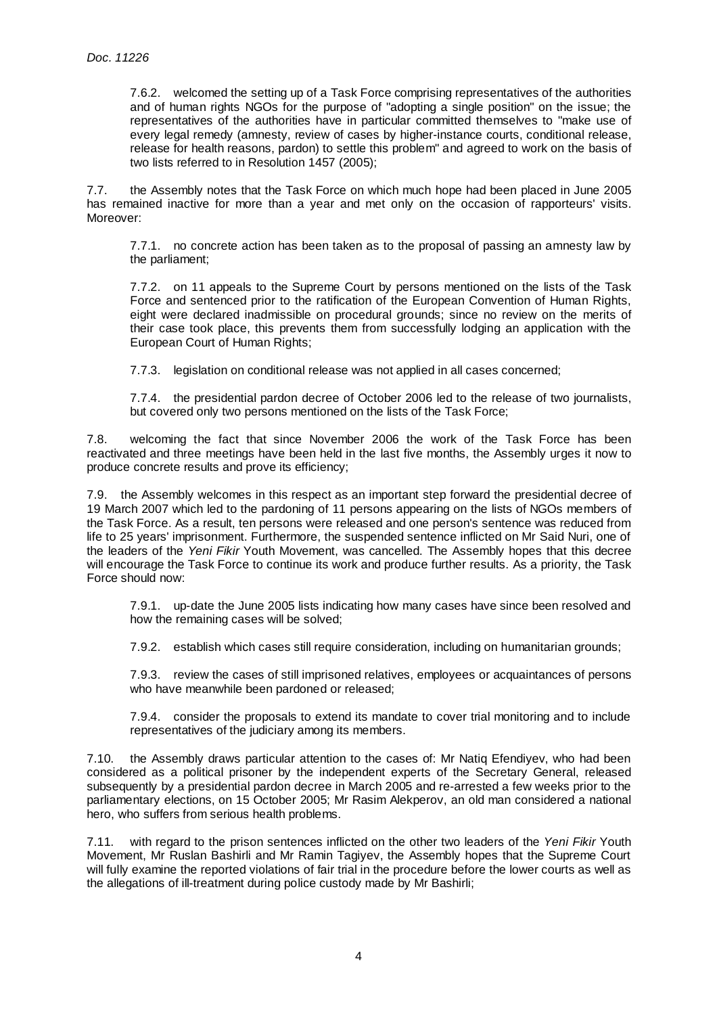7.6.2. welcomed the setting up of a Task Force comprising representatives of the authorities and of human rights NGOs for the purpose of "adopting a single position" on the issue; the representatives of the authorities have in particular committed themselves to "make use of every legal remedy (amnesty, review of cases by higher-instance courts, conditional release, release for health reasons, pardon) to settle this problem" and agreed to work on the basis of two lists referred to in Resolution 1457 (2005);

7.7. the Assembly notes that the Task Force on which much hope had been placed in June 2005 has remained inactive for more than a year and met only on the occasion of rapporteurs' visits. Moreover:

7.7.1. no concrete action has been taken as to the proposal of passing an amnesty law by the parliament;

7.7.2. on 11 appeals to the Supreme Court by persons mentioned on the lists of the Task Force and sentenced prior to the ratification of the European Convention of Human Rights, eight were declared inadmissible on procedural grounds; since no review on the merits of their case took place, this prevents them from successfully lodging an application with the European Court of Human Rights;

7.7.3. legislation on conditional release was not applied in all cases concerned;

7.7.4. the presidential pardon decree of October 2006 led to the release of two journalists, but covered only two persons mentioned on the lists of the Task Force;

7.8. welcoming the fact that since November 2006 the work of the Task Force has been reactivated and three meetings have been held in the last five months, the Assembly urges it now to produce concrete results and prove its efficiency;

7.9. the Assembly welcomes in this respect as an important step forward the presidential decree of 19 March 2007 which led to the pardoning of 11 persons appearing on the lists of NGOs members of the Task Force. As a result, ten persons were released and one person's sentence was reduced from life to 25 years' imprisonment. Furthermore, the suspended sentence inflicted on Mr Said Nuri, one of the leaders of the Yeni Fikir Youth Movement, was cancelled. The Assembly hopes that this decree will encourage the Task Force to continue its work and produce further results. As a priority, the Task Force should now:

7.9.1. up-date the June 2005 lists indicating how many cases have since been resolved and how the remaining cases will be solved;

7.9.2. establish which cases still require consideration, including on humanitarian grounds;

7.9.3. review the cases of still imprisoned relatives, employees or acquaintances of persons who have meanwhile been pardoned or released;

7.9.4. consider the proposals to extend its mandate to cover trial monitoring and to include representatives of the judiciary among its members.

7.10. the Assembly draws particular attention to the cases of: Mr Natiq Efendiyev, who had been considered as a political prisoner by the independent experts of the Secretary General, released subsequently by a presidential pardon decree in March 2005 and re-arrested a few weeks prior to the parliamentary elections, on 15 October 2005; Mr Rasim Alekperov, an old man considered a national hero, who suffers from serious health problems.

7.11. with regard to the prison sentences inflicted on the other two leaders of the Yeni Fikir Youth Movement, Mr Ruslan Bashirli and Mr Ramin Tagiyev, the Assembly hopes that the Supreme Court will fully examine the reported violations of fair trial in the procedure before the lower courts as well as the allegations of ill-treatment during police custody made by Mr Bashirli;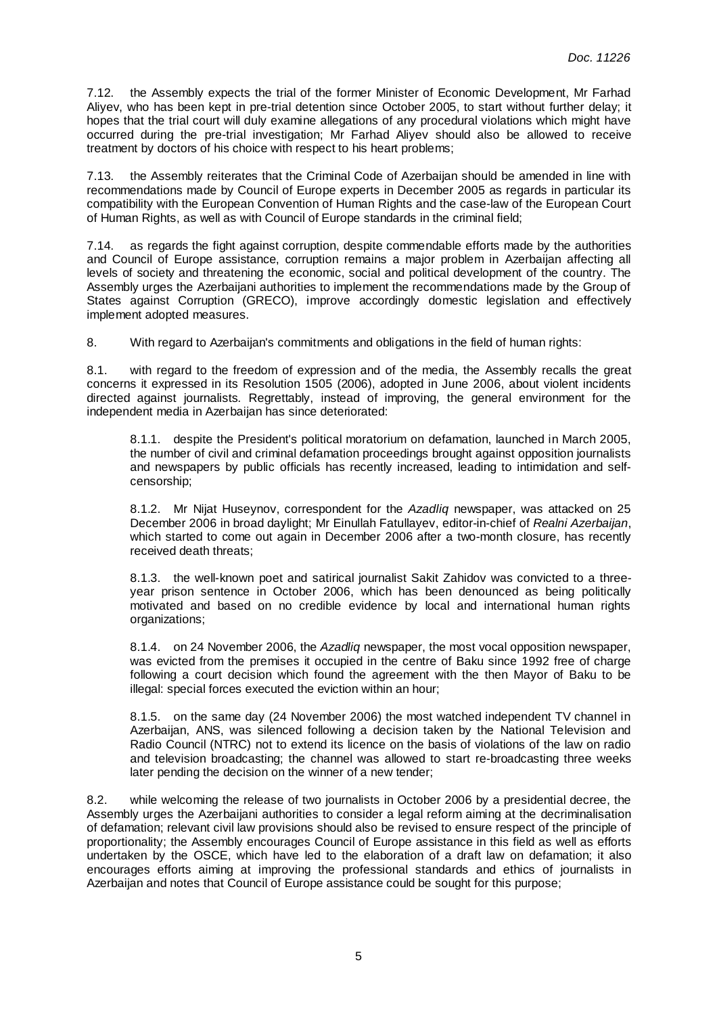7.12. the Assembly expects the trial of the former Minister of Economic Development, Mr Farhad Aliyev, who has been kept in pre-trial detention since October 2005, to start without further delay; it hopes that the trial court will duly examine allegations of any procedural violations which might have occurred during the pre-trial investigation; Mr Farhad Aliyev should also be allowed to receive treatment by doctors of his choice with respect to his heart problems;

7.13. the Assembly reiterates that the Criminal Code of Azerbaijan should be amended in line with recommendations made by Council of Europe experts in December 2005 as regards in particular its compatibility with the European Convention of Human Rights and the case-law of the European Court of Human Rights, as well as with Council of Europe standards in the criminal field;

7.14. as regards the fight against corruption, despite commendable efforts made by the authorities and Council of Europe assistance, corruption remains a major problem in Azerbaijan affecting all levels of society and threatening the economic, social and political development of the country. The Assembly urges the Azerbaijani authorities to implement the recommendations made by the Group of States against Corruption (GRECO), improve accordingly domestic legislation and effectively implement adopted measures.

8. With regard to Azerbaijan's commitments and obligations in the field of human rights:

8.1. with regard to the freedom of expression and of the media, the Assembly recalls the great concerns it expressed in its Resolution 1505 (2006), adopted in June 2006, about violent incidents directed against journalists. Regrettably, instead of improving, the general environment for the independent media in Azerbaijan has since deteriorated:

8.1.1. despite the President's political moratorium on defamation, launched in March 2005, the number of civil and criminal defamation proceedings brought against opposition journalists and newspapers by public officials has recently increased, leading to intimidation and selfcensorship;

8.1.2. Mr Nijat Huseynov, correspondent for the Azadliq newspaper, was attacked on 25 December 2006 in broad daylight; Mr Einullah Fatullayev, editor-in-chief of Realni Azerbaijan, which started to come out again in December 2006 after a two-month closure, has recently received death threats;

8.1.3. the well-known poet and satirical journalist Sakit Zahidov was convicted to a threeyear prison sentence in October 2006, which has been denounced as being politically motivated and based on no credible evidence by local and international human rights organizations;

8.1.4. on 24 November 2006, the Azadliq newspaper, the most vocal opposition newspaper, was evicted from the premises it occupied in the centre of Baku since 1992 free of charge following a court decision which found the agreement with the then Mayor of Baku to be illegal: special forces executed the eviction within an hour;

8.1.5. on the same day (24 November 2006) the most watched independent TV channel in Azerbaijan, ANS, was silenced following a decision taken by the National Television and Radio Council (NTRC) not to extend its licence on the basis of violations of the law on radio and television broadcasting; the channel was allowed to start re-broadcasting three weeks later pending the decision on the winner of a new tender;

8.2. while welcoming the release of two journalists in October 2006 by a presidential decree, the Assembly urges the Azerbaijani authorities to consider a legal reform aiming at the decriminalisation of defamation; relevant civil law provisions should also be revised to ensure respect of the principle of proportionality; the Assembly encourages Council of Europe assistance in this field as well as efforts undertaken by the OSCE, which have led to the elaboration of a draft law on defamation; it also encourages efforts aiming at improving the professional standards and ethics of journalists in Azerbaijan and notes that Council of Europe assistance could be sought for this purpose;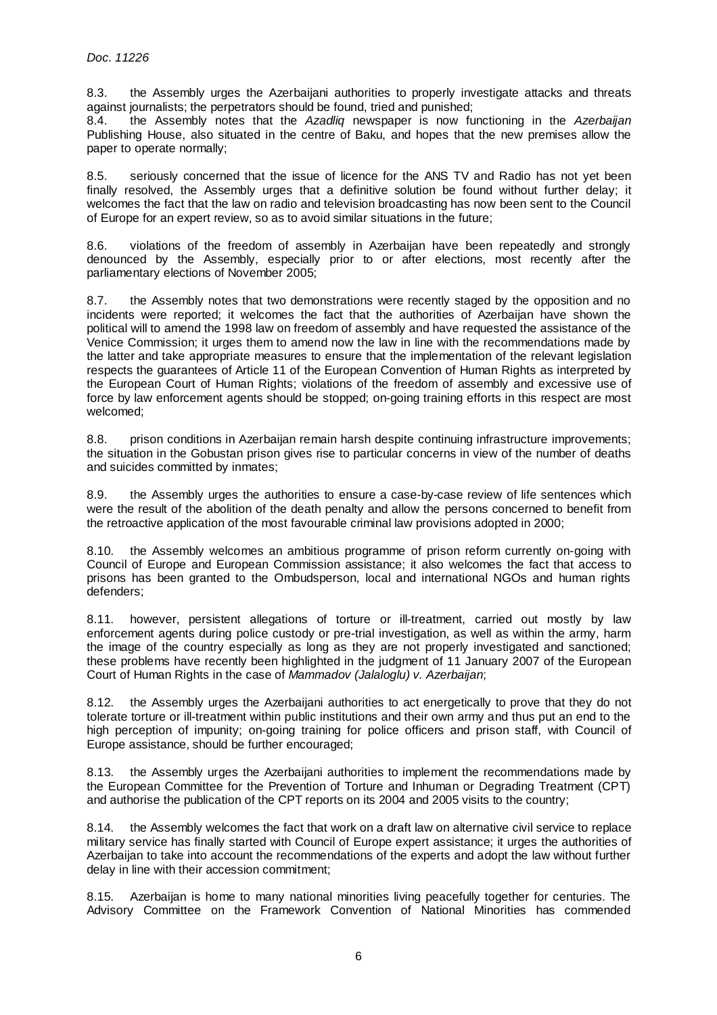8.3. the Assembly urges the Azerbaijani authorities to properly investigate attacks and threats against journalists; the perpetrators should be found, tried and punished;

8.4. the Assembly notes that the Azadlig newspaper is now functioning in the Azerbaijan Publishing House, also situated in the centre of Baku, and hopes that the new premises allow the paper to operate normally;

8.5. seriously concerned that the issue of licence for the ANS TV and Radio has not yet been finally resolved, the Assembly urges that a definitive solution be found without further delay; it welcomes the fact that the law on radio and television broadcasting has now been sent to the Council of Europe for an expert review, so as to avoid similar situations in the future;

8.6. violations of the freedom of assembly in Azerbaijan have been repeatedly and strongly denounced by the Assembly, especially prior to or after elections, most recently after the parliamentary elections of November 2005;

8.7. the Assembly notes that two demonstrations were recently staged by the opposition and no incidents were reported; it welcomes the fact that the authorities of Azerbaijan have shown the political will to amend the 1998 law on freedom of assembly and have requested the assistance of the Venice Commission; it urges them to amend now the law in line with the recommendations made by the latter and take appropriate measures to ensure that the implementation of the relevant legislation respects the guarantees of Article 11 of the European Convention of Human Rights as interpreted by the European Court of Human Rights; violations of the freedom of assembly and excessive use of force by law enforcement agents should be stopped; on-going training efforts in this respect are most welcomed;

8.8. prison conditions in Azerbaijan remain harsh despite continuing infrastructure improvements; the situation in the Gobustan prison gives rise to particular concerns in view of the number of deaths and suicides committed by inmates;

8.9. the Assembly urges the authorities to ensure a case-by-case review of life sentences which were the result of the abolition of the death penalty and allow the persons concerned to benefit from the retroactive application of the most favourable criminal law provisions adopted in 2000;

8.10. the Assembly welcomes an ambitious programme of prison reform currently on-going with Council of Europe and European Commission assistance; it also welcomes the fact that access to prisons has been granted to the Ombudsperson, local and international NGOs and human rights defenders;

8.11. however, persistent allegations of torture or ill-treatment, carried out mostly by law enforcement agents during police custody or pre-trial investigation, as well as within the army, harm the image of the country especially as long as they are not properly investigated and sanctioned; these problems have recently been highlighted in the judgment of 11 January 2007 of the European Court of Human Rights in the case of Mammadov (Jalaloglu) v. Azerbaijan;

8.12. the Assembly urges the Azerbaijani authorities to act energetically to prove that they do not tolerate torture or ill-treatment within public institutions and their own army and thus put an end to the high perception of impunity; on-going training for police officers and prison staff, with Council of Europe assistance, should be further encouraged;

8.13. the Assembly urges the Azerbaijani authorities to implement the recommendations made by the European Committee for the Prevention of Torture and Inhuman or Degrading Treatment (CPT) and authorise the publication of the CPT reports on its 2004 and 2005 visits to the country;

8.14. the Assembly welcomes the fact that work on a draft law on alternative civil service to replace military service has finally started with Council of Europe expert assistance; it urges the authorities of Azerbaijan to take into account the recommendations of the experts and adopt the law without further delay in line with their accession commitment;

8.15. Azerbaijan is home to many national minorities living peacefully together for centuries. The Advisory Committee on the Framework Convention of National Minorities has commended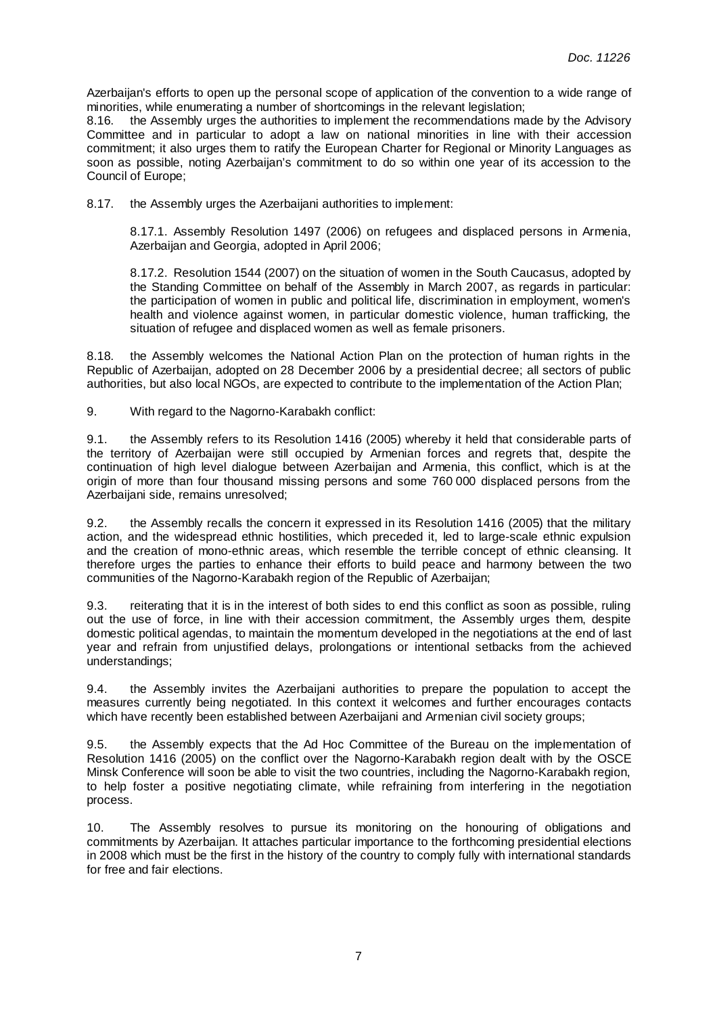Azerbaijan's efforts to open up the personal scope of application of the convention to a wide range of minorities, while enumerating a number of shortcomings in the relevant legislation;

8.16. the Assembly urges the authorities to implement the recommendations made by the Advisory Committee and in particular to adopt a law on national minorities in line with their accession commitment; it also urges them to ratify the European Charter for Regional or Minority Languages as soon as possible, noting Azerbaijan's commitment to do so within one year of its accession to the Council of Europe;

8.17. the Assembly urges the Azerbaijani authorities to implement:

8.17.1. Assembly Resolution 1497 (2006) on refugees and displaced persons in Armenia, Azerbaijan and Georgia, adopted in April 2006;

8.17.2. Resolution 1544 (2007) on the situation of women in the South Caucasus, adopted by the Standing Committee on behalf of the Assembly in March 2007, as regards in particular: the participation of women in public and political life, discrimination in employment, women's health and violence against women, in particular domestic violence, human trafficking, the situation of refugee and displaced women as well as female prisoners.

8.18. the Assembly welcomes the National Action Plan on the protection of human rights in the Republic of Azerbaijan, adopted on 28 December 2006 by a presidential decree; all sectors of public authorities, but also local NGOs, are expected to contribute to the implementation of the Action Plan;

9. With regard to the Nagorno-Karabakh conflict:

9.1. the Assembly refers to its Resolution 1416 (2005) whereby it held that considerable parts of the territory of Azerbaijan were still occupied by Armenian forces and regrets that, despite the continuation of high level dialogue between Azerbaijan and Armenia, this conflict, which is at the origin of more than four thousand missing persons and some 760 000 displaced persons from the Azerbaijani side, remains unresolved;

9.2. the Assembly recalls the concern it expressed in its Resolution 1416 (2005) that the military action, and the widespread ethnic hostilities, which preceded it, led to large-scale ethnic expulsion and the creation of mono-ethnic areas, which resemble the terrible concept of ethnic cleansing. It therefore urges the parties to enhance their efforts to build peace and harmony between the two communities of the Nagorno-Karabakh region of the Republic of Azerbaijan;

9.3. reiterating that it is in the interest of both sides to end this conflict as soon as possible, ruling out the use of force, in line with their accession commitment, the Assembly urges them, despite domestic political agendas, to maintain the momentum developed in the negotiations at the end of last year and refrain from unjustified delays, prolongations or intentional setbacks from the achieved understandings;

9.4. the Assembly invites the Azerbaijani authorities to prepare the population to accept the measures currently being negotiated. In this context it welcomes and further encourages contacts which have recently been established between Azerbaijani and Armenian civil society groups;

9.5. the Assembly expects that the Ad Hoc Committee of the Bureau on the implementation of Resolution 1416 (2005) on the conflict over the Nagorno-Karabakh region dealt with by the OSCE Minsk Conference will soon be able to visit the two countries, including the Nagorno-Karabakh region, to help foster a positive negotiating climate, while refraining from interfering in the negotiation process.

10. The Assembly resolves to pursue its monitoring on the honouring of obligations and commitments by Azerbaijan. It attaches particular importance to the forthcoming presidential elections in 2008 which must be the first in the history of the country to comply fully with international standards for free and fair elections.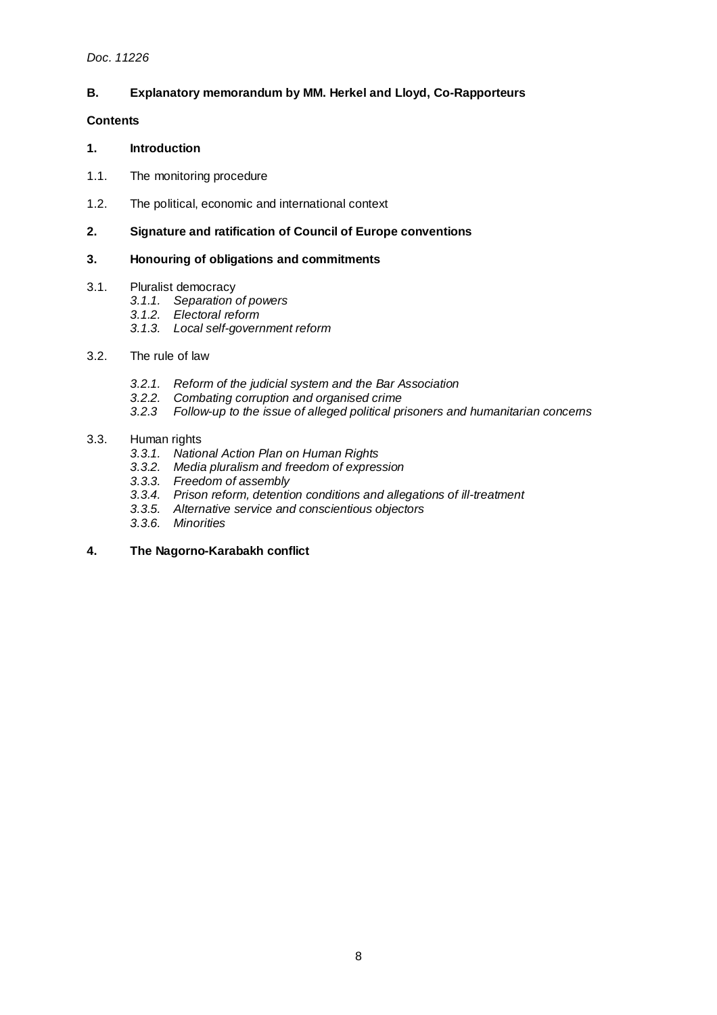# **B. Explanatory memorandum by MM. Herkel and Lloyd, Co-Rapporteurs**

# **Contents**

#### **1. Introduction**

- 1.1. The monitoring procedure
- 1.2. The political, economic and international context
- **2. Signature and ratification of Council of Europe conventions**

# **3. Honouring of obligations and commitments**

#### 3.1. Pluralist democracy

- 3.1.1. Separation of powers
- 3.1.2. Electoral reform
- 3.1.3. Local self-government reform
- 3.2. The rule of law
	- 3.2.1. Reform of the judicial system and the Bar Association
	- 3.2.2. Combating corruption and organised crime
	- 3.2.3 Follow-up to the issue of alleged political prisoners and humanitarian concerns

# 3.3. Human rights

- 3.3.1. National Action Plan on Human Rights
- 3.3.2. Media pluralism and freedom of expression
- 3.3.3. Freedom of assembly
- 3.3.4. Prison reform, detention conditions and allegations of ill-treatment
- 3.3.5. Alternative service and conscientious objectors
- 3.3.6. Minorities

# **4. The Nagorno-Karabakh conflict**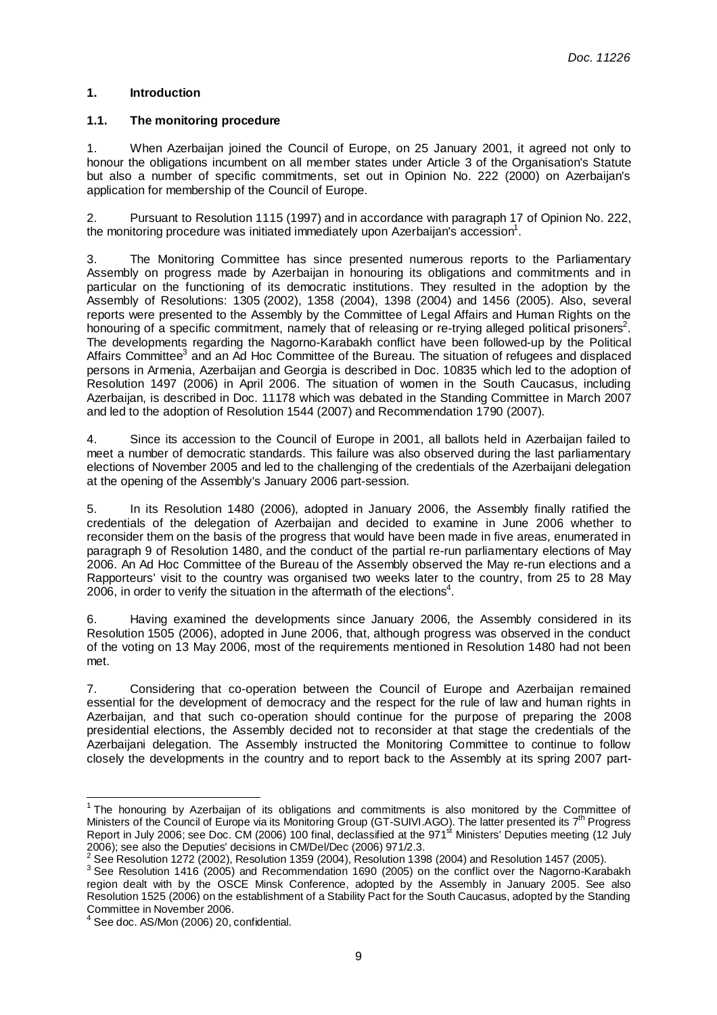# **1. Introduction**

# **1.1. The monitoring procedure**

1. When Azerbaijan joined the Council of Europe, on 25 January 2001, it agreed not only to honour the obligations incumbent on all member states under Article 3 of the Organisation's Statute but also a number of specific commitments, set out in Opinion No. 222 (2000) on Azerbaijan's application for membership of the Council of Europe.

2. Pursuant to Resolution 1115 (1997) and in accordance with paragraph 17 of Opinion No. 222, the monitoring procedure was initiated immediately upon Azerbaijan's accession<sup>1</sup>.

3. The Monitoring Committee has since presented numerous reports to the Parliamentary Assembly on progress made by Azerbaijan in honouring its obligations and commitments and in particular on the functioning of its democratic institutions. They resulted in the adoption by the Assembly of Resolutions: 1305 (2002), 1358 (2004), 1398 (2004) and 1456 (2005). Also, several reports were presented to the Assembly by the Committee of Legal Affairs and Human Rights on the honouring of a specific commitment, namely that of releasing or re-trying alleged political prisoners<sup>2</sup>. The developments regarding the Nagorno-Karabakh conflict have been followed-up by the Political Affairs Committee<sup>3</sup> and an Ad Hoc Committee of the Bureau. The situation of refugees and displaced persons in Armenia, Azerbaijan and Georgia is described in Doc. 10835 which led to the adoption of Resolution 1497 (2006) in April 2006. The situation of women in the South Caucasus, including Azerbaijan, is described in Doc. 11178 which was debated in the Standing Committee in March 2007 and led to the adoption of Resolution 1544 (2007) and Recommendation 1790 (2007).

4. Since its accession to the Council of Europe in 2001, all ballots held in Azerbaijan failed to meet a number of democratic standards. This failure was also observed during the last parliamentary elections of November 2005 and led to the challenging of the credentials of the Azerbaijani delegation at the opening of the Assembly's January 2006 part-session.

5. In its Resolution 1480 (2006), adopted in January 2006, the Assembly finally ratified the credentials of the delegation of Azerbaijan and decided to examine in June 2006 whether to reconsider them on the basis of the progress that would have been made in five areas, enumerated in paragraph 9 of Resolution 1480, and the conduct of the partial re-run parliamentary elections of May 2006. An Ad Hoc Committee of the Bureau of the Assembly observed the May re-run elections and a Rapporteurs' visit to the country was organised two weeks later to the country, from 25 to 28 May 2006, in order to verify the situation in the aftermath of the elections<sup>4</sup>.

6. Having examined the developments since January 2006, the Assembly considered in its Resolution 1505 (2006), adopted in June 2006, that, although progress was observed in the conduct of the voting on 13 May 2006, most of the requirements mentioned in Resolution 1480 had not been met.

7. Considering that co-operation between the Council of Europe and Azerbaijan remained essential for the development of democracy and the respect for the rule of law and human rights in Azerbaijan, and that such co-operation should continue for the purpose of preparing the 2008 presidential elections, the Assembly decided not to reconsider at that stage the credentials of the Azerbaijani delegation. The Assembly instructed the Monitoring Committee to continue to follow closely the developments in the country and to report back to the Assembly at its spring 2007 part-

 1 The honouring by Azerbaijan of its obligations and commitments is also monitored by the Committee of Ministers of the Council of Europe via its Monitoring Group (GT-SUIVI.AGO). The latter presented its 7<sup>th</sup> Progress Report in July 2006; see Doc. CM (2006) 100 final, declassified at the 971<sup>st</sup> Ministers' Deputies meeting (12 July

<sup>2006);</sup> see also the Deputies' decisions in CM/Del/Dec (2006) 971/2.3.<br><sup>2</sup> See Resolution 1272 (2002), Resolution 1359 (2004), Resolution 1398 (2004) and Resolution 1457 (2005).

<sup>&</sup>lt;sup>3</sup> See Resolution 1416 (2005) and Recommendation 1690 (2005) on the conflict over the Nagorno-Karabakh region dealt with by the OSCE Minsk Conference, adopted by the Assembly in January 2005. See also Resolution 1525 (2006) on the establishment of a Stability Pact for the South Caucasus, adopted by the Standing Committee in November 2006.

 $4$  See doc. AS/Mon (2006) 20, confidential.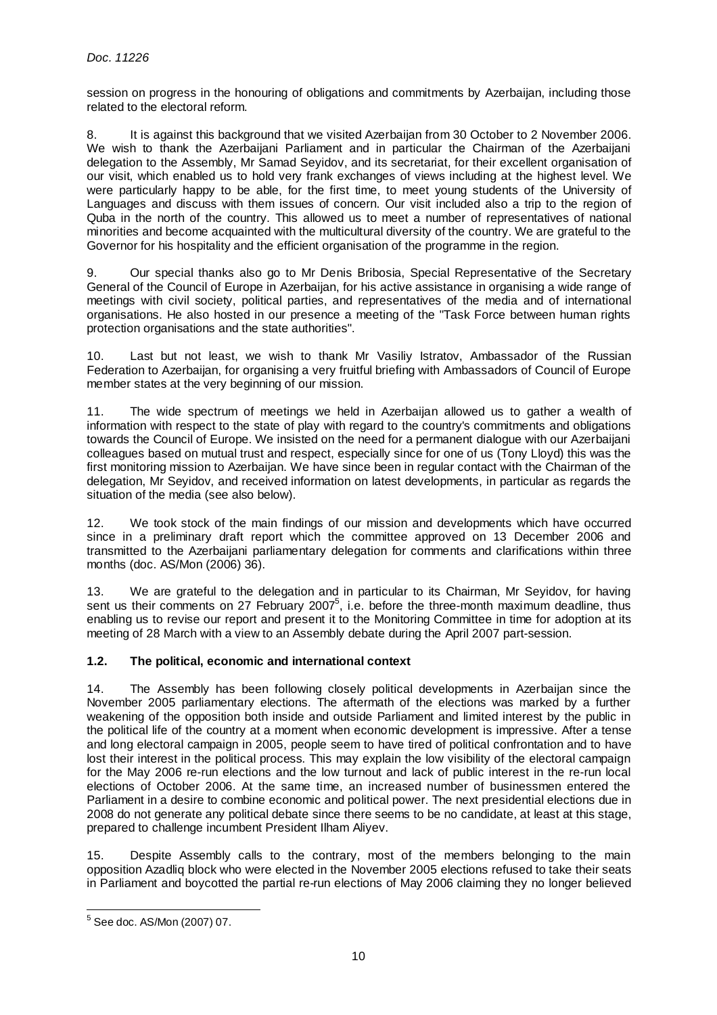session on progress in the honouring of obligations and commitments by Azerbaijan, including those related to the electoral reform.

8. It is against this background that we visited Azerbaijan from 30 October to 2 November 2006. We wish to thank the Azerbaijani Parliament and in particular the Chairman of the Azerbaijani delegation to the Assembly, Mr Samad Seyidov, and its secretariat, for their excellent organisation of our visit, which enabled us to hold very frank exchanges of views including at the highest level. We were particularly happy to be able, for the first time, to meet young students of the University of Languages and discuss with them issues of concern. Our visit included also a trip to the region of Quba in the north of the country. This allowed us to meet a number of representatives of national minorities and become acquainted with the multicultural diversity of the country. We are grateful to the Governor for his hospitality and the efficient organisation of the programme in the region.

9. Our special thanks also go to Mr Denis Bribosia, Special Representative of the Secretary General of the Council of Europe in Azerbaijan, for his active assistance in organising a wide range of meetings with civil society, political parties, and representatives of the media and of international organisations. He also hosted in our presence a meeting of the "Task Force between human rights protection organisations and the state authorities".

10. Last but not least, we wish to thank Mr Vasiliy Istratov, Ambassador of the Russian Federation to Azerbaijan, for organising a very fruitful briefing with Ambassadors of Council of Europe member states at the very beginning of our mission.

11. The wide spectrum of meetings we held in Azerbaijan allowed us to gather a wealth of information with respect to the state of play with regard to the country's commitments and obligations towards the Council of Europe. We insisted on the need for a permanent dialogue with our Azerbaijani colleagues based on mutual trust and respect, especially since for one of us (Tony Lloyd) this was the first monitoring mission to Azerbaijan. We have since been in regular contact with the Chairman of the delegation, Mr Seyidov, and received information on latest developments, in particular as regards the situation of the media (see also below).

12. We took stock of the main findings of our mission and developments which have occurred since in a preliminary draft report which the committee approved on 13 December 2006 and transmitted to the Azerbaijani parliamentary delegation for comments and clarifications within three months (doc. AS/Mon (2006) 36).

13. We are grateful to the delegation and in particular to its Chairman, Mr Seyidov, for having sent us their comments on 27 February 2007 $^5$ , i.e. before the three-month maximum deadline, thus enabling us to revise our report and present it to the Monitoring Committee in time for adoption at its meeting of 28 March with a view to an Assembly debate during the April 2007 part-session.

# **1.2. The political, economic and international context**

14. The Assembly has been following closely political developments in Azerbaijan since the November 2005 parliamentary elections. The aftermath of the elections was marked by a further weakening of the opposition both inside and outside Parliament and limited interest by the public in the political life of the country at a moment when economic development is impressive. After a tense and long electoral campaign in 2005, people seem to have tired of political confrontation and to have lost their interest in the political process. This may explain the low visibility of the electoral campaign for the May 2006 re-run elections and the low turnout and lack of public interest in the re-run local elections of October 2006. At the same time, an increased number of businessmen entered the Parliament in a desire to combine economic and political power. The next presidential elections due in 2008 do not generate any political debate since there seems to be no candidate, at least at this stage, prepared to challenge incumbent President Ilham Aliyev.

15. Despite Assembly calls to the contrary, most of the members belonging to the main opposition Azadliq block who were elected in the November 2005 elections refused to take their seats in Parliament and boycotted the partial re-run elections of May 2006 claiming they no longer believed

<sup>5</sup> See doc. AS/Mon (2007) 07.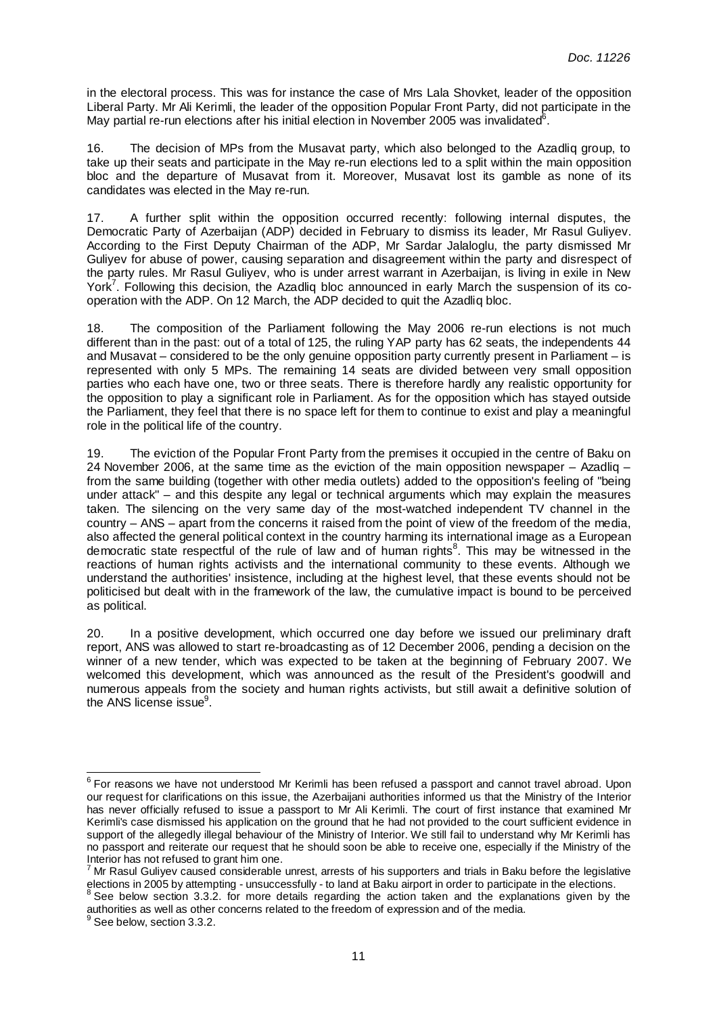in the electoral process. This was for instance the case of Mrs Lala Shovket, leader of the opposition Liberal Party. Mr Ali Kerimli, the leader of the opposition Popular Front Party, did not participate in the May partial re-run elections after his initial election in November 2005 was invalidated<sup>6</sup>.

16. The decision of MPs from the Musavat party, which also belonged to the Azadliq group, to take up their seats and participate in the May re-run elections led to a split within the main opposition bloc and the departure of Musavat from it. Moreover, Musavat lost its gamble as none of its candidates was elected in the May re-run.

17. A further split within the opposition occurred recently: following internal disputes, the Democratic Party of Azerbaijan (ADP) decided in February to dismiss its leader, Mr Rasul Guliyev. According to the First Deputy Chairman of the ADP, Mr Sardar Jalaloglu, the party dismissed Mr Guliyev for abuse of power, causing separation and disagreement within the party and disrespect of the party rules. Mr Rasul Guliyev, who is under arrest warrant in Azerbaijan, is living in exile in New York<sup>7</sup>. Following this decision, the Azadliq bloc announced in early March the suspension of its cooperation with the ADP. On 12 March, the ADP decided to quit the Azadliq bloc.

18. The composition of the Parliament following the May 2006 re-run elections is not much different than in the past: out of a total of 125, the ruling YAP party has 62 seats, the independents 44 and Musavat – considered to be the only genuine opposition party currently present in Parliament – is represented with only 5 MPs. The remaining 14 seats are divided between very small opposition parties who each have one, two or three seats. There is therefore hardly any realistic opportunity for the opposition to play a significant role in Parliament. As for the opposition which has stayed outside the Parliament, they feel that there is no space left for them to continue to exist and play a meaningful role in the political life of the country.

19. The eviction of the Popular Front Party from the premises it occupied in the centre of Baku on 24 November 2006, at the same time as the eviction of the main opposition newspaper – Azadliq – from the same building (together with other media outlets) added to the opposition's feeling of "being under attack" – and this despite any legal or technical arguments which may explain the measures taken. The silencing on the very same day of the most-watched independent TV channel in the country – ANS – apart from the concerns it raised from the point of view of the freedom of the media, also affected the general political context in the country harming its international image as a European democratic state respectful of the rule of law and of human rights<sup>8</sup>. This may be witnessed in the reactions of human rights activists and the international community to these events. Although we understand the authorities' insistence, including at the highest level, that these events should not be politicised but dealt with in the framework of the law, the cumulative impact is bound to be perceived as political.

20. In a positive development, which occurred one day before we issued our preliminary draft report, ANS was allowed to start re-broadcasting as of 12 December 2006, pending a decision on the winner of a new tender, which was expected to be taken at the beginning of February 2007. We welcomed this development, which was announced as the result of the President's goodwill and numerous appeals from the society and human rights activists, but still await a definitive solution of the ANS license issue<sup>9</sup>.

e<br><sup>6</sup> For reasons we have not understood Mr Kerimli has been refused a passport and cannot travel abroad. Upon our request for clarifications on this issue, the Azerbaijani authorities informed us that the Ministry of the Interior has never officially refused to issue a passport to Mr Ali Kerimli. The court of first instance that examined Mr Kerimli's case dismissed his application on the ground that he had not provided to the court sufficient evidence in support of the allegedly illegal behaviour of the Ministry of Interior. We still fail to understand why Mr Kerimli has no passport and reiterate our request that he should soon be able to receive one, especially if the Ministry of the Interior has not refused to grant him one.

<sup>&</sup>lt;sup>7</sup> Mr Rasul Guliyev caused considerable unrest, arrests of his supporters and trials in Baku before the legislative elections in 2005 by attempting - unsuccessfully - to land at Baku airport in order to participate in the elections.<br><sup>8</sup> See helpy section 3.3.3, for more detaile regarding the estian taken and the explanations given by t

See below section 3.3.2. for more details regarding the action taken and the explanations given by the authorities as well as other concerns related to the freedom of expression and of the media.

 $^9$  See below, section 3.3.2.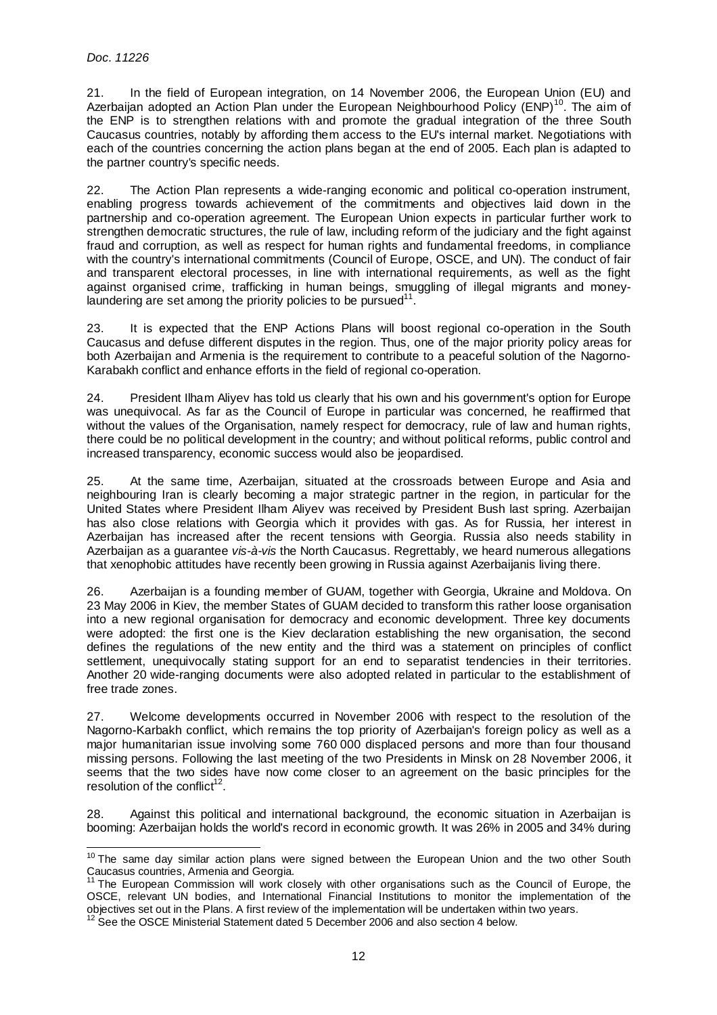l

21. In the field of European integration, on 14 November 2006, the European Union (EU) and Azerbaijan adopted an Action Plan under the European Neighbourhood Policy (ENP)<sup>10</sup>. The aim of the ENP is to strengthen relations with and promote the gradual integration of the three South Caucasus countries, notably by affording them access to the EU's internal market. Negotiations with each of the countries concerning the action plans began at the end of 2005. Each plan is adapted to the partner country's specific needs.

22. The Action Plan represents a wide-ranging economic and political co-operation instrument, enabling progress towards achievement of the commitments and objectives laid down in the partnership and co-operation agreement. The European Union expects in particular further work to strengthen democratic structures, the rule of law, including reform of the judiciary and the fight against fraud and corruption, as well as respect for human rights and fundamental freedoms, in compliance with the country's international commitments (Council of Europe, OSCE, and UN). The conduct of fair and transparent electoral processes, in line with international requirements, as well as the fight against organised crime, trafficking in human beings, smuggling of illegal migrants and moneylaundering are set among the priority policies to be pursued $11$ .

23. It is expected that the ENP Actions Plans will boost regional co-operation in the South Caucasus and defuse different disputes in the region. Thus, one of the major priority policy areas for both Azerbaijan and Armenia is the requirement to contribute to a peaceful solution of the Nagorno-Karabakh conflict and enhance efforts in the field of regional co-operation.

24. President Ilham Aliyev has told us clearly that his own and his government's option for Europe was unequivocal. As far as the Council of Europe in particular was concerned, he reaffirmed that without the values of the Organisation, namely respect for democracy, rule of law and human rights, there could be no political development in the country; and without political reforms, public control and increased transparency, economic success would also be jeopardised.

25. At the same time, Azerbaijan, situated at the crossroads between Europe and Asia and neighbouring Iran is clearly becoming a major strategic partner in the region, in particular for the United States where President Ilham Aliyev was received by President Bush last spring. Azerbaijan has also close relations with Georgia which it provides with gas. As for Russia, her interest in Azerbaijan has increased after the recent tensions with Georgia. Russia also needs stability in Azerbaijan as a guarantee vis-à-vis the North Caucasus. Regrettably, we heard numerous allegations that xenophobic attitudes have recently been growing in Russia against Azerbaijanis living there.

26. Azerbaijan is a founding member of GUAM, together with Georgia, Ukraine and Moldova. On 23 May 2006 in Kiev, the member States of GUAM decided to transform this rather loose organisation into a new regional organisation for democracy and economic development. Three key documents were adopted: the first one is the Kiev declaration establishing the new organisation, the second defines the regulations of the new entity and the third was a statement on principles of conflict settlement, unequivocally stating support for an end to separatist tendencies in their territories. Another 20 wide-ranging documents were also adopted related in particular to the establishment of free trade zones.

27. Welcome developments occurred in November 2006 with respect to the resolution of the Nagorno-Karbakh conflict, which remains the top priority of Azerbaijan's foreign policy as well as a major humanitarian issue involving some 760 000 displaced persons and more than four thousand missing persons. Following the last meeting of the two Presidents in Minsk on 28 November 2006, it seems that the two sides have now come closer to an agreement on the basic principles for the resolution of the conflict $12$ .

28. Against this political and international background, the economic situation in Azerbaijan is booming: Azerbaijan holds the world's record in economic growth. It was 26% in 2005 and 34% during

 $10$  The same day similar action plans were signed between the European Union and the two other South Caucasus countries, Armenia and Georgia.

<sup>&</sup>lt;sup>11</sup> The European Commission will work closely with other organisations such as the Council of Europe, the OSCE, relevant UN bodies, and International Financial Institutions to monitor the implementation of the objectives set out in the Plans. A first review of the implementation will be undertaken within two years.

<sup>&</sup>lt;sup>12</sup> See the OSCE Ministerial Statement dated 5 December 2006 and also section 4 below.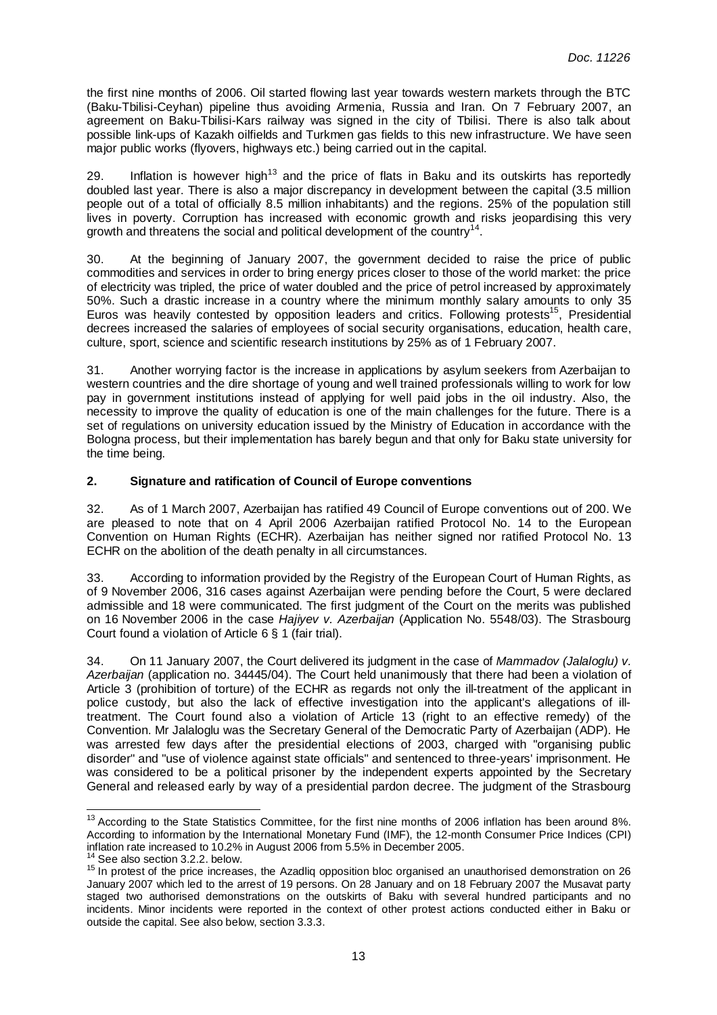the first nine months of 2006. Oil started flowing last year towards western markets through the BTC (Baku-Tbilisi-Ceyhan) pipeline thus avoiding Armenia, Russia and Iran. On 7 February 2007, an agreement on Baku-Tbilisi-Kars railway was signed in the city of Tbilisi. There is also talk about possible link-ups of Kazakh oilfields and Turkmen gas fields to this new infrastructure. We have seen major public works (flyovers, highways etc.) being carried out in the capital.

29. Inflation is however high<sup>13</sup> and the price of flats in Baku and its outskirts has reportedly doubled last year. There is also a major discrepancy in development between the capital (3.5 million people out of a total of officially 8.5 million inhabitants) and the regions. 25% of the population still lives in poverty. Corruption has increased with economic growth and risks jeopardising this very growth and threatens the social and political development of the country<sup>14</sup>.

30. At the beginning of January 2007, the government decided to raise the price of public commodities and services in order to bring energy prices closer to those of the world market: the price of electricity was tripled, the price of water doubled and the price of petrol increased by approximately 50%. Such a drastic increase in a country where the minimum monthly salary amounts to only 35 Euros was heavily contested by opposition leaders and critics. Following protests<sup>15</sup>, Presidential decrees increased the salaries of employees of social security organisations, education, health care, culture, sport, science and scientific research institutions by 25% as of 1 February 2007.

31. Another worrying factor is the increase in applications by asylum seekers from Azerbaijan to western countries and the dire shortage of young and well trained professionals willing to work for low pay in government institutions instead of applying for well paid jobs in the oil industry. Also, the necessity to improve the quality of education is one of the main challenges for the future. There is a set of regulations on university education issued by the Ministry of Education in accordance with the Bologna process, but their implementation has barely begun and that only for Baku state university for the time being.

# **2. Signature and ratification of Council of Europe conventions**

32. As of 1 March 2007, Azerbaijan has ratified 49 Council of Europe conventions out of 200. We are pleased to note that on 4 April 2006 Azerbaijan ratified Protocol No. 14 to the European Convention on Human Rights (ECHR). Azerbaijan has neither signed nor ratified Protocol No. 13 ECHR on the abolition of the death penalty in all circumstances.

33. According to information provided by the Registry of the European Court of Human Rights, as of 9 November 2006, 316 cases against Azerbaijan were pending before the Court, 5 were declared admissible and 18 were communicated. The first judgment of the Court on the merits was published on 16 November 2006 in the case Hajiyev v. Azerbaijan (Application No. 5548/03). The Strasbourg Court found a violation of Article 6 § 1 (fair trial).

34. On 11 January 2007, the Court delivered its judgment in the case of Mammadov (Jalaloglu) v. Azerbaijan (application no. 34445/04). The Court held unanimously that there had been a violation of Article 3 (prohibition of torture) of the ECHR as regards not only the ill-treatment of the applicant in police custody, but also the lack of effective investigation into the applicant's allegations of illtreatment. The Court found also a violation of Article 13 (right to an effective remedy) of the Convention. Mr Jalaloglu was the Secretary General of the Democratic Party of Azerbaijan (ADP). He was arrested few days after the presidential elections of 2003, charged with "organising public disorder" and "use of violence against state officials" and sentenced to three-years' imprisonment. He was considered to be a political prisoner by the independent experts appointed by the Secretary General and released early by way of a presidential pardon decree. The judgment of the Strasbourg

 $13$  According to the State Statistics Committee, for the first nine months of 2006 inflation has been around 8%. According to information by the International Monetary Fund (IMF), the 12-month Consumer Price Indices (CPI) inflation rate increased to 10.2% in August 2006 from 5.5% in December 2005.

<sup>&</sup>lt;sup>14</sup> See also section 3.2.2. below.

<sup>15</sup> In protest of the price increases, the Azadliq opposition bloc organised an unauthorised demonstration on 26 January 2007 which led to the arrest of 19 persons. On 28 January and on 18 February 2007 the Musavat party staged two authorised demonstrations on the outskirts of Baku with several hundred participants and no incidents. Minor incidents were reported in the context of other protest actions conducted either in Baku or outside the capital. See also below, section 3.3.3.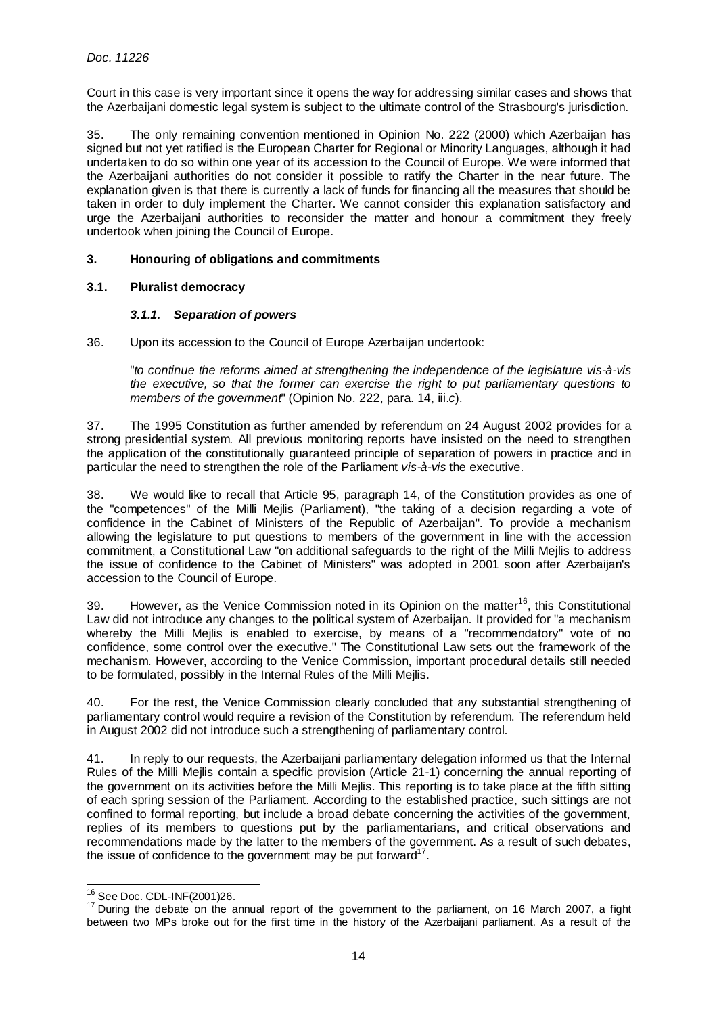Court in this case is very important since it opens the way for addressing similar cases and shows that the Azerbaijani domestic legal system is subject to the ultimate control of the Strasbourg's jurisdiction.

35. The only remaining convention mentioned in Opinion No. 222 (2000) which Azerbaijan has signed but not yet ratified is the European Charter for Regional or Minority Languages, although it had undertaken to do so within one year of its accession to the Council of Europe. We were informed that the Azerbaijani authorities do not consider it possible to ratify the Charter in the near future. The explanation given is that there is currently a lack of funds for financing all the measures that should be taken in order to duly implement the Charter. We cannot consider this explanation satisfactory and urge the Azerbaijani authorities to reconsider the matter and honour a commitment they freely undertook when joining the Council of Europe.

# **3. Honouring of obligations and commitments**

# **3.1. Pluralist democracy**

#### **3.1.1. Separation of powers**

36. Upon its accession to the Council of Europe Azerbaijan undertook:

"to continue the reforms aimed at strengthening the independence of the legislature vis-à-vis the executive, so that the former can exercise the right to put parliamentary questions to members of the government" (Opinion No. 222, para. 14, iii.c).

37. The 1995 Constitution as further amended by referendum on 24 August 2002 provides for a strong presidential system. All previous monitoring reports have insisted on the need to strengthen the application of the constitutionally guaranteed principle of separation of powers in practice and in particular the need to strengthen the role of the Parliament vis-à-vis the executive.

38. We would like to recall that Article 95, paragraph 14, of the Constitution provides as one of the "competences" of the Milli Mejlis (Parliament), "the taking of a decision regarding a vote of confidence in the Cabinet of Ministers of the Republic of Azerbaijan". To provide a mechanism allowing the legislature to put questions to members of the government in line with the accession commitment, a Constitutional Law "on additional safeguards to the right of the Milli Mejlis to address the issue of confidence to the Cabinet of Ministers" was adopted in 2001 soon after Azerbaijan's accession to the Council of Europe.

39. However, as the Venice Commission noted in its Opinion on the matter<sup>16</sup>, this Constitutional Law did not introduce any changes to the political system of Azerbaijan. It provided for "a mechanism whereby the Milli Mejlis is enabled to exercise, by means of a "recommendatory" vote of no confidence, some control over the executive." The Constitutional Law sets out the framework of the mechanism. However, according to the Venice Commission, important procedural details still needed to be formulated, possibly in the Internal Rules of the Milli Mejlis.

40. For the rest, the Venice Commission clearly concluded that any substantial strengthening of parliamentary control would require a revision of the Constitution by referendum. The referendum held in August 2002 did not introduce such a strengthening of parliamentary control.

41. In reply to our requests, the Azerbaijani parliamentary delegation informed us that the Internal Rules of the Milli Mejlis contain a specific provision (Article 21-1) concerning the annual reporting of the government on its activities before the Milli Mejlis. This reporting is to take place at the fifth sitting of each spring session of the Parliament. According to the established practice, such sittings are not confined to formal reporting, but include a broad debate concerning the activities of the government, replies of its members to questions put by the parliamentarians, and critical observations and recommendations made by the latter to the members of the government. As a result of such debates, the issue of confidence to the government may be put forward<sup>17</sup>.

l <sup>16</sup> See Doc. CDL-INF(2001)26.

<sup>&</sup>lt;sup>17</sup> During the debate on the annual report of the government to the parliament, on 16 March 2007, a fight between two MPs broke out for the first time in the history of the Azerbaijani parliament. As a result of the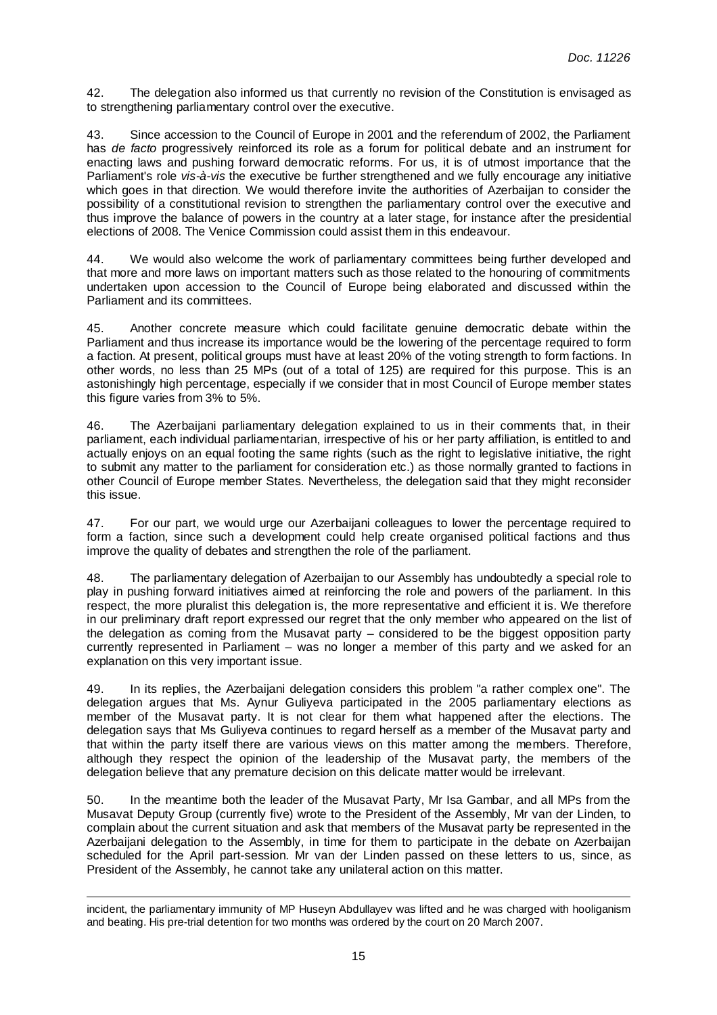42. The delegation also informed us that currently no revision of the Constitution is envisaged as to strengthening parliamentary control over the executive.

43. Since accession to the Council of Europe in 2001 and the referendum of 2002, the Parliament has *de facto* progressively reinforced its role as a forum for political debate and an instrument for enacting laws and pushing forward democratic reforms. For us, it is of utmost importance that the Parliament's role vis-à-vis the executive be further strengthened and we fully encourage any initiative which goes in that direction. We would therefore invite the authorities of Azerbaijan to consider the possibility of a constitutional revision to strengthen the parliamentary control over the executive and thus improve the balance of powers in the country at a later stage, for instance after the presidential elections of 2008. The Venice Commission could assist them in this endeavour.

44. We would also welcome the work of parliamentary committees being further developed and that more and more laws on important matters such as those related to the honouring of commitments undertaken upon accession to the Council of Europe being elaborated and discussed within the Parliament and its committees.

45. Another concrete measure which could facilitate genuine democratic debate within the Parliament and thus increase its importance would be the lowering of the percentage required to form a faction. At present, political groups must have at least 20% of the voting strength to form factions. In other words, no less than 25 MPs (out of a total of 125) are required for this purpose. This is an astonishingly high percentage, especially if we consider that in most Council of Europe member states this figure varies from 3% to 5%.

46. The Azerbaijani parliamentary delegation explained to us in their comments that, in their parliament, each individual parliamentarian, irrespective of his or her party affiliation, is entitled to and actually enjoys on an equal footing the same rights (such as the right to legislative initiative, the right to submit any matter to the parliament for consideration etc.) as those normally granted to factions in other Council of Europe member States. Nevertheless, the delegation said that they might reconsider this issue.

47. For our part, we would urge our Azerbaijani colleagues to lower the percentage required to form a faction, since such a development could help create organised political factions and thus improve the quality of debates and strengthen the role of the parliament.

48. The parliamentary delegation of Azerbaijan to our Assembly has undoubtedly a special role to play in pushing forward initiatives aimed at reinforcing the role and powers of the parliament. In this respect, the more pluralist this delegation is, the more representative and efficient it is. We therefore in our preliminary draft report expressed our regret that the only member who appeared on the list of the delegation as coming from the Musavat party – considered to be the biggest opposition party currently represented in Parliament – was no longer a member of this party and we asked for an explanation on this very important issue.

49. In its replies, the Azerbaijani delegation considers this problem "a rather complex one". The delegation argues that Ms. Aynur Guliyeva participated in the 2005 parliamentary elections as member of the Musavat party. It is not clear for them what happened after the elections. The delegation says that Ms Guliyeva continues to regard herself as a member of the Musavat party and that within the party itself there are various views on this matter among the members. Therefore, although they respect the opinion of the leadership of the Musavat party, the members of the delegation believe that any premature decision on this delicate matter would be irrelevant.

50. In the meantime both the leader of the Musavat Party, Mr Isa Gambar, and all MPs from the Musavat Deputy Group (currently five) wrote to the President of the Assembly, Mr van der Linden, to complain about the current situation and ask that members of the Musavat party be represented in the Azerbaijani delegation to the Assembly, in time for them to participate in the debate on Azerbaijan scheduled for the April part-session. Mr van der Linden passed on these letters to us, since, as President of the Assembly, he cannot take any unilateral action on this matter.

l incident, the parliamentary immunity of MP Huseyn Abdullayev was lifted and he was charged with hooliganism and beating. His pre-trial detention for two months was ordered by the court on 20 March 2007.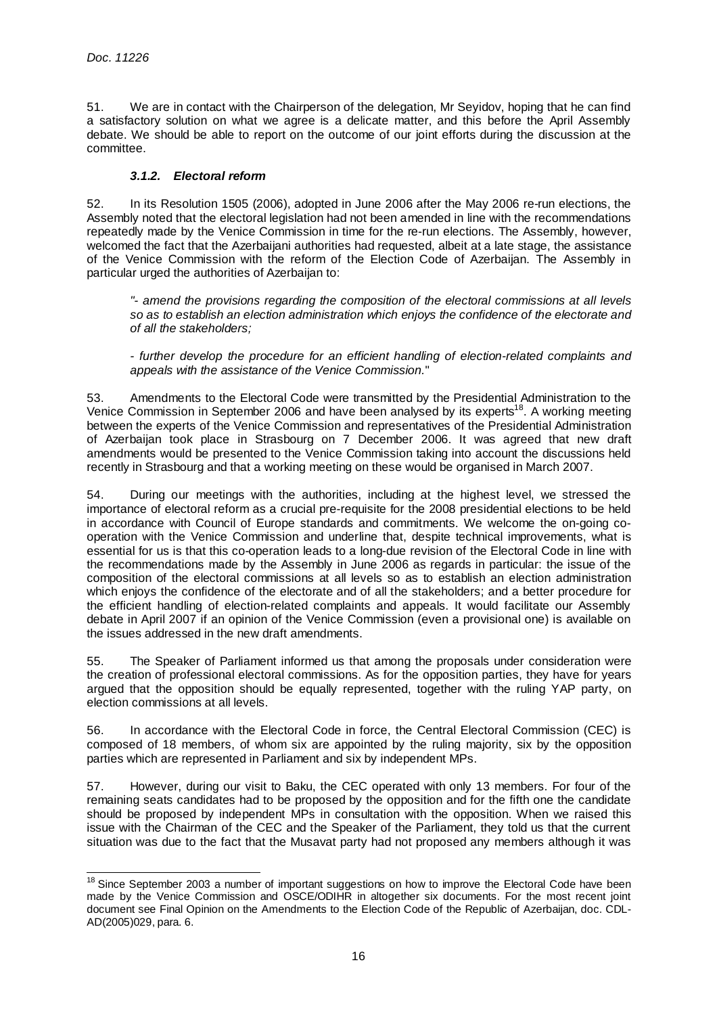l

51. We are in contact with the Chairperson of the delegation, Mr Seyidov, hoping that he can find a satisfactory solution on what we agree is a delicate matter, and this before the April Assembly debate. We should be able to report on the outcome of our joint efforts during the discussion at the committee.

# **3.1.2. Electoral reform**

52. In its Resolution 1505 (2006), adopted in June 2006 after the May 2006 re-run elections, the Assembly noted that the electoral legislation had not been amended in line with the recommendations repeatedly made by the Venice Commission in time for the re-run elections. The Assembly, however, welcomed the fact that the Azerbaijani authorities had requested, albeit at a late stage, the assistance of the Venice Commission with the reform of the Election Code of Azerbaijan. The Assembly in particular urged the authorities of Azerbaijan to:

"- amend the provisions regarding the composition of the electoral commissions at all levels so as to establish an election administration which enjoys the confidence of the electorate and of all the stakeholders;

- further develop the procedure for an efficient handling of election-related complaints and appeals with the assistance of the Venice Commission."

53. Amendments to the Electoral Code were transmitted by the Presidential Administration to the Venice Commission in September 2006 and have been analysed by its experts<sup>18</sup>. A working meeting between the experts of the Venice Commission and representatives of the Presidential Administration of Azerbaijan took place in Strasbourg on 7 December 2006. It was agreed that new draft amendments would be presented to the Venice Commission taking into account the discussions held recently in Strasbourg and that a working meeting on these would be organised in March 2007.

54. During our meetings with the authorities, including at the highest level, we stressed the importance of electoral reform as a crucial pre-requisite for the 2008 presidential elections to be held in accordance with Council of Europe standards and commitments. We welcome the on-going cooperation with the Venice Commission and underline that, despite technical improvements, what is essential for us is that this co-operation leads to a long-due revision of the Electoral Code in line with the recommendations made by the Assembly in June 2006 as regards in particular: the issue of the composition of the electoral commissions at all levels so as to establish an election administration which enjoys the confidence of the electorate and of all the stakeholders; and a better procedure for the efficient handling of election-related complaints and appeals. It would facilitate our Assembly debate in April 2007 if an opinion of the Venice Commission (even a provisional one) is available on the issues addressed in the new draft amendments.

55. The Speaker of Parliament informed us that among the proposals under consideration were the creation of professional electoral commissions. As for the opposition parties, they have for years argued that the opposition should be equally represented, together with the ruling YAP party, on election commissions at all levels.

56. In accordance with the Electoral Code in force, the Central Electoral Commission (CEC) is composed of 18 members, of whom six are appointed by the ruling majority, six by the opposition parties which are represented in Parliament and six by independent MPs.

57. However, during our visit to Baku, the CEC operated with only 13 members. For four of the remaining seats candidates had to be proposed by the opposition and for the fifth one the candidate should be proposed by independent MPs in consultation with the opposition. When we raised this issue with the Chairman of the CEC and the Speaker of the Parliament, they told us that the current situation was due to the fact that the Musavat party had not proposed any members although it was

<sup>&</sup>lt;sup>18</sup> Since September 2003 a number of important suggestions on how to improve the Electoral Code have been made by the Venice Commission and OSCE/ODIHR in altogether six documents. For the most recent joint document see Final Opinion on the Amendments to the Election Code of the Republic of Azerbaijan, doc. CDL-AD(2005)029, para. 6.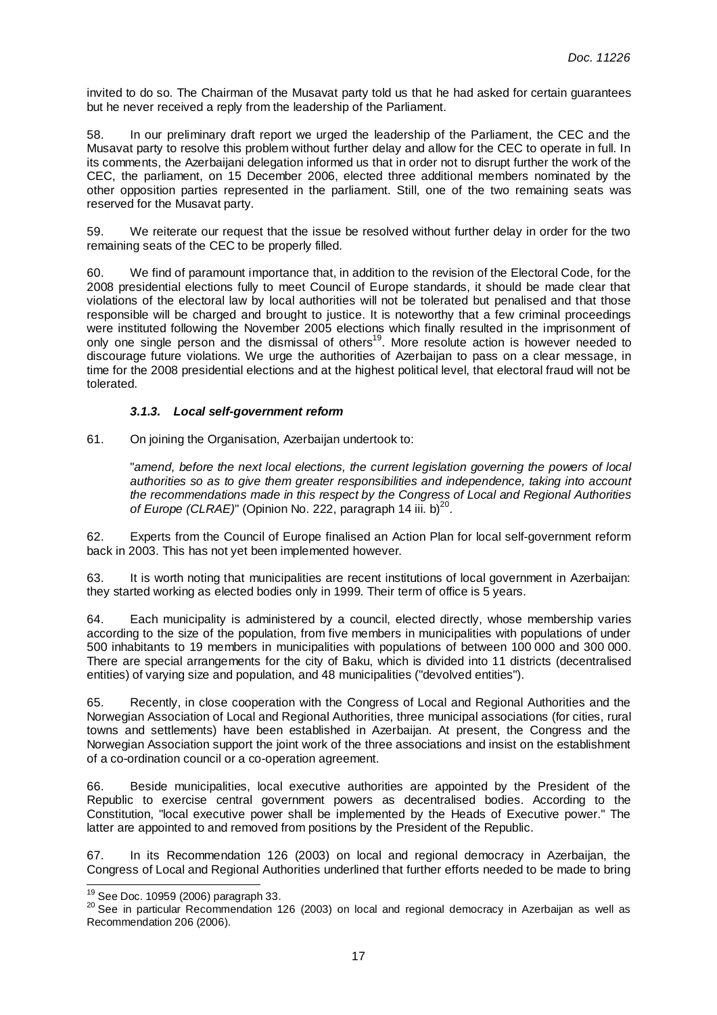invited to do so. The Chairman of the Musavat party told us that he had asked for certain guarantees but he never received a reply from the leadership of the Parliament.

58. In our preliminary draft report we urged the leadership of the Parliament, the CEC and the Musavat party to resolve this problem without further delay and allow for the CEC to operate in full. In its comments, the Azerbaijani delegation informed us that in order not to disrupt further the work of the CEC, the parliament, on 15 December 2006, elected three additional members nominated by the other opposition parties represented in the parliament. Still, one of the two remaining seats was reserved for the Musavat party.

59. We reiterate our request that the issue be resolved without further delay in order for the two remaining seats of the CEC to be properly filled.

60. We find of paramount importance that, in addition to the revision of the Electoral Code, for the 2008 presidential elections fully to meet Council of Europe standards, it should be made clear that violations of the electoral law by local authorities will not be tolerated but penalised and that those responsible will be charged and brought to justice. It is noteworthy that a few criminal proceedings were instituted following the November 2005 elections which finally resulted in the imprisonment of only one single person and the dismissal of others<sup>19</sup>. More resolute action is however needed to discourage future violations. We urge the authorities of Azerbaijan to pass on a clear message, in time for the 2008 presidential elections and at the highest political level, that electoral fraud will not be tolerated.

# **3.1.3. Local self-government reform**

61. On joining the Organisation, Azerbaijan undertook to:

"amend, before the next local elections, the current legislation governing the powers of local authorities so as to give them greater responsibilities and independence, taking into account the recommendations made in this respect by the Congress of Local and Regional Authorities of Europe (CLRAE)" (Opinion No. 222, paragraph 14 iii. b)<sup>20</sup>.

62. Experts from the Council of Europe finalised an Action Plan for local self-government reform back in 2003. This has not yet been implemented however.

63. It is worth noting that municipalities are recent institutions of local government in Azerbaijan: they started working as elected bodies only in 1999. Their term of office is 5 years.

64. Each municipality is administered by a council, elected directly, whose membership varies according to the size of the population, from five members in municipalities with populations of under 500 inhabitants to 19 members in municipalities with populations of between 100 000 and 300 000. There are special arrangements for the city of Baku, which is divided into 11 districts (decentralised entities) of varying size and population, and 48 municipalities ("devolved entities").

65. Recently, in close cooperation with the Congress of Local and Regional Authorities and the Norwegian Association of Local and Regional Authorities, three municipal associations (for cities, rural towns and settlements) have been established in Azerbaijan. At present, the Congress and the Norwegian Association support the joint work of the three associations and insist on the establishment of a co-ordination council or a co-operation agreement.

66. Beside municipalities, local executive authorities are appointed by the President of the Republic to exercise central government powers as decentralised bodies. According to the Constitution, "local executive power shall be implemented by the Heads of Executive power." The latter are appointed to and removed from positions by the President of the Republic.

67. In its Recommendation 126 (2003) on local and regional democracy in Azerbaijan, the Congress of Local and Regional Authorities underlined that further efforts needed to be made to bring

l <sup>19</sup> See Doc. 10959 (2006) paragraph 33.

<sup>&</sup>lt;sup>20</sup> See in particular Recommendation 126 (2003) on local and regional democracy in Azerbaijan as well as Recommendation 206 (2006).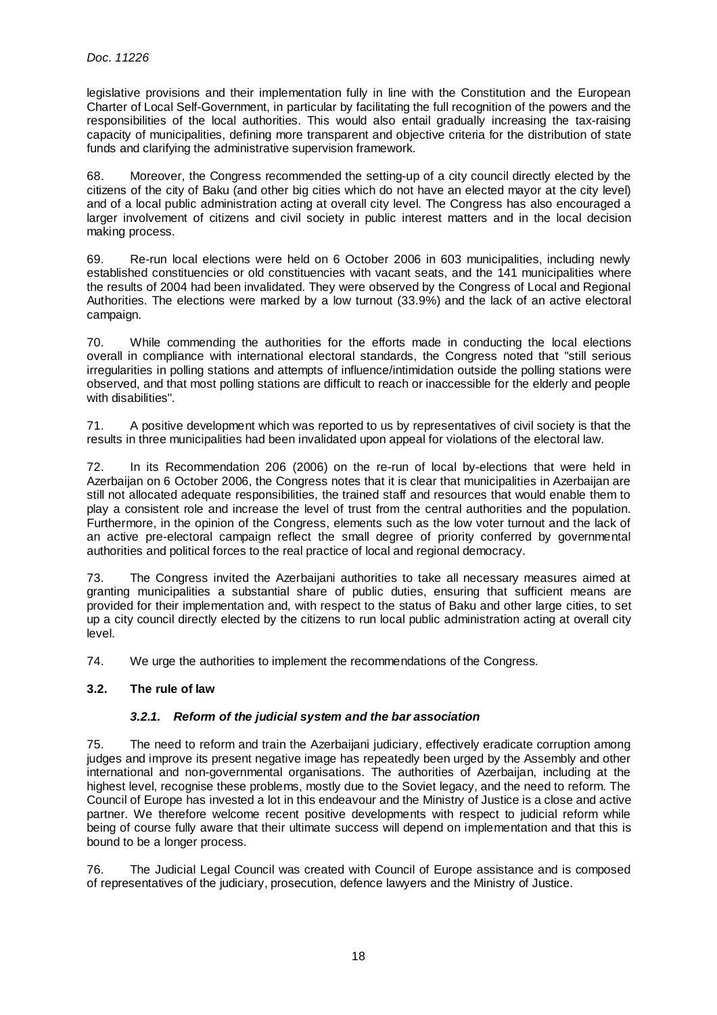legislative provisions and their implementation fully in line with the Constitution and the European Charter of Local Self-Government, in particular by facilitating the full recognition of the powers and the responsibilities of the local authorities. This would also entail gradually increasing the tax-raising capacity of municipalities, defining more transparent and objective criteria for the distribution of state funds and clarifying the administrative supervision framework.

68. Moreover, the Congress recommended the setting-up of a city council directly elected by the citizens of the city of Baku (and other big cities which do not have an elected mayor at the city level) and of a local public administration acting at overall city level. The Congress has also encouraged a larger involvement of citizens and civil society in public interest matters and in the local decision making process.

69. Re-run local elections were held on 6 October 2006 in 603 municipalities, including newly established constituencies or old constituencies with vacant seats, and the 141 municipalities where the results of 2004 had been invalidated. They were observed by the Congress of Local and Regional Authorities. The elections were marked by a low turnout (33.9%) and the lack of an active electoral campaign.

70. While commending the authorities for the efforts made in conducting the local elections overall in compliance with international electoral standards, the Congress noted that "still serious irregularities in polling stations and attempts of influence/intimidation outside the polling stations were observed, and that most polling stations are difficult to reach or inaccessible for the elderly and people with disabilities".

71. A positive development which was reported to us by representatives of civil society is that the results in three municipalities had been invalidated upon appeal for violations of the electoral law.

72. In its Recommendation 206 (2006) on the re-run of local by-elections that were held in Azerbaijan on 6 October 2006, the Congress notes that it is clear that municipalities in Azerbaijan are still not allocated adequate responsibilities, the trained staff and resources that would enable them to play a consistent role and increase the level of trust from the central authorities and the population. Furthermore, in the opinion of the Congress, elements such as the low voter turnout and the lack of an active pre-electoral campaign reflect the small degree of priority conferred by governmental authorities and political forces to the real practice of local and regional democracy.

73. The Congress invited the Azerbaijani authorities to take all necessary measures aimed at granting municipalities a substantial share of public duties, ensuring that sufficient means are provided for their implementation and, with respect to the status of Baku and other large cities, to set up a city council directly elected by the citizens to run local public administration acting at overall city level.

74. We urge the authorities to implement the recommendations of the Congress.

# **3.2. The rule of law**

# **3.2.1. Reform of the judicial system and the bar association**

75. The need to reform and train the Azerbaijani judiciary, effectively eradicate corruption among judges and improve its present negative image has repeatedly been urged by the Assembly and other international and non-governmental organisations. The authorities of Azerbaijan, including at the highest level, recognise these problems, mostly due to the Soviet legacy, and the need to reform. The Council of Europe has invested a lot in this endeavour and the Ministry of Justice is a close and active partner. We therefore welcome recent positive developments with respect to judicial reform while being of course fully aware that their ultimate success will depend on implementation and that this is bound to be a longer process.

76. The Judicial Legal Council was created with Council of Europe assistance and is composed of representatives of the judiciary, prosecution, defence lawyers and the Ministry of Justice.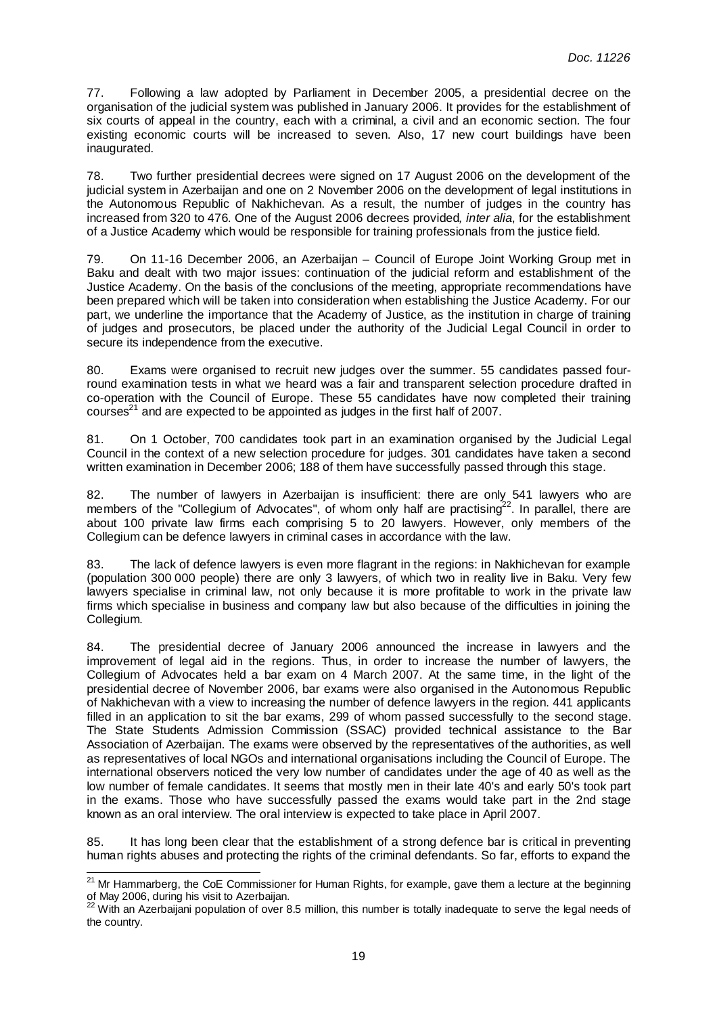77. Following a law adopted by Parliament in December 2005, a presidential decree on the organisation of the judicial system was published in January 2006. It provides for the establishment of six courts of appeal in the country, each with a criminal, a civil and an economic section. The four existing economic courts will be increased to seven. Also, 17 new court buildings have been inaugurated.

78. Two further presidential decrees were signed on 17 August 2006 on the development of the judicial system in Azerbaijan and one on 2 November 2006 on the development of legal institutions in the Autonomous Republic of Nakhichevan. As a result, the number of judges in the country has increased from 320 to 476. One of the August 2006 decrees provided, *inter alia*, for the establishment of a Justice Academy which would be responsible for training professionals from the justice field.

79. On 11-16 December 2006, an Azerbaijan – Council of Europe Joint Working Group met in Baku and dealt with two major issues: continuation of the judicial reform and establishment of the Justice Academy. On the basis of the conclusions of the meeting, appropriate recommendations have been prepared which will be taken into consideration when establishing the Justice Academy. For our part, we underline the importance that the Academy of Justice, as the institution in charge of training of judges and prosecutors, be placed under the authority of the Judicial Legal Council in order to secure its independence from the executive.

80. Exams were organised to recruit new judges over the summer. 55 candidates passed fourround examination tests in what we heard was a fair and transparent selection procedure drafted in co-operation with the Council of Europe. These 55 candidates have now completed their training courses $^{21}$  and are expected to be appointed as judges in the first half of 2007.

81. On 1 October, 700 candidates took part in an examination organised by the Judicial Legal Council in the context of a new selection procedure for judges. 301 candidates have taken a second written examination in December 2006; 188 of them have successfully passed through this stage.

82. The number of lawyers in Azerbaijan is insufficient: there are only 541 lawyers who are members of the "Collegium of Advocates", of whom only half are practising<sup>22</sup>. In parallel, there are about 100 private law firms each comprising 5 to 20 lawyers. However, only members of the Collegium can be defence lawyers in criminal cases in accordance with the law.

83. The lack of defence lawyers is even more flagrant in the regions: in Nakhichevan for example (population 300 000 people) there are only 3 lawyers, of which two in reality live in Baku. Very few lawyers specialise in criminal law, not only because it is more profitable to work in the private law firms which specialise in business and company law but also because of the difficulties in joining the Collegium.

84. The presidential decree of January 2006 announced the increase in lawyers and the improvement of legal aid in the regions. Thus, in order to increase the number of lawyers, the Collegium of Advocates held a bar exam on 4 March 2007. At the same time, in the light of the presidential decree of November 2006, bar exams were also organised in the Autonomous Republic of Nakhichevan with a view to increasing the number of defence lawyers in the region. 441 applicants filled in an application to sit the bar exams, 299 of whom passed successfully to the second stage. The State Students Admission Commission (SSAC) provided technical assistance to the Bar Association of Azerbaijan. The exams were observed by the representatives of the authorities, as well as representatives of local NGOs and international organisations including the Council of Europe. The international observers noticed the very low number of candidates under the age of 40 as well as the low number of female candidates. It seems that mostly men in their late 40's and early 50's took part in the exams. Those who have successfully passed the exams would take part in the 2nd stage known as an oral interview. The oral interview is expected to take place in April 2007.

85. It has long been clear that the establishment of a strong defence bar is critical in preventing human rights abuses and protecting the rights of the criminal defendants. So far, efforts to expand the

<sup>&</sup>lt;sup>21</sup> Mr Hammarberg, the CoE Commissioner for Human Rights, for example, gave them a lecture at the beginning of May 2006, during his visit to Azerbaijan.

 $22$  With an Azerbaijani population of over 8.5 million, this number is totally inadequate to serve the legal needs of the country.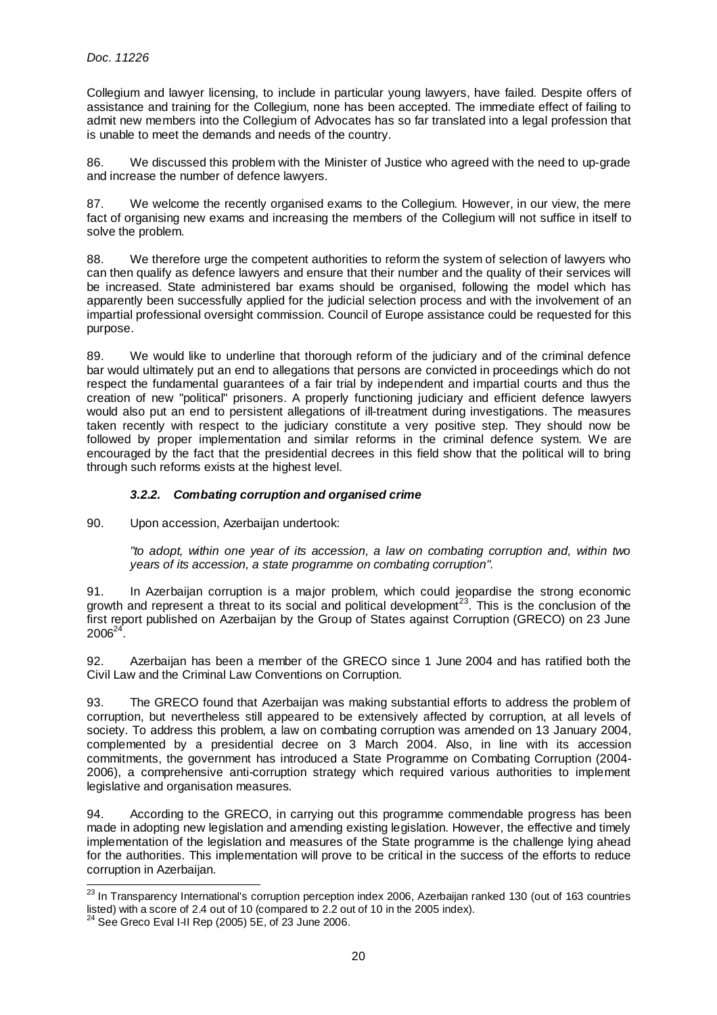Collegium and lawyer licensing, to include in particular young lawyers, have failed. Despite offers of assistance and training for the Collegium, none has been accepted. The immediate effect of failing to admit new members into the Collegium of Advocates has so far translated into a legal profession that is unable to meet the demands and needs of the country.

86. We discussed this problem with the Minister of Justice who agreed with the need to up-grade and increase the number of defence lawyers.

87. We welcome the recently organised exams to the Collegium. However, in our view, the mere fact of organising new exams and increasing the members of the Collegium will not suffice in itself to solve the problem.

88. We therefore urge the competent authorities to reform the system of selection of lawyers who can then qualify as defence lawyers and ensure that their number and the quality of their services will be increased. State administered bar exams should be organised, following the model which has apparently been successfully applied for the judicial selection process and with the involvement of an impartial professional oversight commission. Council of Europe assistance could be requested for this purpose.

89. We would like to underline that thorough reform of the judiciary and of the criminal defence bar would ultimately put an end to allegations that persons are convicted in proceedings which do not respect the fundamental guarantees of a fair trial by independent and impartial courts and thus the creation of new "political" prisoners. A properly functioning judiciary and efficient defence lawyers would also put an end to persistent allegations of ill-treatment during investigations. The measures taken recently with respect to the judiciary constitute a very positive step. They should now be followed by proper implementation and similar reforms in the criminal defence system. We are encouraged by the fact that the presidential decrees in this field show that the political will to bring through such reforms exists at the highest level.

# **3.2.2. Combating corruption and organised crime**

90. Upon accession, Azerbaijan undertook:

"to adopt, within one year of its accession, a law on combating corruption and, within two years of its accession, a state programme on combating corruption".

91. In Azerbaijan corruption is a major problem, which could jeopardise the strong economic growth and represent a threat to its social and political development<sup>23</sup>. This is the conclusion of the first report published on Azerbaijan by the Group of States against Corruption (GRECO) on 23 June  $2006^{24}$ .

92. Azerbaijan has been a member of the GRECO since 1 June 2004 and has ratified both the Civil Law and the Criminal Law Conventions on Corruption.

93. The GRECO found that Azerbaijan was making substantial efforts to address the problem of corruption, but nevertheless still appeared to be extensively affected by corruption, at all levels of society. To address this problem, a law on combating corruption was amended on 13 January 2004, complemented by a presidential decree on 3 March 2004. Also, in line with its accession commitments, the government has introduced a State Programme on Combating Corruption (2004- 2006), a comprehensive anti-corruption strategy which required various authorities to implement legislative and organisation measures.

94. According to the GRECO, in carrying out this programme commendable progress has been made in adopting new legislation and amending existing legislation. However, the effective and timely implementation of the legislation and measures of the State programme is the challenge lying ahead for the authorities. This implementation will prove to be critical in the success of the efforts to reduce corruption in Azerbaijan.

l  $^{23}$  In Transparency International's corruption perception index 2006, Azerbaijan ranked 130 (out of 163 countries listed) with a score of 2.4 out of 10 (compared to 2.2 out of 10 in the 2005 index).

 $24$  See Greco Eval I-II Rep (2005) 5E, of 23 June 2006.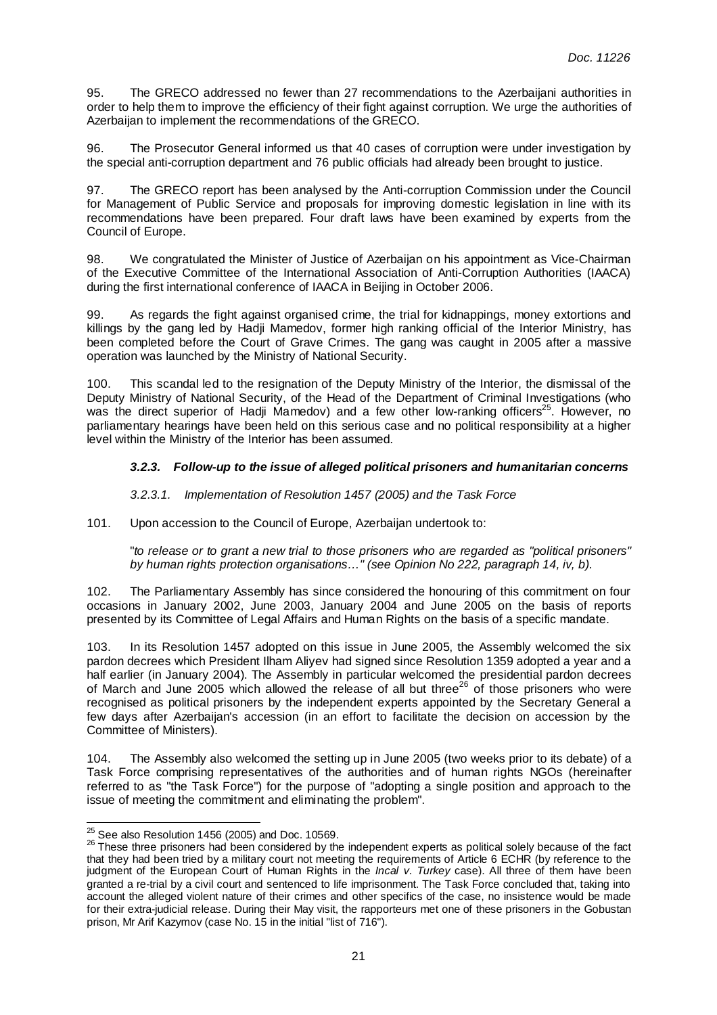95. The GRECO addressed no fewer than 27 recommendations to the Azerbaijani authorities in order to help them to improve the efficiency of their fight against corruption. We urge the authorities of Azerbaijan to implement the recommendations of the GRECO.

96. The Prosecutor General informed us that 40 cases of corruption were under investigation by the special anti-corruption department and 76 public officials had already been brought to justice.

97. The GRECO report has been analysed by the Anti-corruption Commission under the Council for Management of Public Service and proposals for improving domestic legislation in line with its recommendations have been prepared. Four draft laws have been examined by experts from the Council of Europe.

98. We congratulated the Minister of Justice of Azerbaijan on his appointment as Vice-Chairman of the Executive Committee of the International Association of Anti-Corruption Authorities (IAACA) during the first international conference of IAACA in Beijing in October 2006.

99. As regards the fight against organised crime, the trial for kidnappings, money extortions and killings by the gang led by Hadji Mamedov, former high ranking official of the Interior Ministry, has been completed before the Court of Grave Crimes. The gang was caught in 2005 after a massive operation was launched by the Ministry of National Security.

100. This scandal led to the resignation of the Deputy Ministry of the Interior, the dismissal of the Deputy Ministry of National Security, of the Head of the Department of Criminal Investigations (who was the direct superior of Hadji Mamedov) and a few other low-ranking officers<sup>25</sup>. However, no parliamentary hearings have been held on this serious case and no political responsibility at a higher level within the Ministry of the Interior has been assumed.

# **3.2.3. Follow-up to the issue of alleged political prisoners and humanitarian concerns**

3.2.3.1. Implementation of Resolution 1457 (2005) and the Task Force

101. Upon accession to the Council of Europe, Azerbaijan undertook to:

"to release or to grant a new trial to those prisoners who are regarded as "political prisoners" by human rights protection organisations…" (see Opinion No 222, paragraph 14, iv, b).

102. The Parliamentary Assembly has since considered the honouring of this commitment on four occasions in January 2002, June 2003, January 2004 and June 2005 on the basis of reports presented by its Committee of Legal Affairs and Human Rights on the basis of a specific mandate.

103. In its Resolution 1457 adopted on this issue in June 2005, the Assembly welcomed the six pardon decrees which President Ilham Aliyev had signed since Resolution 1359 adopted a year and a half earlier (in January 2004). The Assembly in particular welcomed the presidential pardon decrees of March and June 2005 which allowed the release of all but three<sup>26</sup> of those prisoners who were recognised as political prisoners by the independent experts appointed by the Secretary General a few days after Azerbaijan's accession (in an effort to facilitate the decision on accession by the Committee of Ministers).

104. The Assembly also welcomed the setting up in June 2005 (two weeks prior to its debate) of a Task Force comprising representatives of the authorities and of human rights NGOs (hereinafter referred to as "the Task Force") for the purpose of "adopting a single position and approach to the issue of meeting the commitment and eliminating the problem".

l  $^{25}$  See also Resolution 1456 (2005) and Doc. 10569.

<sup>26</sup> These three prisoners had been considered by the independent experts as political solely because of the fact that they had been tried by a military court not meeting the requirements of Article 6 ECHR (by reference to the judgment of the European Court of Human Rights in the *Incal v. Turkey* case). All three of them have been granted a re-trial by a civil court and sentenced to life imprisonment. The Task Force concluded that, taking into account the alleged violent nature of their crimes and other specifics of the case, no insistence would be made for their extra-judicial release. During their May visit, the rapporteurs met one of these prisoners in the Gobustan prison, Mr Arif Kazymov (case No. 15 in the initial "list of 716").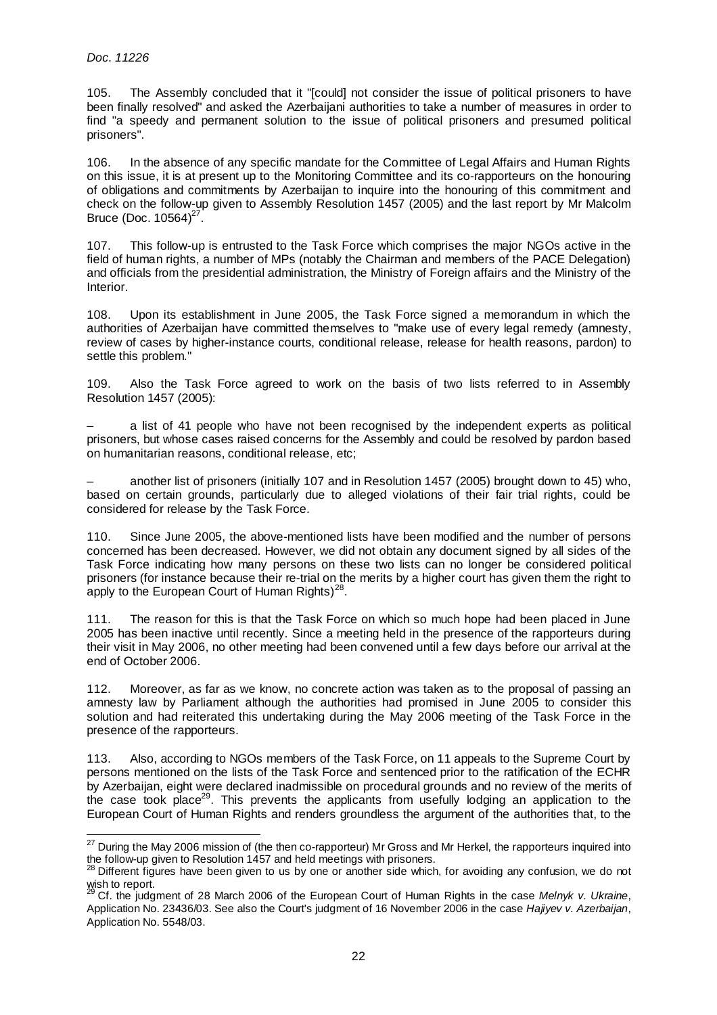105. The Assembly concluded that it "[could] not consider the issue of political prisoners to have been finally resolved" and asked the Azerbaijani authorities to take a number of measures in order to find "a speedy and permanent solution to the issue of political prisoners and presumed political prisoners".

106. In the absence of any specific mandate for the Committee of Legal Affairs and Human Rights on this issue, it is at present up to the Monitoring Committee and its co-rapporteurs on the honouring of obligations and commitments by Azerbaijan to inquire into the honouring of this commitment and check on the follow-up given to Assembly Resolution 1457 (2005) and the last report by Mr Malcolm Bruce (Doc.  $10564)^{27}$ .

107. This follow-up is entrusted to the Task Force which comprises the major NGOs active in the field of human rights, a number of MPs (notably the Chairman and members of the PACE Delegation) and officials from the presidential administration, the Ministry of Foreign affairs and the Ministry of the Interior.

108. Upon its establishment in June 2005, the Task Force signed a memorandum in which the authorities of Azerbaijan have committed themselves to "make use of every legal remedy (amnesty, review of cases by higher-instance courts, conditional release, release for health reasons, pardon) to settle this problem."

109. Also the Task Force agreed to work on the basis of two lists referred to in Assembly Resolution 1457 (2005):

– a list of 41 people who have not been recognised by the independent experts as political prisoners, but whose cases raised concerns for the Assembly and could be resolved by pardon based on humanitarian reasons, conditional release, etc;

– another list of prisoners (initially 107 and in Resolution 1457 (2005) brought down to 45) who, based on certain grounds, particularly due to alleged violations of their fair trial rights, could be considered for release by the Task Force.

110. Since June 2005, the above-mentioned lists have been modified and the number of persons concerned has been decreased. However, we did not obtain any document signed by all sides of the Task Force indicating how many persons on these two lists can no longer be considered political prisoners (for instance because their re-trial on the merits by a higher court has given them the right to apply to the European Court of Human Rights) $^{28}$ .

111. The reason for this is that the Task Force on which so much hope had been placed in June 2005 has been inactive until recently. Since a meeting held in the presence of the rapporteurs during their visit in May 2006, no other meeting had been convened until a few days before our arrival at the end of October 2006.

112. Moreover, as far as we know, no concrete action was taken as to the proposal of passing an amnesty law by Parliament although the authorities had promised in June 2005 to consider this solution and had reiterated this undertaking during the May 2006 meeting of the Task Force in the presence of the rapporteurs.

113. Also, according to NGOs members of the Task Force, on 11 appeals to the Supreme Court by persons mentioned on the lists of the Task Force and sentenced prior to the ratification of the ECHR by Azerbaijan, eight were declared inadmissible on procedural grounds and no review of the merits of the case took place<sup>29</sup>. This prevents the applicants from usefully lodging an application to the European Court of Human Rights and renders groundless the argument of the authorities that, to the

l  $^{27}$  During the May 2006 mission of (the then co-rapporteur) Mr Gross and Mr Herkel, the rapporteurs inquired into the follow-up given to Resolution 1457 and held meetings with prisoners.

<sup>&</sup>lt;sup>28</sup> Different figures have been given to us by one or another side which, for avoiding any confusion, we do not wish to report.<br><sup>29</sup> Cf. the judgment of 28 March 2006 of the European Court of Human Rights in the case *Melnyk v. Ukraine*,

Application No. 23436/03. See also the Court's judgment of 16 November 2006 in the case Hajiyev v. Azerbaijan, Application No. 5548/03.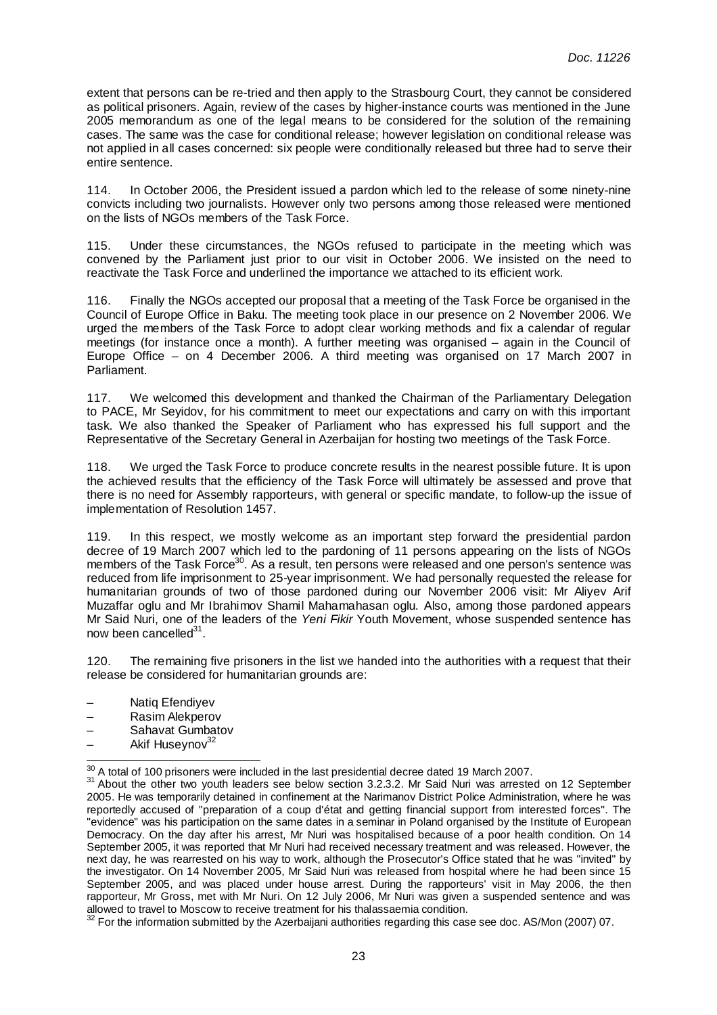extent that persons can be re-tried and then apply to the Strasbourg Court, they cannot be considered as political prisoners. Again, review of the cases by higher-instance courts was mentioned in the June 2005 memorandum as one of the legal means to be considered for the solution of the remaining cases. The same was the case for conditional release; however legislation on conditional release was not applied in all cases concerned: six people were conditionally released but three had to serve their entire sentence.

114. In October 2006, the President issued a pardon which led to the release of some ninety-nine convicts including two journalists. However only two persons among those released were mentioned on the lists of NGOs members of the Task Force.

115. Under these circumstances, the NGOs refused to participate in the meeting which was convened by the Parliament just prior to our visit in October 2006. We insisted on the need to reactivate the Task Force and underlined the importance we attached to its efficient work.

116. Finally the NGOs accepted our proposal that a meeting of the Task Force be organised in the Council of Europe Office in Baku. The meeting took place in our presence on 2 November 2006. We urged the members of the Task Force to adopt clear working methods and fix a calendar of regular meetings (for instance once a month). A further meeting was organised – again in the Council of Europe Office – on 4 December 2006. A third meeting was organised on 17 March 2007 in Parliament.

117. We welcomed this development and thanked the Chairman of the Parliamentary Delegation to PACE, Mr Seyidov, for his commitment to meet our expectations and carry on with this important task. We also thanked the Speaker of Parliament who has expressed his full support and the Representative of the Secretary General in Azerbaijan for hosting two meetings of the Task Force.

118. We urged the Task Force to produce concrete results in the nearest possible future. It is upon the achieved results that the efficiency of the Task Force will ultimately be assessed and prove that there is no need for Assembly rapporteurs, with general or specific mandate, to follow-up the issue of implementation of Resolution 1457.

119. In this respect, we mostly welcome as an important step forward the presidential pardon decree of 19 March 2007 which led to the pardoning of 11 persons appearing on the lists of NGOs members of the Task Force<sup>30</sup>. As a result, ten persons were released and one person's sentence was reduced from life imprisonment to 25-year imprisonment. We had personally requested the release for humanitarian grounds of two of those pardoned during our November 2006 visit: Mr Aliyev Arif Muzaffar oglu and Mr Ibrahimov Shamil Mahamahasan oglu. Also, among those pardoned appears Mr Said Nuri, one of the leaders of the Yeni Fikir Youth Movement, whose suspended sentence has now been cancelled<sup>31</sup>.

120. The remaining five prisoners in the list we handed into the authorities with a request that their release be considered for humanitarian grounds are:

- Natiq Efendiyev
- Rasim Alekperov
- Sahavat Gumbatov
- Akif Huseynov<sup>32</sup>

l  $\frac{30}{10}$  A total of 100 prisoners were included in the last presidential decree dated 19 March 2007.

<sup>&</sup>lt;sup>31</sup> About the other two youth leaders see below section 3.2.3.2. Mr Said Nuri was arrested on 12 September 2005. He was temporarily detained in confinement at the Narimanov District Police Administration, where he was reportedly accused of "preparation of a coup d'état and getting financial support from interested forces". The "evidence" was his participation on the same dates in a seminar in Poland organised by the Institute of European Democracy. On the day after his arrest, Mr Nuri was hospitalised because of a poor health condition. On 14 September 2005, it was reported that Mr Nuri had received necessary treatment and was released. However, the next day, he was rearrested on his way to work, although the Prosecutor's Office stated that he was "invited" by the investigator. On 14 November 2005, Mr Said Nuri was released from hospital where he had been since 15 September 2005, and was placed under house arrest. During the rapporteurs' visit in May 2006, the then rapporteur, Mr Gross, met with Mr Nuri. On 12 July 2006, Mr Nuri was given a suspended sentence and was allowed to travel to Moscow to receive treatment for his thalassaemia condition.

 $32$  For the information submitted by the Azerbaijani authorities regarding this case see doc. AS/Mon (2007) 07.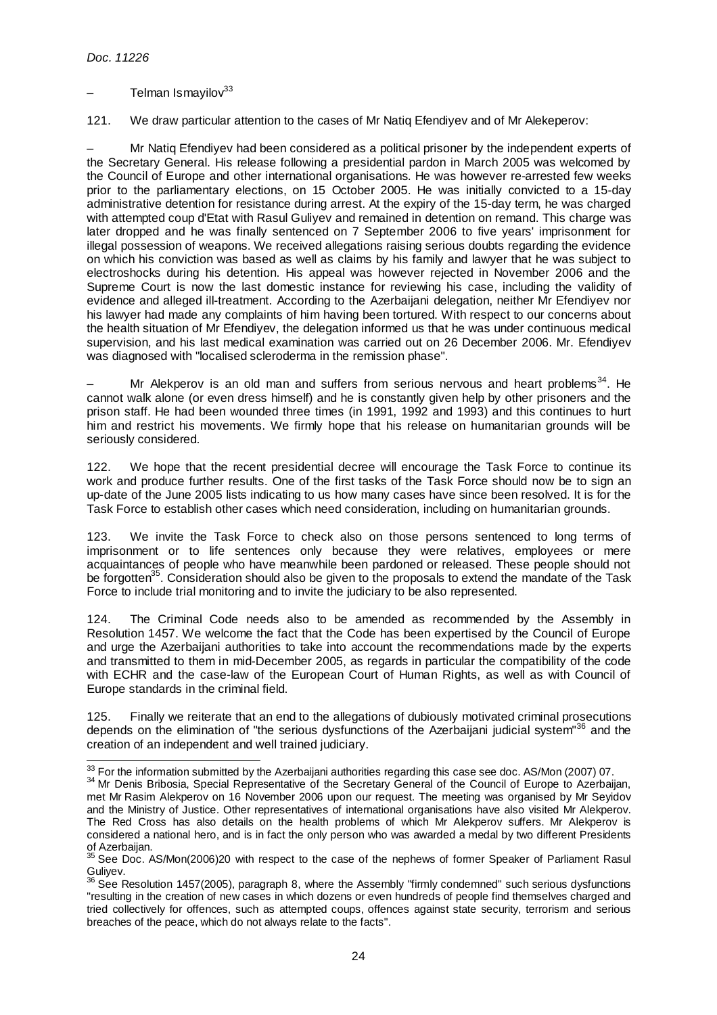l

# Telman Ismayilov<sup>33</sup>

121. We draw particular attention to the cases of Mr Natiq Efendiyev and of Mr Alekeperov:

– Mr Natiq Efendiyev had been considered as a political prisoner by the independent experts of the Secretary General. His release following a presidential pardon in March 2005 was welcomed by the Council of Europe and other international organisations. He was however re-arrested few weeks prior to the parliamentary elections, on 15 October 2005. He was initially convicted to a 15-day administrative detention for resistance during arrest. At the expiry of the 15-day term, he was charged with attempted coup d'Etat with Rasul Guliyev and remained in detention on remand. This charge was later dropped and he was finally sentenced on 7 September 2006 to five years' imprisonment for illegal possession of weapons. We received allegations raising serious doubts regarding the evidence on which his conviction was based as well as claims by his family and lawyer that he was subject to electroshocks during his detention. His appeal was however rejected in November 2006 and the Supreme Court is now the last domestic instance for reviewing his case, including the validity of evidence and alleged ill-treatment. According to the Azerbaijani delegation, neither Mr Efendiyev nor his lawyer had made any complaints of him having been tortured. With respect to our concerns about the health situation of Mr Efendiyev, the delegation informed us that he was under continuous medical supervision, and his last medical examination was carried out on 26 December 2006. Mr. Efendiyev was diagnosed with "localised scleroderma in the remission phase".

Mr Alekperov is an old man and suffers from serious nervous and heart problems<sup>34</sup>. He cannot walk alone (or even dress himself) and he is constantly given help by other prisoners and the prison staff. He had been wounded three times (in 1991, 1992 and 1993) and this continues to hurt him and restrict his movements. We firmly hope that his release on humanitarian grounds will be seriously considered.

122. We hope that the recent presidential decree will encourage the Task Force to continue its work and produce further results. One of the first tasks of the Task Force should now be to sign an up-date of the June 2005 lists indicating to us how many cases have since been resolved. It is for the Task Force to establish other cases which need consideration, including on humanitarian grounds.

123. We invite the Task Force to check also on those persons sentenced to long terms of imprisonment or to life sentences only because they were relatives, employees or mere acquaintances of people who have meanwhile been pardoned or released. These people should not be forgotten<sup>35</sup>. Consideration should also be given to the proposals to extend the mandate of the Task Force to include trial monitoring and to invite the judiciary to be also represented.

124. The Criminal Code needs also to be amended as recommended by the Assembly in Resolution 1457. We welcome the fact that the Code has been expertised by the Council of Europe and urge the Azerbaijani authorities to take into account the recommendations made by the experts and transmitted to them in mid-December 2005, as regards in particular the compatibility of the code with ECHR and the case-law of the European Court of Human Rights, as well as with Council of Europe standards in the criminal field.

125. Finally we reiterate that an end to the allegations of dubiously motivated criminal prosecutions depends on the elimination of "the serious dysfunctions of the Azerbaijani judicial system"<sup>36</sup> and the creation of an independent and well trained judiciary.

 $33$  For the information submitted by the Azerbaijani authorities regarding this case see doc. AS/Mon (2007) 07.

<sup>&</sup>lt;sup>34</sup> Mr Denis Bribosia, Special Representative of the Secretary General of the Council of Europe to Azerbaijan, met Mr Rasim Alekperov on 16 November 2006 upon our request. The meeting was organised by Mr Seyidov and the Ministry of Justice. Other representatives of international organisations have also visited Mr Alekperov. The Red Cross has also details on the health problems of which Mr Alekperov suffers. Mr Alekperov is considered a national hero, and is in fact the only person who was awarded a medal by two different Presidents of Azerbaijan.

 $35$  See Doc. AS/Mon(2006)20 with respect to the case of the nephews of former Speaker of Parliament Rasul Guliyev.

 $36$  See Resolution 1457(2005), paragraph 8, where the Assembly "firmly condemned" such serious dysfunctions "resulting in the creation of new cases in which dozens or even hundreds of people find themselves charged and tried collectively for offences, such as attempted coups, offences against state security, terrorism and serious breaches of the peace, which do not always relate to the facts".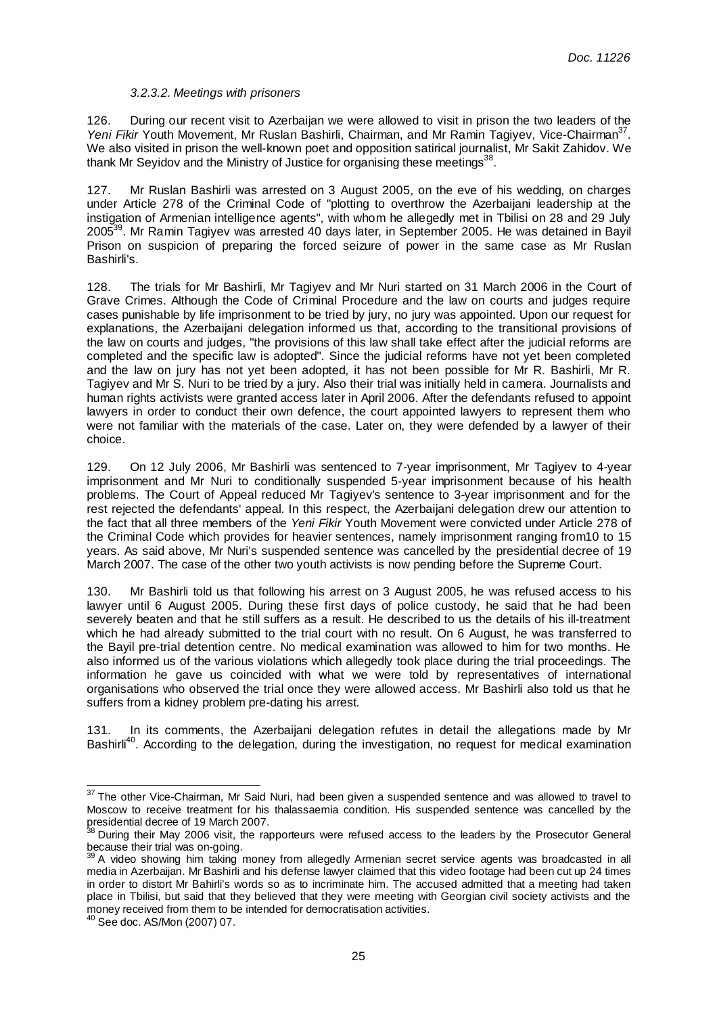# 3.2.3.2. Meetings with prisoners

126. During our recent visit to Azerbaijan we were allowed to visit in prison the two leaders of the Yeni Fikir Youth Movement, Mr Ruslan Bashirli, Chairman, and Mr Ramin Tagiyev, Vice-Chairman<sup>37</sup>. We also visited in prison the well-known poet and opposition satirical journalist, Mr Sakit Zahidov. We thank Mr Seyidov and the Ministry of Justice for organising these meetings<sup>38</sup>.

127. Mr Ruslan Bashirli was arrested on 3 August 2005, on the eve of his wedding, on charges under Article 278 of the Criminal Code of "plotting to overthrow the Azerbaijani leadership at the instigation of Armenian intelligence agents", with whom he allegedly met in Tbilisi on 28 and 29 July 2005<sup>39</sup>. Mr Ramin Tagiyev was arrested 40 days later, in September 2005. He was detained in Bayil Prison on suspicion of preparing the forced seizure of power in the same case as Mr Ruslan Bashirli's.

128. The trials for Mr Bashirli, Mr Tagiyev and Mr Nuri started on 31 March 2006 in the Court of Grave Crimes. Although the Code of Criminal Procedure and the law on courts and judges require cases punishable by life imprisonment to be tried by jury, no jury was appointed. Upon our request for explanations, the Azerbaijani delegation informed us that, according to the transitional provisions of the law on courts and judges, "the provisions of this law shall take effect after the judicial reforms are completed and the specific law is adopted". Since the judicial reforms have not yet been completed and the law on jury has not yet been adopted, it has not been possible for Mr R. Bashirli, Mr R. Tagiyev and Mr S. Nuri to be tried by a jury. Also their trial was initially held in camera. Journalists and human rights activists were granted access later in April 2006. After the defendants refused to appoint lawyers in order to conduct their own defence, the court appointed lawyers to represent them who were not familiar with the materials of the case. Later on, they were defended by a lawyer of their choice.

129. On 12 July 2006, Mr Bashirli was sentenced to 7-year imprisonment, Mr Tagiyev to 4-year imprisonment and Mr Nuri to conditionally suspended 5-year imprisonment because of his health problems. The Court of Appeal reduced Mr Tagiyev's sentence to 3-year imprisonment and for the rest rejected the defendants' appeal. In this respect, the Azerbaijani delegation drew our attention to the fact that all three members of the Yeni Fikir Youth Movement were convicted under Article 278 of the Criminal Code which provides for heavier sentences, namely imprisonment ranging from10 to 15 years. As said above, Mr Nuri's suspended sentence was cancelled by the presidential decree of 19 March 2007. The case of the other two youth activists is now pending before the Supreme Court.

130. Mr Bashirli told us that following his arrest on 3 August 2005, he was refused access to his lawyer until 6 August 2005. During these first days of police custody, he said that he had been severely beaten and that he still suffers as a result. He described to us the details of his ill-treatment which he had already submitted to the trial court with no result. On 6 August, he was transferred to the Bayil pre-trial detention centre. No medical examination was allowed to him for two months. He also informed us of the various violations which allegedly took place during the trial proceedings. The information he gave us coincided with what we were told by representatives of international organisations who observed the trial once they were allowed access. Mr Bashirli also told us that he suffers from a kidney problem pre-dating his arrest.

131. In its comments, the Azerbaijani delegation refutes in detail the allegations made by Mr Bashirli<sup>40</sup>. According to the delegation, during the investigation, no request for medical examination

 $37$  The other Vice-Chairman, Mr Said Nuri, had been given a suspended sentence and was allowed to travel to Moscow to receive treatment for his thalassaemia condition. His suspended sentence was cancelled by the presidential decree of 19 March 2007.

<sup>&</sup>lt;sup>38</sup> During their May 2006 visit, the rapporteurs were refused access to the leaders by the Prosecutor General because their trial was on-going.

 $39$  A video showing him taking money from allegedly Armenian secret service agents was broadcasted in all media in Azerbaijan. Mr Bashirli and his defense lawyer claimed that this video footage had been cut up 24 times in order to distort Mr Bahirli's words so as to incriminate him. The accused admitted that a meeting had taken place in Tbilisi, but said that they believed that they were meeting with Georgian civil society activists and the money received from them to be intended for democratisation activities.

<sup>40</sup> See doc. AS/Mon (2007) 07.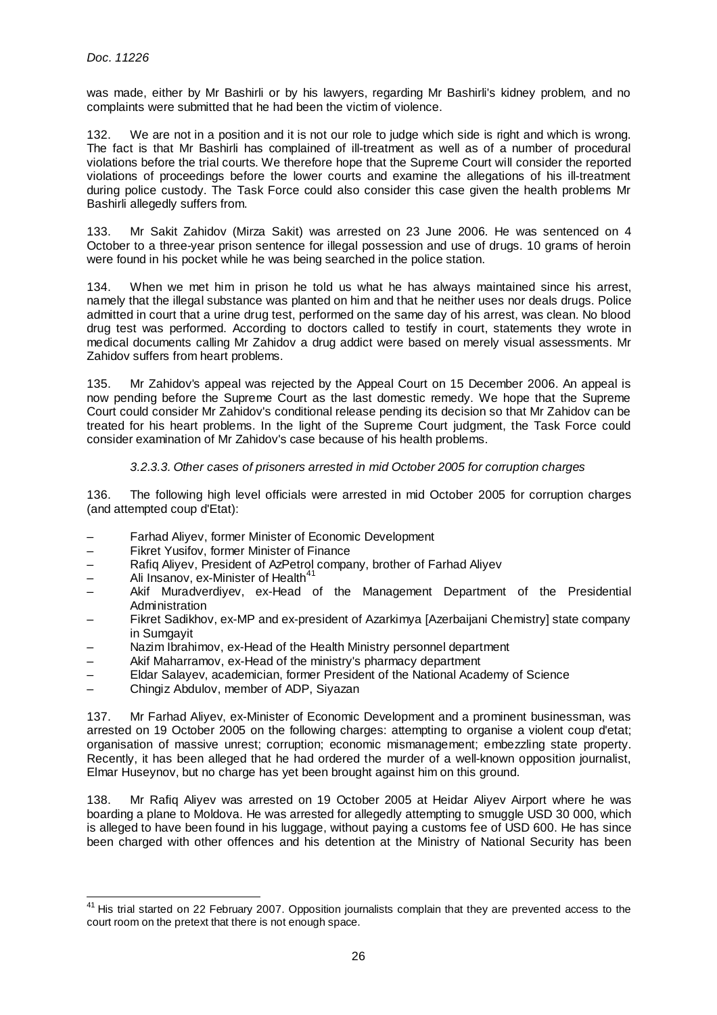was made, either by Mr Bashirli or by his lawyers, regarding Mr Bashirli's kidney problem, and no complaints were submitted that he had been the victim of violence.

132. We are not in a position and it is not our role to judge which side is right and which is wrong. The fact is that Mr Bashirli has complained of ill-treatment as well as of a number of procedural violations before the trial courts. We therefore hope that the Supreme Court will consider the reported violations of proceedings before the lower courts and examine the allegations of his ill-treatment during police custody. The Task Force could also consider this case given the health problems Mr Bashirli allegedly suffers from.

133. Mr Sakit Zahidov (Mirza Sakit) was arrested on 23 June 2006. He was sentenced on 4 October to a three-year prison sentence for illegal possession and use of drugs. 10 grams of heroin were found in his pocket while he was being searched in the police station.

134. When we met him in prison he told us what he has always maintained since his arrest, namely that the illegal substance was planted on him and that he neither uses nor deals drugs. Police admitted in court that a urine drug test, performed on the same day of his arrest, was clean. No blood drug test was performed. According to doctors called to testify in court, statements they wrote in medical documents calling Mr Zahidov a drug addict were based on merely visual assessments. Mr Zahidov suffers from heart problems.

135. Mr Zahidov's appeal was rejected by the Appeal Court on 15 December 2006. An appeal is now pending before the Supreme Court as the last domestic remedy. We hope that the Supreme Court could consider Mr Zahidov's conditional release pending its decision so that Mr Zahidov can be treated for his heart problems. In the light of the Supreme Court judgment, the Task Force could consider examination of Mr Zahidov's case because of his health problems.

#### 3.2.3.3. Other cases of prisoners arrested in mid October 2005 for corruption charges

136. The following high level officials were arrested in mid October 2005 for corruption charges (and attempted coup d'Etat):

- Farhad Aliyev, former Minister of Economic Development
- Fikret Yusifov, former Minister of Finance
- Rafiq Aliyev, President of AzPetrol company, brother of Farhad Aliyev
- $-$  Ali Insanov, ex-Minister of Health<sup>41</sup>

l

- Akif Muradverdiyev, ex-Head of the Management Department of the Presidential Administration
- Fikret Sadikhov, ex-MP and ex-president of Azarkimya [Azerbaijani Chemistry] state company in Sumgayit
- Nazim Ibrahimov, ex-Head of the Health Ministry personnel department
- Akif Maharramov, ex-Head of the ministry's pharmacy department
- Eldar Salayev, academician, former President of the National Academy of Science
- Chingiz Abdulov, member of ADP, Siyazan

137. Mr Farhad Aliyev, ex-Minister of Economic Development and a prominent businessman, was arrested on 19 October 2005 on the following charges: attempting to organise a violent coup d'etat; organisation of massive unrest; corruption; economic mismanagement; embezzling state property. Recently, it has been alleged that he had ordered the murder of a well-known opposition journalist, Elmar Huseynov, but no charge has yet been brought against him on this ground.

138. Mr Rafiq Aliyev was arrested on 19 October 2005 at Heidar Aliyev Airport where he was boarding a plane to Moldova. He was arrested for allegedly attempting to smuggle USD 30 000, which is alleged to have been found in his luggage, without paying a customs fee of USD 600. He has since been charged with other offences and his detention at the Ministry of National Security has been

<sup>&</sup>lt;sup>41</sup> His trial started on 22 February 2007. Opposition journalists complain that they are prevented access to the court room on the pretext that there is not enough space.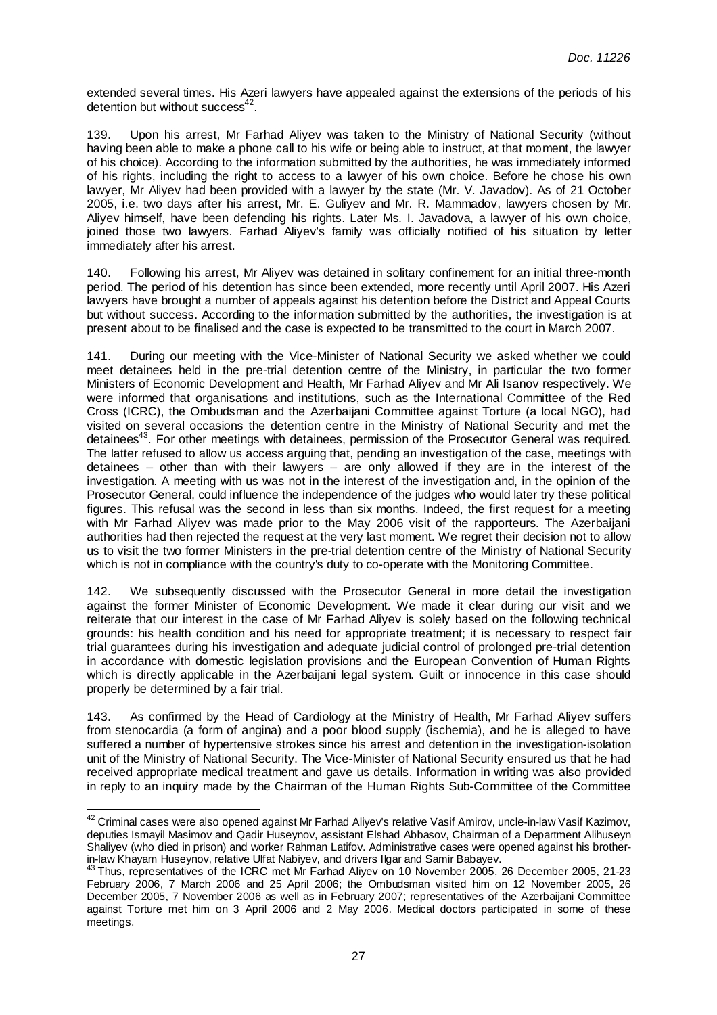extended several times. His Azeri lawyers have appealed against the extensions of the periods of his detention but without success $42$ .

139. Upon his arrest, Mr Farhad Aliyev was taken to the Ministry of National Security (without having been able to make a phone call to his wife or being able to instruct, at that moment, the lawyer of his choice). According to the information submitted by the authorities, he was immediately informed of his rights, including the right to access to a lawyer of his own choice. Before he chose his own lawyer, Mr Aliyev had been provided with a lawyer by the state (Mr. V. Javadov). As of 21 October 2005, i.e. two days after his arrest, Mr. E. Guliyev and Mr. R. Mammadov, lawyers chosen by Mr. Aliyev himself, have been defending his rights. Later Ms. I. Javadova, a lawyer of his own choice, joined those two lawyers. Farhad Aliyev's family was officially notified of his situation by letter immediately after his arrest.

140. Following his arrest, Mr Aliyev was detained in solitary confinement for an initial three-month period. The period of his detention has since been extended, more recently until April 2007. His Azeri lawyers have brought a number of appeals against his detention before the District and Appeal Courts but without success. According to the information submitted by the authorities, the investigation is at present about to be finalised and the case is expected to be transmitted to the court in March 2007.

141. During our meeting with the Vice-Minister of National Security we asked whether we could meet detainees held in the pre-trial detention centre of the Ministry, in particular the two former Ministers of Economic Development and Health, Mr Farhad Aliyev and Mr Ali Isanov respectively. We were informed that organisations and institutions, such as the International Committee of the Red Cross (ICRC), the Ombudsman and the Azerbaijani Committee against Torture (a local NGO), had visited on several occasions the detention centre in the Ministry of National Security and met the detainees<sup>43</sup>. For other meetings with detainees, permission of the Prosecutor General was required. The latter refused to allow us access arguing that, pending an investigation of the case, meetings with detainees – other than with their lawyers – are only allowed if they are in the interest of the investigation. A meeting with us was not in the interest of the investigation and, in the opinion of the Prosecutor General, could influence the independence of the judges who would later try these political figures. This refusal was the second in less than six months. Indeed, the first request for a meeting with Mr Farhad Aliyev was made prior to the May 2006 visit of the rapporteurs. The Azerbaijani authorities had then rejected the request at the very last moment. We regret their decision not to allow us to visit the two former Ministers in the pre-trial detention centre of the Ministry of National Security which is not in compliance with the country's duty to co-operate with the Monitoring Committee.

142. We subsequently discussed with the Prosecutor General in more detail the investigation against the former Minister of Economic Development. We made it clear during our visit and we reiterate that our interest in the case of Mr Farhad Aliyev is solely based on the following technical grounds: his health condition and his need for appropriate treatment; it is necessary to respect fair trial guarantees during his investigation and adequate judicial control of prolonged pre-trial detention in accordance with domestic legislation provisions and the European Convention of Human Rights which is directly applicable in the Azerbaijani legal system. Guilt or innocence in this case should properly be determined by a fair trial.

143. As confirmed by the Head of Cardiology at the Ministry of Health, Mr Farhad Aliyev suffers from stenocardia (a form of angina) and a poor blood supply (ischemia), and he is alleged to have suffered a number of hypertensive strokes since his arrest and detention in the investigation-isolation unit of the Ministry of National Security. The Vice-Minister of National Security ensured us that he had received appropriate medical treatment and gave us details. Information in writing was also provided in reply to an inquiry made by the Chairman of the Human Rights Sub-Committee of the Committee

 $^{42}$  Criminal cases were also opened against Mr Farhad Aliyev's relative Vasif Amirov, uncle-in-law Vasif Kazimov, deputies Ismayil Masimov and Qadir Huseynov, assistant Elshad Abbasov, Chairman of a Department Alihuseyn Shaliyev (who died in prison) and worker Rahman Latifov. Administrative cases were opened against his brotherin-law Khayam Huseynov, relative Ulfat Nabiyev, and drivers Ilgar and Samir Babayev.

<sup>&</sup>lt;sup>43</sup> Thus, representatives of the ICRC met Mr Farhad Aliyev on 10 November 2005, 26 December 2005, 21-23 February 2006, 7 March 2006 and 25 April 2006; the Ombudsman visited him on 12 November 2005, 26 December 2005, 7 November 2006 as well as in February 2007; representatives of the Azerbaijani Committee against Torture met him on 3 April 2006 and 2 May 2006. Medical doctors participated in some of these meetings.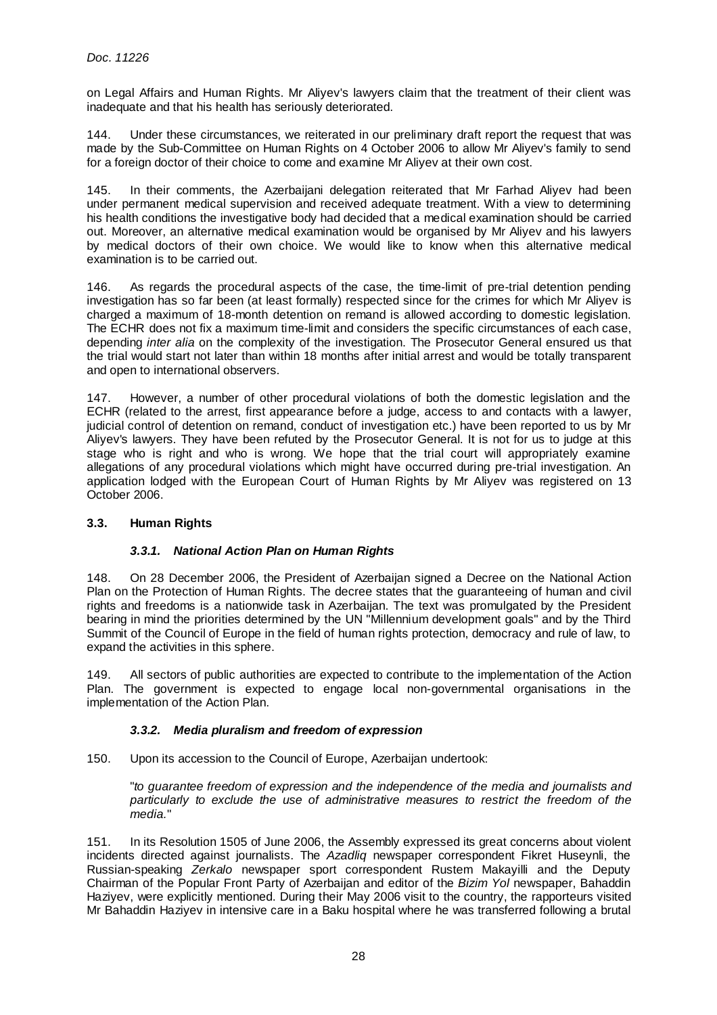on Legal Affairs and Human Rights. Mr Aliyev's lawyers claim that the treatment of their client was inadequate and that his health has seriously deteriorated.

144. Under these circumstances, we reiterated in our preliminary draft report the request that was made by the Sub-Committee on Human Rights on 4 October 2006 to allow Mr Aliyev's family to send for a foreign doctor of their choice to come and examine Mr Aliyev at their own cost.

145. In their comments, the Azerbaijani delegation reiterated that Mr Farhad Aliyev had been under permanent medical supervision and received adequate treatment. With a view to determining his health conditions the investigative body had decided that a medical examination should be carried out. Moreover, an alternative medical examination would be organised by Mr Aliyev and his lawyers by medical doctors of their own choice. We would like to know when this alternative medical examination is to be carried out.

146. As regards the procedural aspects of the case, the time-limit of pre-trial detention pending investigation has so far been (at least formally) respected since for the crimes for which Mr Aliyev is charged a maximum of 18-month detention on remand is allowed according to domestic legislation. The ECHR does not fix a maximum time-limit and considers the specific circumstances of each case, depending *inter alia* on the complexity of the investigation. The Prosecutor General ensured us that the trial would start not later than within 18 months after initial arrest and would be totally transparent and open to international observers.

147. However, a number of other procedural violations of both the domestic legislation and the ECHR (related to the arrest, first appearance before a judge, access to and contacts with a lawyer, judicial control of detention on remand, conduct of investigation etc.) have been reported to us by Mr Aliyev's lawyers. They have been refuted by the Prosecutor General. It is not for us to judge at this stage who is right and who is wrong. We hope that the trial court will appropriately examine allegations of any procedural violations which might have occurred during pre-trial investigation. An application lodged with the European Court of Human Rights by Mr Aliyev was registered on 13 October 2006.

# **3.3. Human Rights**

# **3.3.1. National Action Plan on Human Rights**

148. On 28 December 2006, the President of Azerbaijan signed a Decree on the National Action Plan on the Protection of Human Rights. The decree states that the guaranteeing of human and civil rights and freedoms is a nationwide task in Azerbaijan. The text was promulgated by the President bearing in mind the priorities determined by the UN "Millennium development goals" and by the Third Summit of the Council of Europe in the field of human rights protection, democracy and rule of law, to expand the activities in this sphere.

149. All sectors of public authorities are expected to contribute to the implementation of the Action Plan. The government is expected to engage local non-governmental organisations in the implementation of the Action Plan.

# **3.3.2. Media pluralism and freedom of expression**

150. Upon its accession to the Council of Europe, Azerbaijan undertook:

"to guarantee freedom of expression and the independence of the media and journalists and particularly to exclude the use of administrative measures to restrict the freedom of the media."

151. In its Resolution 1505 of June 2006, the Assembly expressed its great concerns about violent incidents directed against journalists. The Azadlig newspaper correspondent Fikret Huseynli, the Russian-speaking Zerkalo newspaper sport correspondent Rustem Makayilli and the Deputy Chairman of the Popular Front Party of Azerbaijan and editor of the Bizim Yol newspaper, Bahaddin Haziyev, were explicitly mentioned. During their May 2006 visit to the country, the rapporteurs visited Mr Bahaddin Haziyev in intensive care in a Baku hospital where he was transferred following a brutal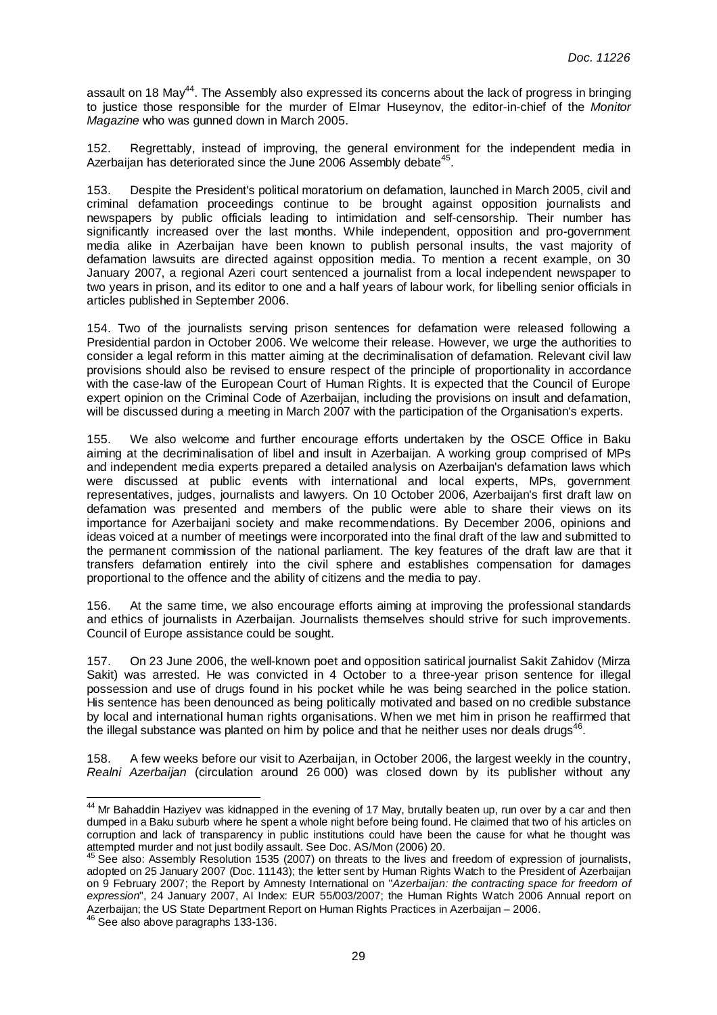assault on 18 May<sup>44</sup>. The Assembly also expressed its concerns about the lack of progress in bringing to justice those responsible for the murder of Elmar Huseynov, the editor-in-chief of the Monitor Magazine who was gunned down in March 2005.

152. Regrettably, instead of improving, the general environment for the independent media in Azerbaijan has deteriorated since the June 2006 Assembly debate<sup>45</sup>.

153. Despite the President's political moratorium on defamation, launched in March 2005, civil and criminal defamation proceedings continue to be brought against opposition journalists and newspapers by public officials leading to intimidation and self-censorship. Their number has significantly increased over the last months. While independent, opposition and pro-government media alike in Azerbaijan have been known to publish personal insults, the vast majority of defamation lawsuits are directed against opposition media. To mention a recent example, on 30 January 2007, a regional Azeri court sentenced a journalist from a local independent newspaper to two years in prison, and its editor to one and a half years of labour work, for libelling senior officials in articles published in September 2006.

154. Two of the journalists serving prison sentences for defamation were released following a Presidential pardon in October 2006. We welcome their release. However, we urge the authorities to consider a legal reform in this matter aiming at the decriminalisation of defamation. Relevant civil law provisions should also be revised to ensure respect of the principle of proportionality in accordance with the case-law of the European Court of Human Rights. It is expected that the Council of Europe expert opinion on the Criminal Code of Azerbaijan, including the provisions on insult and defamation, will be discussed during a meeting in March 2007 with the participation of the Organisation's experts.

155. We also welcome and further encourage efforts undertaken by the OSCE Office in Baku aiming at the decriminalisation of libel and insult in Azerbaijan. A working group comprised of MPs and independent media experts prepared a detailed analysis on Azerbaijan's defamation laws which were discussed at public events with international and local experts, MPs, government representatives, judges, journalists and lawyers. On 10 October 2006, Azerbaijan's first draft law on defamation was presented and members of the public were able to share their views on its importance for Azerbaijani society and make recommendations. By December 2006, opinions and ideas voiced at a number of meetings were incorporated into the final draft of the law and submitted to the permanent commission of the national parliament. The key features of the draft law are that it transfers defamation entirely into the civil sphere and establishes compensation for damages proportional to the offence and the ability of citizens and the media to pay.

156. At the same time, we also encourage efforts aiming at improving the professional standards and ethics of journalists in Azerbaijan. Journalists themselves should strive for such improvements. Council of Europe assistance could be sought.

157. On 23 June 2006, the well-known poet and opposition satirical journalist Sakit Zahidov (Mirza Sakit) was arrested. He was convicted in 4 October to a three-year prison sentence for illegal possession and use of drugs found in his pocket while he was being searched in the police station. His sentence has been denounced as being politically motivated and based on no credible substance by local and international human rights organisations. When we met him in prison he reaffirmed that the illegal substance was planted on him by police and that he neither uses nor deals drugs<sup>46</sup>.

158. A few weeks before our visit to Azerbaijan, in October 2006, the largest weekly in the country, Realni Azerbaijan (circulation around 26 000) was closed down by its publisher without any

<sup>&</sup>lt;sup>44</sup> Mr Bahaddin Haziyev was kidnapped in the evening of 17 May, brutally beaten up, run over by a car and then dumped in a Baku suburb where he spent a whole night before being found. He claimed that two of his articles on corruption and lack of transparency in public institutions could have been the cause for what he thought was attempted murder and not just bodily assault. See Doc. AS/Mon (2006) 20.

 $45$  See also: Assembly Resolution 1535 (2007) on threats to the lives and freedom of expression of journalists, adopted on 25 January 2007 (Doc. 11143); the letter sent by Human Rights Watch to the President of Azerbaijan on 9 February 2007; the Report by Amnesty International on "Azerbaijan: the contracting space for freedom of expression", 24 January 2007, AI Index: EUR 55/003/2007; the Human Rights Watch 2006 Annual report on Azerbaijan; the US State Department Report on Human Rights Practices in Azerbaijan – 2006.

<sup>46</sup> See also above paragraphs 133-136.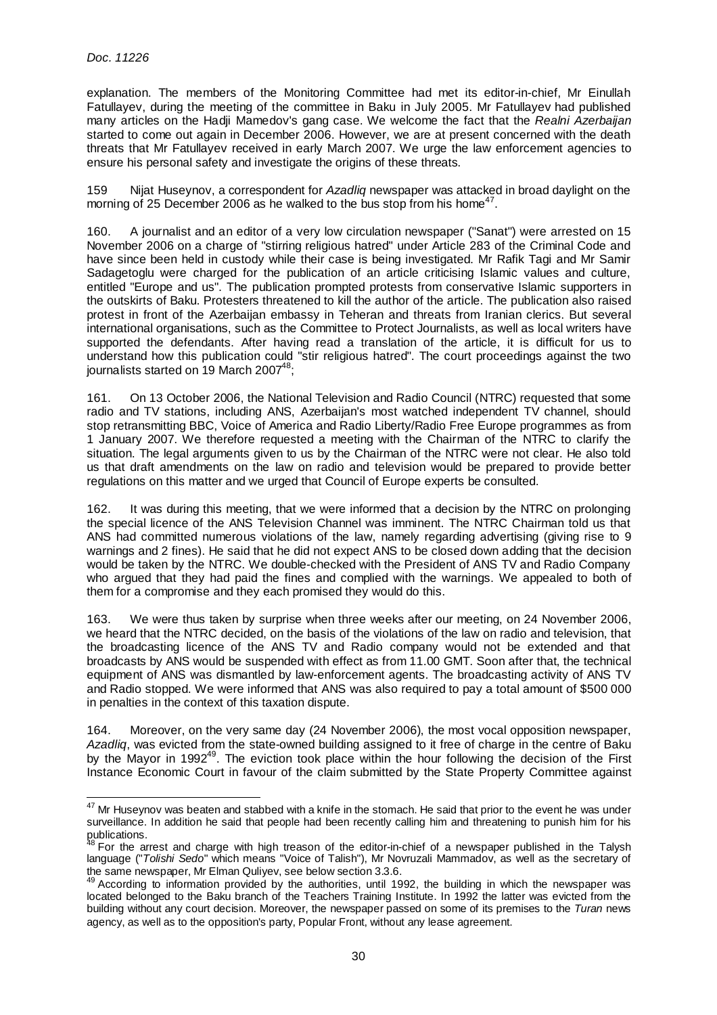explanation. The members of the Monitoring Committee had met its editor-in-chief, Mr Einullah Fatullayev, during the meeting of the committee in Baku in July 2005. Mr Fatullayev had published many articles on the Hadji Mamedov's gang case. We welcome the fact that the Realni Azerbaijan started to come out again in December 2006. However, we are at present concerned with the death threats that Mr Fatullayev received in early March 2007. We urge the law enforcement agencies to ensure his personal safety and investigate the origins of these threats.

159 Nijat Huseynov, a correspondent for Azadlig newspaper was attacked in broad daylight on the morning of 25 December 2006 as he walked to the bus stop from his home<sup>47</sup>.

160. A journalist and an editor of a very low circulation newspaper ("Sanat") were arrested on 15 November 2006 on a charge of "stirring religious hatred" under Article 283 of the Criminal Code and have since been held in custody while their case is being investigated. Mr Rafik Tagi and Mr Samir Sadagetoglu were charged for the publication of an article criticising Islamic values and culture, entitled "Europe and us". The publication prompted protests from conservative Islamic supporters in the outskirts of Baku. Protesters threatened to kill the author of the article. The publication also raised protest in front of the Azerbaijan embassy in Teheran and threats from Iranian clerics. But several international organisations, such as the Committee to Protect Journalists, as well as local writers have supported the defendants. After having read a translation of the article, it is difficult for us to understand how this publication could "stir religious hatred". The court proceedings against the two journalists started on 19 March 2007 $48$ ;

161. On 13 October 2006, the National Television and Radio Council (NTRC) requested that some radio and TV stations, including ANS, Azerbaijan's most watched independent TV channel, should stop retransmitting BBC, Voice of America and Radio Liberty/Radio Free Europe programmes as from 1 January 2007. We therefore requested a meeting with the Chairman of the NTRC to clarify the situation. The legal arguments given to us by the Chairman of the NTRC were not clear. He also told us that draft amendments on the law on radio and television would be prepared to provide better regulations on this matter and we urged that Council of Europe experts be consulted.

162. It was during this meeting, that we were informed that a decision by the NTRC on prolonging the special licence of the ANS Television Channel was imminent. The NTRC Chairman told us that ANS had committed numerous violations of the law, namely regarding advertising (giving rise to 9 warnings and 2 fines). He said that he did not expect ANS to be closed down adding that the decision would be taken by the NTRC. We double-checked with the President of ANS TV and Radio Company who argued that they had paid the fines and complied with the warnings. We appealed to both of them for a compromise and they each promised they would do this.

163. We were thus taken by surprise when three weeks after our meeting, on 24 November 2006, we heard that the NTRC decided, on the basis of the violations of the law on radio and television, that the broadcasting licence of the ANS TV and Radio company would not be extended and that broadcasts by ANS would be suspended with effect as from 11.00 GMT. Soon after that, the technical equipment of ANS was dismantled by law-enforcement agents. The broadcasting activity of ANS TV and Radio stopped. We were informed that ANS was also required to pay a total amount of \$500 000 in penalties in the context of this taxation dispute.

164. Moreover, on the very same day (24 November 2006), the most vocal opposition newspaper, Azadlig, was evicted from the state-owned building assigned to it free of charge in the centre of Baku by the Mayor in 1992<sup>49</sup>. The eviction took place within the hour following the decision of the First Instance Economic Court in favour of the claim submitted by the State Property Committee against

l  $47$  Mr Huseynov was beaten and stabbed with a knife in the stomach. He said that prior to the event he was under surveillance. In addition he said that people had been recently calling him and threatening to punish him for his publications.

 ${}^8$  For the arrest and charge with high treason of the editor-in-chief of a newspaper published in the Talysh language ("Tolishi Sedo" which means "Voice of Talish"), Mr Novruzali Mammadov, as well as the secretary of the same newspaper, Mr Elman Quliyev, see below section 3.3.6.

<sup>&</sup>lt;sup>49</sup> According to information provided by the authorities, until 1992, the building in which the newspaper was located belonged to the Baku branch of the Teachers Training Institute. In 1992 the latter was evicted from the building without any court decision. Moreover, the newspaper passed on some of its premises to the Turan news agency, as well as to the opposition's party, Popular Front, without any lease agreement.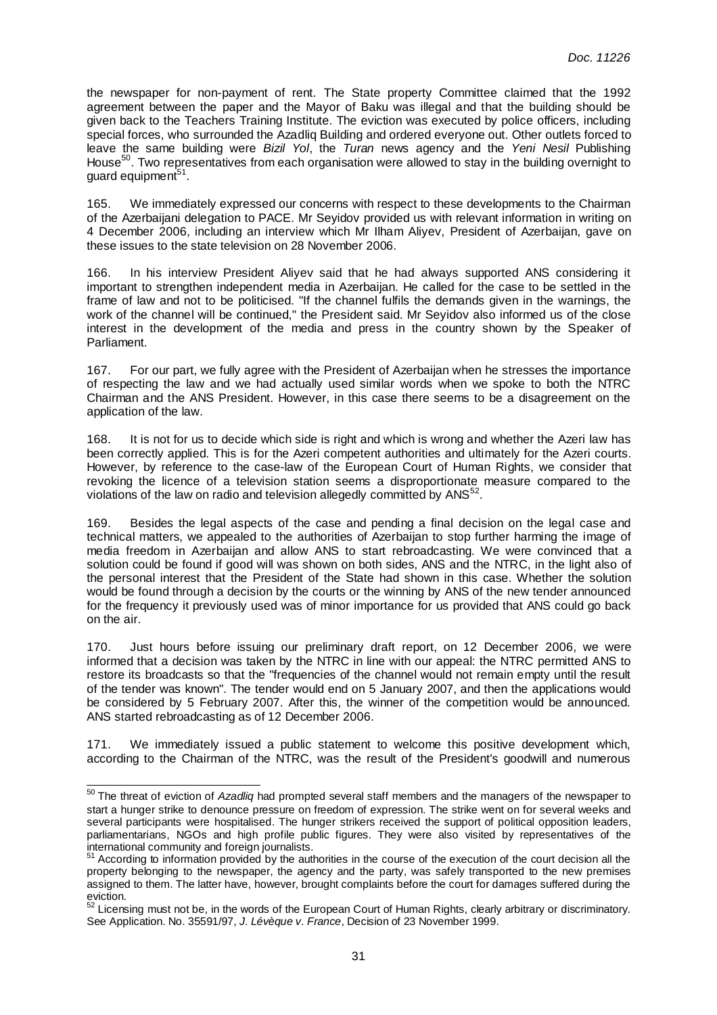the newspaper for non-payment of rent. The State property Committee claimed that the 1992 agreement between the paper and the Mayor of Baku was illegal and that the building should be given back to the Teachers Training Institute. The eviction was executed by police officers, including special forces, who surrounded the Azadliq Building and ordered everyone out. Other outlets forced to leave the same building were Bizil Yol, the Turan news agency and the Yeni Nesil Publishing House<sup>50</sup>. Two representatives from each organisation were allowed to stay in the building overnight to guard equipment<sup>51</sup>.

165. We immediately expressed our concerns with respect to these developments to the Chairman of the Azerbaijani delegation to PACE. Mr Seyidov provided us with relevant information in writing on 4 December 2006, including an interview which Mr Ilham Aliyev, President of Azerbaijan, gave on these issues to the state television on 28 November 2006.

166. In his interview President Aliyev said that he had always supported ANS considering it important to strengthen independent media in Azerbaijan. He called for the case to be settled in the frame of law and not to be politicised. "If the channel fulfils the demands given in the warnings, the work of the channel will be continued," the President said. Mr Seyidov also informed us of the close interest in the development of the media and press in the country shown by the Speaker of Parliament.

167. For our part, we fully agree with the President of Azerbaijan when he stresses the importance of respecting the law and we had actually used similar words when we spoke to both the NTRC Chairman and the ANS President. However, in this case there seems to be a disagreement on the application of the law.

168. It is not for us to decide which side is right and which is wrong and whether the Azeri law has been correctly applied. This is for the Azeri competent authorities and ultimately for the Azeri courts. However, by reference to the case-law of the European Court of Human Rights, we consider that revoking the licence of a television station seems a disproportionate measure compared to the violations of the law on radio and television allegedly committed by  $ANS^{52}$ .

169. Besides the legal aspects of the case and pending a final decision on the legal case and technical matters, we appealed to the authorities of Azerbaijan to stop further harming the image of media freedom in Azerbaijan and allow ANS to start rebroadcasting. We were convinced that a solution could be found if good will was shown on both sides, ANS and the NTRC, in the light also of the personal interest that the President of the State had shown in this case. Whether the solution would be found through a decision by the courts or the winning by ANS of the new tender announced for the frequency it previously used was of minor importance for us provided that ANS could go back on the air.

170. Just hours before issuing our preliminary draft report, on 12 December 2006, we were informed that a decision was taken by the NTRC in line with our appeal: the NTRC permitted ANS to restore its broadcasts so that the "frequencies of the channel would not remain empty until the result of the tender was known". The tender would end on 5 January 2007, and then the applications would be considered by 5 February 2007. After this, the winner of the competition would be announced. ANS started rebroadcasting as of 12 December 2006.

We immediately issued a public statement to welcome this positive development which, according to the Chairman of the NTRC, was the result of the President's goodwill and numerous

 $50$  The threat of eviction of Azadliq had prompted several staff members and the managers of the newspaper to start a hunger strike to denounce pressure on freedom of expression. The strike went on for several weeks and several participants were hospitalised. The hunger strikers received the support of political opposition leaders, parliamentarians, NGOs and high profile public figures. They were also visited by representatives of the international community and foreign journalists.

 $51$  According to information provided by the authorities in the course of the execution of the court decision all the property belonging to the newspaper, the agency and the party, was safely transported to the new premises assigned to them. The latter have, however, brought complaints before the court for damages suffered during the eviction.

 $52$  Licensing must not be, in the words of the European Court of Human Rights, clearly arbitrary or discriminatory. See Application. No. 35591/97, J. Lévèque v. France, Decision of 23 November 1999.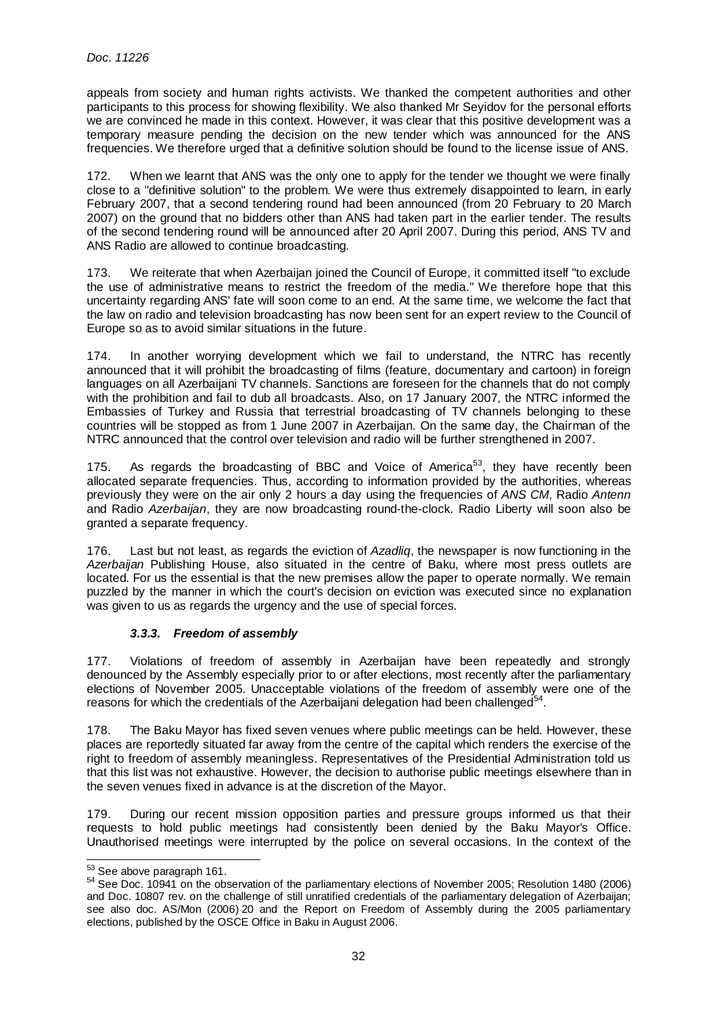appeals from society and human rights activists. We thanked the competent authorities and other participants to this process for showing flexibility. We also thanked Mr Seyidov for the personal efforts we are convinced he made in this context. However, it was clear that this positive development was a temporary measure pending the decision on the new tender which was announced for the ANS frequencies. We therefore urged that a definitive solution should be found to the license issue of ANS.

172. When we learnt that ANS was the only one to apply for the tender we thought we were finally close to a "definitive solution" to the problem. We were thus extremely disappointed to learn, in early February 2007, that a second tendering round had been announced (from 20 February to 20 March 2007) on the ground that no bidders other than ANS had taken part in the earlier tender. The results of the second tendering round will be announced after 20 April 2007. During this period, ANS TV and ANS Radio are allowed to continue broadcasting.

173. We reiterate that when Azerbaijan joined the Council of Europe, it committed itself "to exclude the use of administrative means to restrict the freedom of the media." We therefore hope that this uncertainty regarding ANS' fate will soon come to an end. At the same time, we welcome the fact that the law on radio and television broadcasting has now been sent for an expert review to the Council of Europe so as to avoid similar situations in the future.

174. In another worrying development which we fail to understand, the NTRC has recently announced that it will prohibit the broadcasting of films (feature, documentary and cartoon) in foreign languages on all Azerbaijani TV channels. Sanctions are foreseen for the channels that do not comply with the prohibition and fail to dub all broadcasts. Also, on 17 January 2007, the NTRC informed the Embassies of Turkey and Russia that terrestrial broadcasting of TV channels belonging to these countries will be stopped as from 1 June 2007 in Azerbaijan. On the same day, the Chairman of the NTRC announced that the control over television and radio will be further strengthened in 2007.

175. As regards the broadcasting of BBC and Voice of America<sup>53</sup>, they have recently been allocated separate frequencies. Thus, according to information provided by the authorities, whereas previously they were on the air only 2 hours a day using the frequencies of ANS CM, Radio Antenn and Radio Azerbaijan, they are now broadcasting round-the-clock. Radio Liberty will soon also be granted a separate frequency.

176. Last but not least, as regards the eviction of Azadlig, the newspaper is now functioning in the Azerbaijan Publishing House, also situated in the centre of Baku, where most press outlets are located. For us the essential is that the new premises allow the paper to operate normally. We remain puzzled by the manner in which the court's decision on eviction was executed since no explanation was given to us as regards the urgency and the use of special forces.

# **3.3.3. Freedom of assembly**

177. Violations of freedom of assembly in Azerbaijan have been repeatedly and strongly denounced by the Assembly especially prior to or after elections, most recently after the parliamentary elections of November 2005. Unacceptable violations of the freedom of assembly were one of the reasons for which the credentials of the Azerbaijani delegation had been challenged $54$ .

178. The Baku Mayor has fixed seven venues where public meetings can be held. However, these places are reportedly situated far away from the centre of the capital which renders the exercise of the right to freedom of assembly meaningless. Representatives of the Presidential Administration told us that this list was not exhaustive. However, the decision to authorise public meetings elsewhere than in the seven venues fixed in advance is at the discretion of the Mayor.

179. During our recent mission opposition parties and pressure groups informed us that their requests to hold public meetings had consistently been denied by the Baku Mayor's Office. Unauthorised meetings were interrupted by the police on several occasions. In the context of the

<sup>&</sup>lt;sup>53</sup> See above paragraph 161.

<sup>54</sup> See Doc. 10941 on the observation of the parliamentary elections of November 2005; Resolution 1480 (2006) and Doc. 10807 rev. on the challenge of still unratified credentials of the parliamentary delegation of Azerbaijan; see also doc. AS/Mon (2006) 20 and the Report on Freedom of Assembly during the 2005 parliamentary elections, published by the OSCE Office in Baku in August 2006.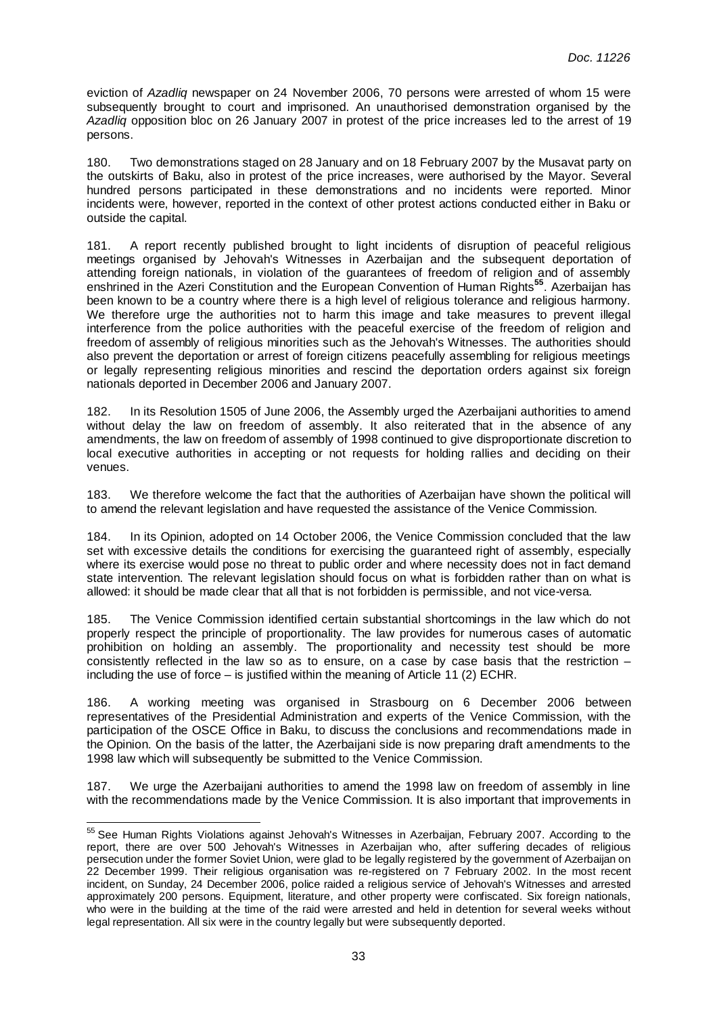eviction of Azadliq newspaper on 24 November 2006, 70 persons were arrested of whom 15 were subsequently brought to court and imprisoned. An unauthorised demonstration organised by the Azadliq opposition bloc on 26 January 2007 in protest of the price increases led to the arrest of 19 persons.

180. Two demonstrations staged on 28 January and on 18 February 2007 by the Musavat party on the outskirts of Baku, also in protest of the price increases, were authorised by the Mayor. Several hundred persons participated in these demonstrations and no incidents were reported. Minor incidents were, however, reported in the context of other protest actions conducted either in Baku or outside the capital.

181. A report recently published brought to light incidents of disruption of peaceful religious meetings organised by Jehovah's Witnesses in Azerbaijan and the subsequent deportation of attending foreign nationals, in violation of the guarantees of freedom of religion and of assembly enshrined in the Azeri Constitution and the European Convention of Human Rights**<sup>55</sup>**. Azerbaijan has been known to be a country where there is a high level of religious tolerance and religious harmony. We therefore urge the authorities not to harm this image and take measures to prevent illegal interference from the police authorities with the peaceful exercise of the freedom of religion and freedom of assembly of religious minorities such as the Jehovah's Witnesses. The authorities should also prevent the deportation or arrest of foreign citizens peacefully assembling for religious meetings or legally representing religious minorities and rescind the deportation orders against six foreign nationals deported in December 2006 and January 2007.

182. In its Resolution 1505 of June 2006, the Assembly urged the Azerbaijani authorities to amend without delay the law on freedom of assembly. It also reiterated that in the absence of any amendments, the law on freedom of assembly of 1998 continued to give disproportionate discretion to local executive authorities in accepting or not requests for holding rallies and deciding on their venues.

183. We therefore welcome the fact that the authorities of Azerbaijan have shown the political will to amend the relevant legislation and have requested the assistance of the Venice Commission.

184. In its Opinion, adopted on 14 October 2006, the Venice Commission concluded that the law set with excessive details the conditions for exercising the quaranteed right of assembly, especially where its exercise would pose no threat to public order and where necessity does not in fact demand state intervention. The relevant legislation should focus on what is forbidden rather than on what is allowed: it should be made clear that all that is not forbidden is permissible, and not vice-versa.

185. The Venice Commission identified certain substantial shortcomings in the law which do not properly respect the principle of proportionality. The law provides for numerous cases of automatic prohibition on holding an assembly. The proportionality and necessity test should be more consistently reflected in the law so as to ensure, on a case by case basis that the restriction including the use of force – is justified within the meaning of Article 11 (2) ECHR.

186. A working meeting was organised in Strasbourg on 6 December 2006 between representatives of the Presidential Administration and experts of the Venice Commission, with the participation of the OSCE Office in Baku, to discuss the conclusions and recommendations made in the Opinion. On the basis of the latter, the Azerbaijani side is now preparing draft amendments to the 1998 law which will subsequently be submitted to the Venice Commission.

187. We urge the Azerbaijani authorities to amend the 1998 law on freedom of assembly in line with the recommendations made by the Venice Commission. It is also important that improvements in

<sup>&</sup>lt;sup>55</sup> See Human Rights Violations against Jehovah's Witnesses in Azerbaijan, February 2007. According to the report, there are over 500 Jehovah's Witnesses in Azerbaijan who, after suffering decades of religious persecution under the former Soviet Union, were glad to be legally registered by the government of Azerbaijan on 22 December 1999. Their religious organisation was re-registered on 7 February 2002. In the most recent incident, on Sunday, 24 December 2006, police raided a religious service of Jehovah's Witnesses and arrested approximately 200 persons. Equipment, literature, and other property were confiscated. Six foreign nationals, who were in the building at the time of the raid were arrested and held in detention for several weeks without legal representation. All six were in the country legally but were subsequently deported.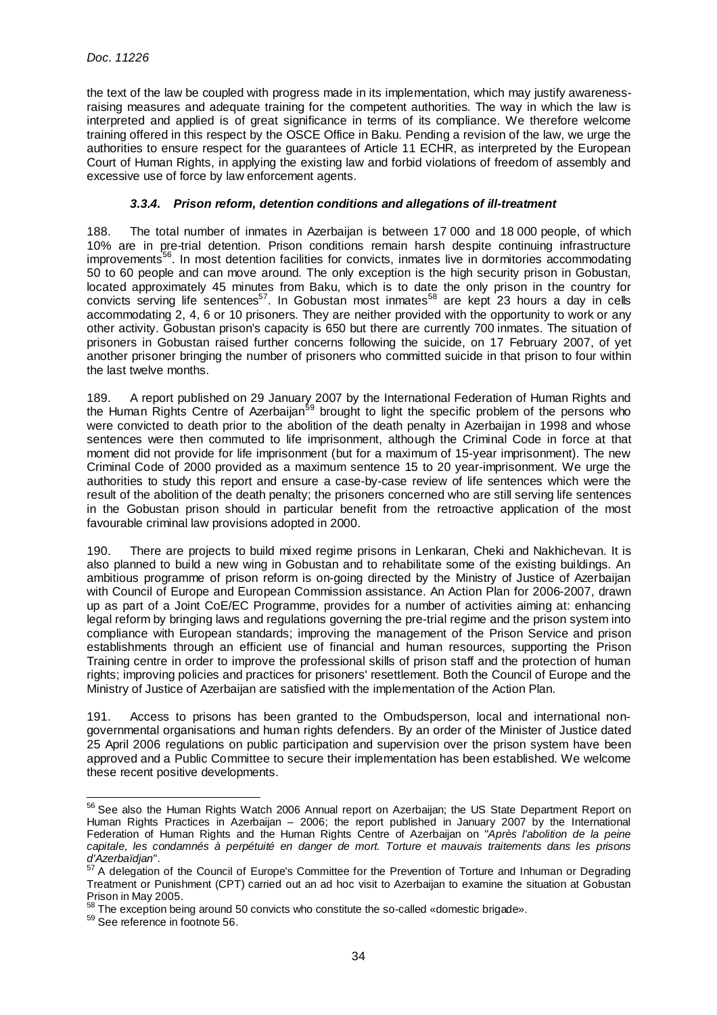the text of the law be coupled with progress made in its implementation, which may justify awarenessraising measures and adequate training for the competent authorities. The way in which the law is interpreted and applied is of great significance in terms of its compliance. We therefore welcome training offered in this respect by the OSCE Office in Baku. Pending a revision of the law, we urge the authorities to ensure respect for the guarantees of Article 11 ECHR, as interpreted by the European Court of Human Rights, in applying the existing law and forbid violations of freedom of assembly and excessive use of force by law enforcement agents.

# **3.3.4. Prison reform, detention conditions and allegations of ill-treatment**

188. The total number of inmates in Azerbaijan is between 17 000 and 18 000 people, of which 10% are in pre-trial detention. Prison conditions remain harsh despite continuing infrastructure improvements<sup>56</sup>. In most detention facilities for convicts, inmates live in dormitories accommodating 50 to 60 people and can move around. The only exception is the high security prison in Gobustan, located approximately 45 minutes from Baku, which is to date the only prison in the country for  $\frac{1}{2}$  convicts serving life sentences<sup>57</sup>. In Gobustan most inmates<sup>58</sup> are kept 23 hours a day in cells accommodating 2, 4, 6 or 10 prisoners. They are neither provided with the opportunity to work or any other activity. Gobustan prison's capacity is 650 but there are currently 700 inmates. The situation of prisoners in Gobustan raised further concerns following the suicide, on 17 February 2007, of yet another prisoner bringing the number of prisoners who committed suicide in that prison to four within the last twelve months.

189. A report published on 29 January 2007 by the International Federation of Human Rights and the Human Rights Centre of Azerbaijan<sup>59</sup> brought to light the specific problem of the persons who were convicted to death prior to the abolition of the death penalty in Azerbaijan in 1998 and whose sentences were then commuted to life imprisonment, although the Criminal Code in force at that moment did not provide for life imprisonment (but for a maximum of 15-year imprisonment). The new Criminal Code of 2000 provided as a maximum sentence 15 to 20 year-imprisonment. We urge the authorities to study this report and ensure a case-by-case review of life sentences which were the result of the abolition of the death penalty; the prisoners concerned who are still serving life sentences in the Gobustan prison should in particular benefit from the retroactive application of the most favourable criminal law provisions adopted in 2000.

190. There are projects to build mixed regime prisons in Lenkaran, Cheki and Nakhichevan. It is also planned to build a new wing in Gobustan and to rehabilitate some of the existing buildings. An ambitious programme of prison reform is on-going directed by the Ministry of Justice of Azerbaijan with Council of Europe and European Commission assistance. An Action Plan for 2006-2007, drawn up as part of a Joint CoE/EC Programme, provides for a number of activities aiming at: enhancing legal reform by bringing laws and regulations governing the pre-trial regime and the prison system into compliance with European standards; improving the management of the Prison Service and prison establishments through an efficient use of financial and human resources, supporting the Prison Training centre in order to improve the professional skills of prison staff and the protection of human rights; improving policies and practices for prisoners' resettlement. Both the Council of Europe and the Ministry of Justice of Azerbaijan are satisfied with the implementation of the Action Plan.

191. Access to prisons has been granted to the Ombudsperson, local and international nongovernmental organisations and human rights defenders. By an order of the Minister of Justice dated 25 April 2006 regulations on public participation and supervision over the prison system have been approved and a Public Committee to secure their implementation has been established. We welcome these recent positive developments.

<sup>&</sup>lt;sup>56</sup> See also the Human Rights Watch 2006 Annual report on Azerbaijan; the US State Department Report on Human Rights Practices in Azerbaijan – 2006; the report published in January 2007 by the International Federation of Human Rights and the Human Rights Centre of Azerbaijan on "Après l'abolition de la peine capitale, les condamnés à perpétuité en danger de mort. Torture et mauvais traitements dans les prisons d'Azerbaïdjan".

 $57$  A delegation of the Council of Europe's Committee for the Prevention of Torture and Inhuman or Degrading Treatment or Punishment (CPT) carried out an ad hoc visit to Azerbaijan to examine the situation at Gobustan Prison in May 2005.

<sup>58</sup> The exception being around 50 convicts who constitute the so-called «domestic brigade».

<sup>&</sup>lt;sup>59</sup> See reference in footnote 56.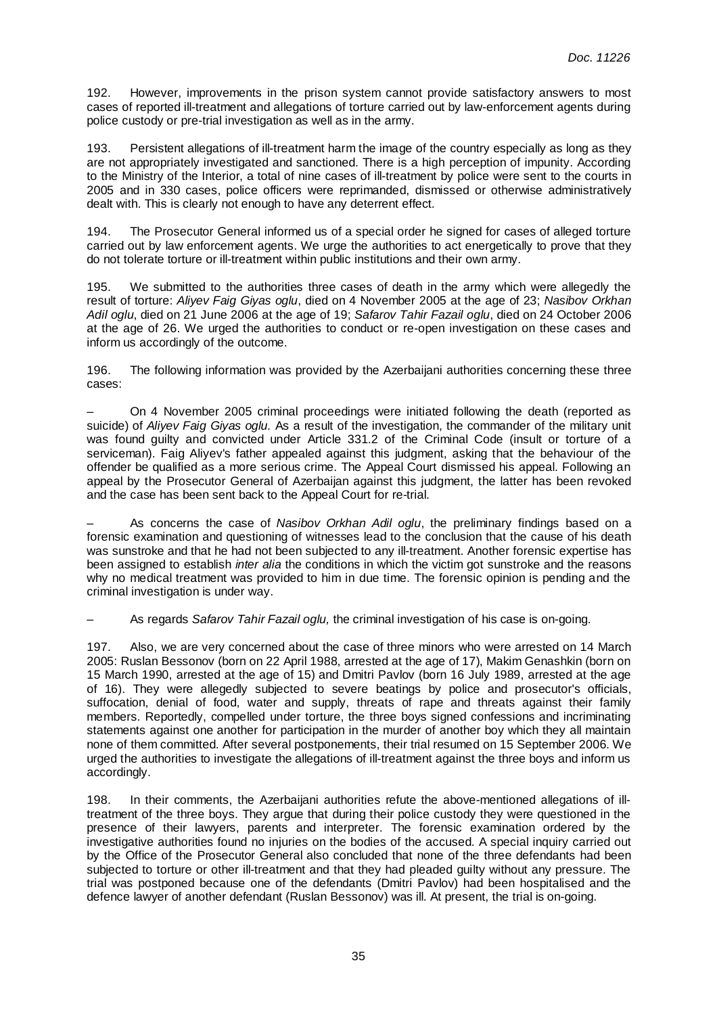192. However, improvements in the prison system cannot provide satisfactory answers to most cases of reported ill-treatment and allegations of torture carried out by law-enforcement agents during police custody or pre-trial investigation as well as in the army.

193. Persistent allegations of ill-treatment harm the image of the country especially as long as they are not appropriately investigated and sanctioned. There is a high perception of impunity. According to the Ministry of the Interior, a total of nine cases of ill-treatment by police were sent to the courts in 2005 and in 330 cases, police officers were reprimanded, dismissed or otherwise administratively dealt with. This is clearly not enough to have any deterrent effect.

194. The Prosecutor General informed us of a special order he signed for cases of alleged torture carried out by law enforcement agents. We urge the authorities to act energetically to prove that they do not tolerate torture or ill-treatment within public institutions and their own army.

195. We submitted to the authorities three cases of death in the army which were allegedly the result of torture: Aliyev Faig Giyas oglu, died on 4 November 2005 at the age of 23; Nasibov Orkhan Adil oglu, died on 21 June 2006 at the age of 19; Safarov Tahir Fazail oglu, died on 24 October 2006 at the age of 26. We urged the authorities to conduct or re-open investigation on these cases and inform us accordingly of the outcome.

196. The following information was provided by the Azerbaijani authorities concerning these three cases:

– On 4 November 2005 criminal proceedings were initiated following the death (reported as suicide) of Aliyev Faig Giyas oglu. As a result of the investigation, the commander of the military unit was found guilty and convicted under Article 331.2 of the Criminal Code (insult or torture of a serviceman). Faig Aliyev's father appealed against this judgment, asking that the behaviour of the offender be qualified as a more serious crime. The Appeal Court dismissed his appeal. Following an appeal by the Prosecutor General of Azerbaijan against this judgment, the latter has been revoked and the case has been sent back to the Appeal Court for re-trial.

As concerns the case of Nasibov Orkhan Adil oglu, the preliminary findings based on a forensic examination and questioning of witnesses lead to the conclusion that the cause of his death was sunstroke and that he had not been subjected to any ill-treatment. Another forensic expertise has been assigned to establish *inter alia* the conditions in which the victim got sunstroke and the reasons why no medical treatment was provided to him in due time. The forensic opinion is pending and the criminal investigation is under way.

As regards Safarov Tahir Fazail oglu, the criminal investigation of his case is on-going.

197. Also, we are very concerned about the case of three minors who were arrested on 14 March 2005: Ruslan Bessonov (born on 22 April 1988, arrested at the age of 17), Makim Genashkin (born on 15 March 1990, arrested at the age of 15) and Dmitri Pavlov (born 16 July 1989, arrested at the age of 16). They were allegedly subjected to severe beatings by police and prosecutor's officials, suffocation, denial of food, water and supply, threats of rape and threats against their family members. Reportedly, compelled under torture, the three boys signed confessions and incriminating statements against one another for participation in the murder of another boy which they all maintain none of them committed. After several postponements, their trial resumed on 15 September 2006. We urged the authorities to investigate the allegations of ill-treatment against the three boys and inform us accordingly.

198. In their comments, the Azerbaijani authorities refute the above-mentioned allegations of illtreatment of the three boys. They argue that during their police custody they were questioned in the presence of their lawyers, parents and interpreter. The forensic examination ordered by the investigative authorities found no injuries on the bodies of the accused. A special inquiry carried out by the Office of the Prosecutor General also concluded that none of the three defendants had been subjected to torture or other ill-treatment and that they had pleaded guilty without any pressure. The trial was postponed because one of the defendants (Dmitri Pavlov) had been hospitalised and the defence lawyer of another defendant (Ruslan Bessonov) was ill. At present, the trial is on-going.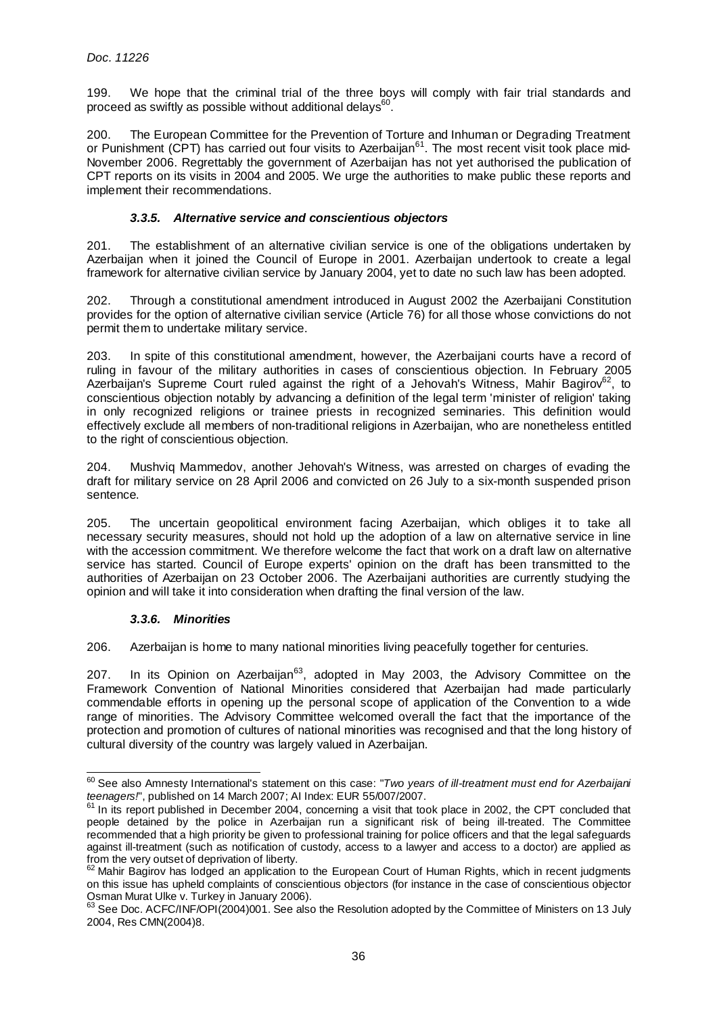199. We hope that the criminal trial of the three boys will comply with fair trial standards and proceed as swiftly as possible without additional delays $^{60}$ .

200. The European Committee for the Prevention of Torture and Inhuman or Degrading Treatment or Punishment (CPT) has carried out four visits to Azerbaijan<sup>61</sup>. The most recent visit took place mid-November 2006. Regrettably the government of Azerbaijan has not yet authorised the publication of CPT reports on its visits in 2004 and 2005. We urge the authorities to make public these reports and implement their recommendations.

# **3.3.5. Alternative service and conscientious objectors**

201. The establishment of an alternative civilian service is one of the obligations undertaken by Azerbaijan when it joined the Council of Europe in 2001. Azerbaijan undertook to create a legal framework for alternative civilian service by January 2004, yet to date no such law has been adopted.

202. Through a constitutional amendment introduced in August 2002 the Azerbaijani Constitution provides for the option of alternative civilian service (Article 76) for all those whose convictions do not permit them to undertake military service.

203. In spite of this constitutional amendment, however, the Azerbaijani courts have a record of ruling in favour of the military authorities in cases of conscientious objection. In February 2005 Azerbaijan's Supreme Court ruled against the right of a Jehovah's Witness, Mahir Bagirov<sup>62</sup>, to conscientious objection notably by advancing a definition of the legal term 'minister of religion' taking in only recognized religions or trainee priests in recognized seminaries. This definition would effectively exclude all members of non-traditional religions in Azerbaijan, who are nonetheless entitled to the right of conscientious objection.

204. Mushviq Mammedov, another Jehovah's Witness, was arrested on charges of evading the draft for military service on 28 April 2006 and convicted on 26 July to a six-month suspended prison sentence.

205. The uncertain geopolitical environment facing Azerbaijan, which obliges it to take all necessary security measures, should not hold up the adoption of a law on alternative service in line with the accession commitment. We therefore welcome the fact that work on a draft law on alternative service has started. Council of Europe experts' opinion on the draft has been transmitted to the authorities of Azerbaijan on 23 October 2006. The Azerbaijani authorities are currently studying the opinion and will take it into consideration when drafting the final version of the law.

# **3.3.6. Minorities**

l

206. Azerbaijan is home to many national minorities living peacefully together for centuries.

207. In its Opinion on Azerbaijan<sup>63</sup>, adopted in May 2003, the Advisory Committee on the Framework Convention of National Minorities considered that Azerbaijan had made particularly commendable efforts in opening up the personal scope of application of the Convention to a wide range of minorities. The Advisory Committee welcomed overall the fact that the importance of the protection and promotion of cultures of national minorities was recognised and that the long history of cultural diversity of the country was largely valued in Azerbaijan.

 $^{60}$  See also Amnesty International's statement on this case: "Two years of ill-treatment must end for Azerbaijani teenagers!", published on 14 March 2007; AI Index: EUR 55/007/2007.

 $61$  In its report published in December 2004, concerning a visit that took place in 2002, the CPT concluded that people detained by the police in Azerbaijan run a significant risk of being ill-treated. The Committee recommended that a high priority be given to professional training for police officers and that the legal safeguards against ill-treatment (such as notification of custody, access to a lawyer and access to a doctor) are applied as from the very outset of deprivation of liberty.

 $62$  Mahir Bagirov has lodged an application to the European Court of Human Rights, which in recent judgments on this issue has upheld complaints of conscientious objectors (for instance in the case of conscientious objector Osman Murat Ulke v. Turkey in January 2006).

 $^{63}$  See Doc. ACFC/INF/OPI(2004)001. See also the Resolution adopted by the Committee of Ministers on 13 July 2004, Res CMN(2004)8.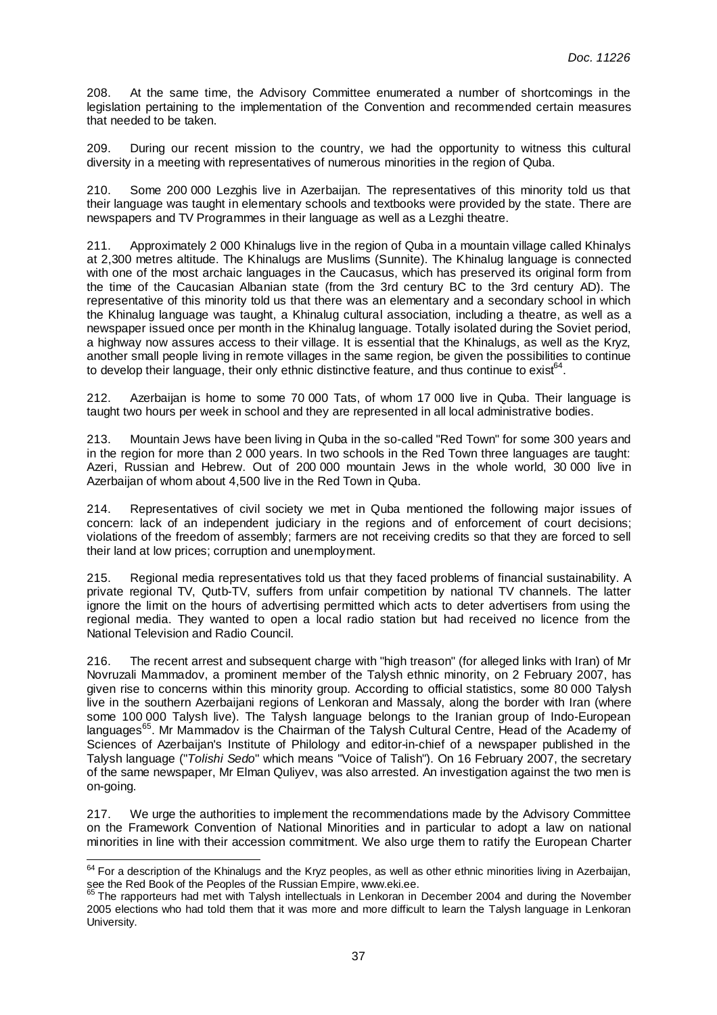208. At the same time, the Advisory Committee enumerated a number of shortcomings in the legislation pertaining to the implementation of the Convention and recommended certain measures that needed to be taken.

209. During our recent mission to the country, we had the opportunity to witness this cultural diversity in a meeting with representatives of numerous minorities in the region of Quba.

210. Some 200 000 Lezghis live in Azerbaijan. The representatives of this minority told us that their language was taught in elementary schools and textbooks were provided by the state. There are newspapers and TV Programmes in their language as well as a Lezghi theatre.

211. Approximately 2 000 Khinalugs live in the region of Quba in a mountain village called Khinalys at 2,300 metres altitude. The Khinalugs are Muslims (Sunnite). The Khinalug language is connected with one of the most archaic languages in the Caucasus, which has preserved its original form from the time of the Caucasian Albanian state (from the 3rd century BC to the 3rd century AD). The representative of this minority told us that there was an elementary and a secondary school in which the Khinalug language was taught, a Khinalug cultural association, including a theatre, as well as a newspaper issued once per month in the Khinalug language. Totally isolated during the Soviet period, a highway now assures access to their village. It is essential that the Khinalugs, as well as the Kryz, another small people living in remote villages in the same region, be given the possibilities to continue to develop their language, their only ethnic distinctive feature, and thus continue to exist<sup>64</sup>.

212. Azerbaijan is home to some 70 000 Tats, of whom 17 000 live in Quba. Their language is taught two hours per week in school and they are represented in all local administrative bodies.

213. Mountain Jews have been living in Quba in the so-called "Red Town" for some 300 years and in the region for more than 2 000 years. In two schools in the Red Town three languages are taught: Azeri, Russian and Hebrew. Out of 200 000 mountain Jews in the whole world, 30 000 live in Azerbaijan of whom about 4,500 live in the Red Town in Quba.

214. Representatives of civil society we met in Quba mentioned the following major issues of concern: lack of an independent judiciary in the regions and of enforcement of court decisions; violations of the freedom of assembly; farmers are not receiving credits so that they are forced to sell their land at low prices; corruption and unemployment.

215. Regional media representatives told us that they faced problems of financial sustainability. A private regional TV, Qutb-TV, suffers from unfair competition by national TV channels. The latter ignore the limit on the hours of advertising permitted which acts to deter advertisers from using the regional media. They wanted to open a local radio station but had received no licence from the National Television and Radio Council.

216. The recent arrest and subsequent charge with "high treason" (for alleged links with Iran) of Mr Novruzali Mammadov, a prominent member of the Talysh ethnic minority, on 2 February 2007, has given rise to concerns within this minority group. According to official statistics, some 80 000 Talysh live in the southern Azerbaijani regions of Lenkoran and Massaly, along the border with Iran (where some 100 000 Talysh live). The Talysh language belongs to the Iranian group of Indo-European languages<sup>65</sup>. Mr Mammadov is the Chairman of the Talysh Cultural Centre, Head of the Academy of Sciences of Azerbaijan's Institute of Philology and editor-in-chief of a newspaper published in the Talysh language ("Tolishi Sedo" which means "Voice of Talish"). On 16 February 2007, the secretary of the same newspaper, Mr Elman Quliyev, was also arrested. An investigation against the two men is on-going.

217. We urge the authorities to implement the recommendations made by the Advisory Committee on the Framework Convention of National Minorities and in particular to adopt a law on national minorities in line with their accession commitment. We also urge them to ratify the European Charter

 $64$  For a description of the Khinalugs and the Kryz peoples, as well as other ethnic minorities living in Azerbaijan, see the Red Book of the Peoples of the Russian Empire, www.eki.ee.

The rapporteurs had met with Talysh intellectuals in Lenkoran in December 2004 and during the November 2005 elections who had told them that it was more and more difficult to learn the Talysh language in Lenkoran University.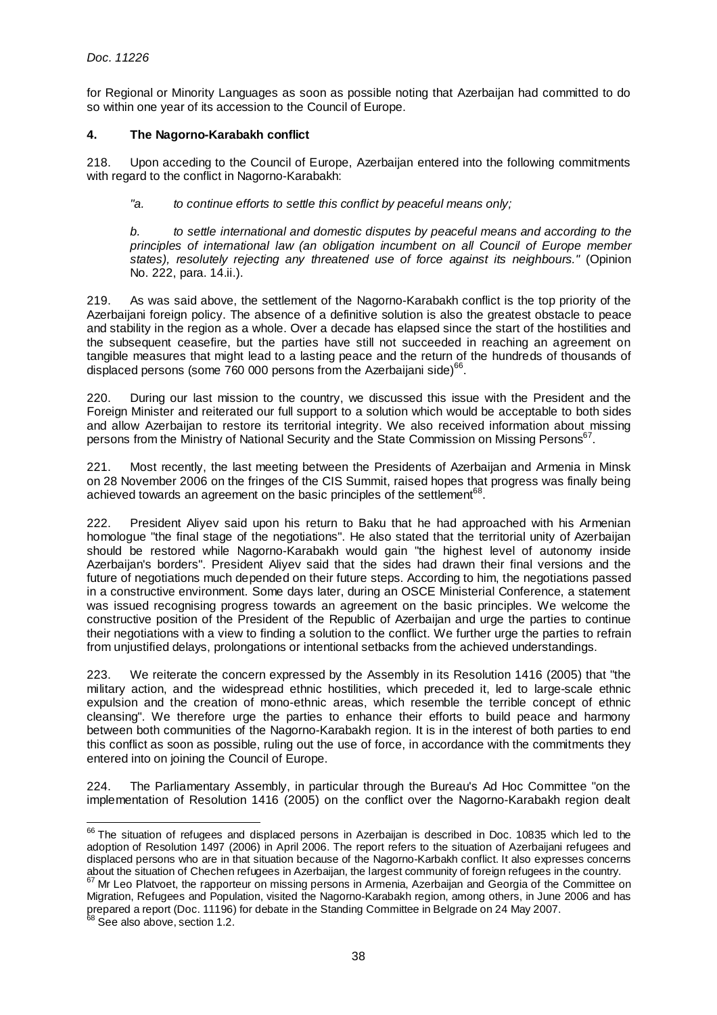for Regional or Minority Languages as soon as possible noting that Azerbaijan had committed to do so within one year of its accession to the Council of Europe.

# **4. The Nagorno-Karabakh conflict**

218. Upon acceding to the Council of Europe, Azerbaijan entered into the following commitments with regard to the conflict in Nagorno-Karabakh:

"a. to continue efforts to settle this conflict by peaceful means only;

b. to settle international and domestic disputes by peaceful means and according to the principles of international law (an obligation incumbent on all Council of Europe member states), resolutely rejecting any threatened use of force against its neighbours." (Opinion No. 222, para. 14.ii.).

219. As was said above, the settlement of the Nagorno-Karabakh conflict is the top priority of the Azerbaijani foreign policy. The absence of a definitive solution is also the greatest obstacle to peace and stability in the region as a whole. Over a decade has elapsed since the start of the hostilities and the subsequent ceasefire, but the parties have still not succeeded in reaching an agreement on tangible measures that might lead to a lasting peace and the return of the hundreds of thousands of displaced persons (some  $760 000$  persons from the Azerbaijani side)<sup>66</sup>.

220. During our last mission to the country, we discussed this issue with the President and the Foreign Minister and reiterated our full support to a solution which would be acceptable to both sides and allow Azerbaijan to restore its territorial integrity. We also received information about missing persons from the Ministry of National Security and the State Commission on Missing Persons<sup>67</sup>.

221. Most recently, the last meeting between the Presidents of Azerbaijan and Armenia in Minsk on 28 November 2006 on the fringes of the CIS Summit, raised hopes that progress was finally being achieved towards an agreement on the basic principles of the settlement $^{68}$ .

222. President Aliyev said upon his return to Baku that he had approached with his Armenian homologue "the final stage of the negotiations". He also stated that the territorial unity of Azerbaijan should be restored while Nagorno-Karabakh would gain "the highest level of autonomy inside Azerbaijan's borders". President Aliyev said that the sides had drawn their final versions and the future of negotiations much depended on their future steps. According to him, the negotiations passed in a constructive environment. Some days later, during an OSCE Ministerial Conference, a statement was issued recognising progress towards an agreement on the basic principles. We welcome the constructive position of the President of the Republic of Azerbaijan and urge the parties to continue their negotiations with a view to finding a solution to the conflict. We further urge the parties to refrain from unjustified delays, prolongations or intentional setbacks from the achieved understandings.

223. We reiterate the concern expressed by the Assembly in its Resolution 1416 (2005) that "the military action, and the widespread ethnic hostilities, which preceded it, led to large-scale ethnic expulsion and the creation of mono-ethnic areas, which resemble the terrible concept of ethnic cleansing". We therefore urge the parties to enhance their efforts to build peace and harmony between both communities of the Nagorno-Karabakh region. It is in the interest of both parties to end this conflict as soon as possible, ruling out the use of force, in accordance with the commitments they entered into on joining the Council of Europe.

224. The Parliamentary Assembly, in particular through the Bureau's Ad Hoc Committee "on the implementation of Resolution 1416 (2005) on the conflict over the Nagorno-Karabakh region dealt

l  $66$  The situation of refugees and displaced persons in Azerbaijan is described in Doc. 10835 which led to the adoption of Resolution 1497 (2006) in April 2006. The report refers to the situation of Azerbaijani refugees and displaced persons who are in that situation because of the Nagorno-Karbakh conflict. It also expresses concerns about the situation of Chechen refugees in Azerbaijan, the largest community of foreign refugees in the country.

 $67$  Mr Leo Platvoet, the rapporteur on missing persons in Armenia, Azerbaijan and Georgia of the Committee on Migration, Refugees and Population, visited the Nagorno-Karabakh region, among others, in June 2006 and has prepared a report (Doc. 11196) for debate in the Standing Committee in Belgrade on 24 May 2007.

 $68$  See also above, section 1.2.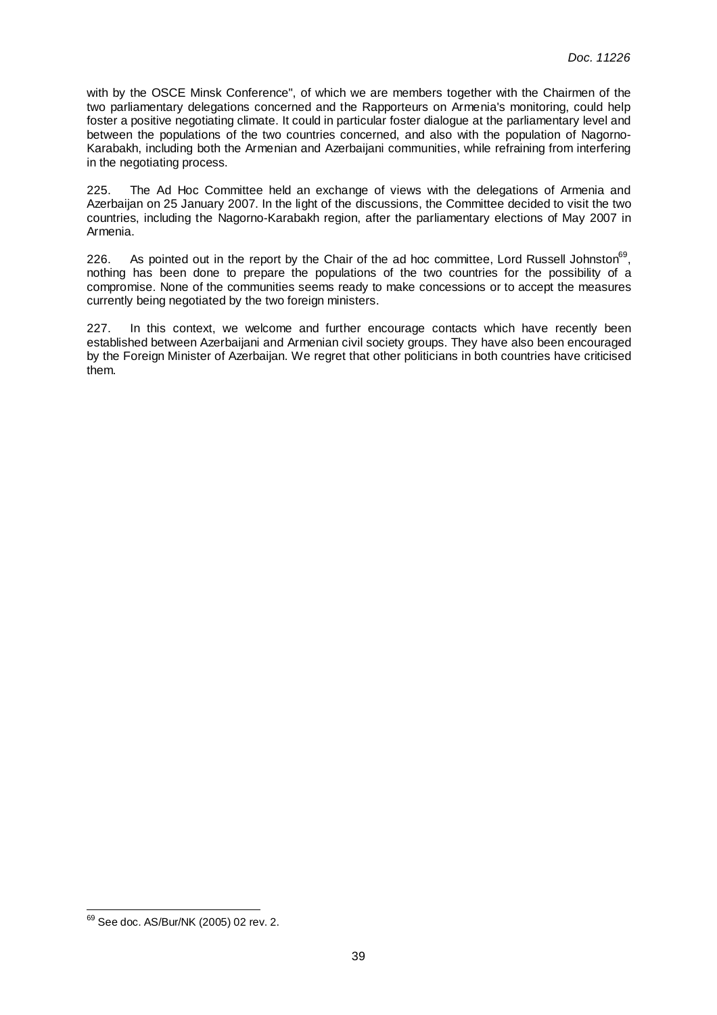with by the OSCE Minsk Conference", of which we are members together with the Chairmen of the two parliamentary delegations concerned and the Rapporteurs on Armenia's monitoring, could help foster a positive negotiating climate. It could in particular foster dialogue at the parliamentary level and between the populations of the two countries concerned, and also with the population of Nagorno-Karabakh, including both the Armenian and Azerbaijani communities, while refraining from interfering in the negotiating process.

225. The Ad Hoc Committee held an exchange of views with the delegations of Armenia and Azerbaijan on 25 January 2007. In the light of the discussions, the Committee decided to visit the two countries, including the Nagorno-Karabakh region, after the parliamentary elections of May 2007 in Armenia.

226. As pointed out in the report by the Chair of the ad hoc committee, Lord Russell Johnston<sup>69</sup>, nothing has been done to prepare the populations of the two countries for the possibility of a compromise. None of the communities seems ready to make concessions or to accept the measures currently being negotiated by the two foreign ministers.

227. In this context, we welcome and further encourage contacts which have recently been established between Azerbaijani and Armenian civil society groups. They have also been encouraged by the Foreign Minister of Azerbaijan. We regret that other politicians in both countries have criticised them.

<sup>&</sup>lt;sup>69</sup> See doc. AS/Bur/NK (2005) 02 rev. 2.